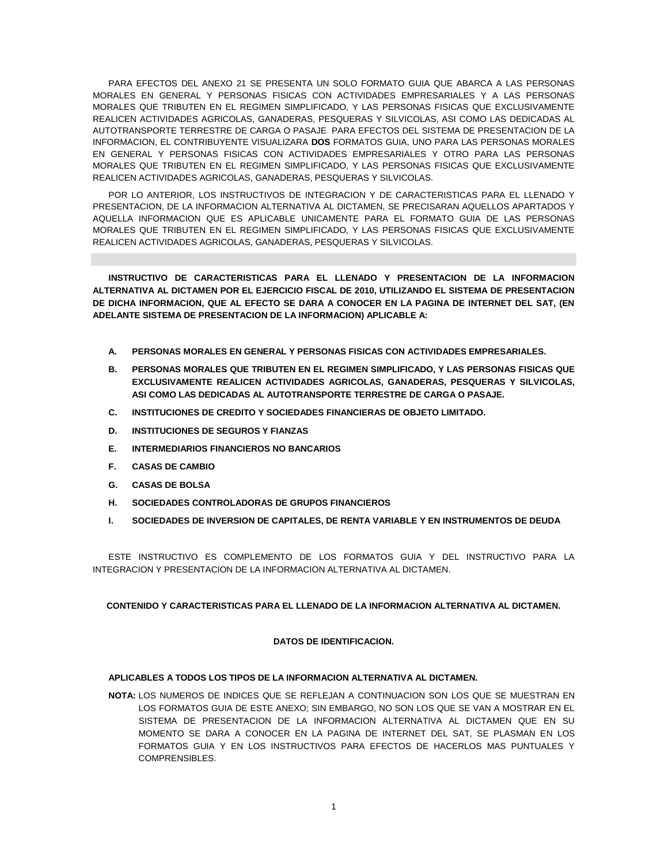PARA EFECTOS DEL ANEXO 21 SE PRESENTA UN SOLO FORMATO GUIA QUE ABARCA A LAS PERSONAS MORALES EN GENERAL Y PERSONAS FISICAS CON ACTIVIDADES EMPRESARIALES Y A LAS PERSONAS MORALES QUE TRIBUTEN EN EL REGIMEN SIMPLIFICADO, Y LAS PERSONAS FISICAS QUE EXCLUSIVAMENTE REALICEN ACTIVIDADES AGRICOLAS, GANADERAS, PESQUERAS Y SILVICOLAS, ASI COMO LAS DEDICADAS AL AUTOTRANSPORTE TERRESTRE DE CARGA O PASAJE. PARA EFECTOS DEL SISTEMA DE PRESENTACION DE LA INFORMACION, EL CONTRIBUYENTE VISUALIZARA **DOS** FORMATOS GUIA, UNO PARA LAS PERSONAS MORALES EN GENERAL Y PERSONAS FISICAS CON ACTIVIDADES EMPRESARIALES Y OTRO PARA LAS PERSONAS MORALES QUE TRIBUTEN EN EL REGIMEN SIMPLIFICADO, Y LAS PERSONAS FISICAS QUE EXCLUSIVAMENTE REALICEN ACTIVIDADES AGRICOLAS, GANADERAS, PESQUERAS Y SILVICOLAS.

POR LO ANTERIOR, LOS INSTRUCTIVOS DE INTEGRACION Y DE CARACTERISTICAS PARA EL LLENADO Y PRESENTACION, DE LA INFORMACION ALTERNATIVA AL DICTAMEN, SE PRECISARAN AQUELLOS APARTADOS Y AQUELLA INFORMACION QUE ES APLICABLE UNICAMENTE PARA EL FORMATO GUIA DE LAS PERSONAS MORALES QUE TRIBUTEN EN EL REGIMEN SIMPLIFICADO, Y LAS PERSONAS FISICAS QUE EXCLUSIVAMENTE REALICEN ACTIVIDADES AGRICOLAS, GANADERAS, PESQUERAS Y SILVICOLAS.

**INSTRUCTIVO DE CARACTERISTICAS PARA EL LLENADO Y PRESENTACION DE LA INFORMACION ALTERNATIVA AL DICTAMEN POR EL EJERCICIO FISCAL DE 2010, UTILIZANDO EL SISTEMA DE PRESENTACION DE DICHA INFORMACION, QUE AL EFECTO SE DARA A CONOCER EN LA PAGINA DE INTERNET DEL SAT, (EN ADELANTE SISTEMA DE PRESENTACION DE LA INFORMACION) APLICABLE A:**

- **A. PERSONAS MORALES EN GENERAL Y PERSONAS FISICAS CON ACTIVIDADES EMPRESARIALES.**
- **B. PERSONAS MORALES QUE TRIBUTEN EN EL REGIMEN SIMPLIFICADO, Y LAS PERSONAS FISICAS QUE EXCLUSIVAMENTE REALICEN ACTIVIDADES AGRICOLAS, GANADERAS, PESQUERAS Y SILVICOLAS, ASI COMO LAS DEDICADAS AL AUTOTRANSPORTE TERRESTRE DE CARGA O PASAJE.**
- **C. INSTITUCIONES DE CREDITO Y SOCIEDADES FINANCIERAS DE OBJETO LIMITADO.**
- **D. INSTITUCIONES DE SEGUROS Y FIANZAS**
- **E. INTERMEDIARIOS FINANCIEROS NO BANCARIOS**
- **F. CASAS DE CAMBIO**
- **G. CASAS DE BOLSA**
- **H. SOCIEDADES CONTROLADORAS DE GRUPOS FINANCIEROS**
- **I. SOCIEDADES DE INVERSION DE CAPITALES, DE RENTA VARIABLE Y EN INSTRUMENTOS DE DEUDA**

ESTE INSTRUCTIVO ES COMPLEMENTO DE LOS FORMATOS GUIA Y DEL INSTRUCTIVO PARA LA INTEGRACION Y PRESENTACION DE LA INFORMACION ALTERNATIVA AL DICTAMEN.

#### **CONTENIDO Y CARACTERISTICAS PARA EL LLENADO DE LA INFORMACION ALTERNATIVA AL DICTAMEN.**

### **DATOS DE IDENTIFICACION.**

## **APLICABLES A TODOS LOS TIPOS DE LA INFORMACION ALTERNATIVA AL DICTAMEN.**

**NOTA:** LOS NUMEROS DE INDICES QUE SE REFLEJAN A CONTINUACION SON LOS QUE SE MUESTRAN EN LOS FORMATOS GUIA DE ESTE ANEXO; SIN EMBARGO, NO SON LOS QUE SE VAN A MOSTRAR EN EL SISTEMA DE PRESENTACION DE LA INFORMACION ALTERNATIVA AL DICTAMEN QUE EN SU MOMENTO SE DARA A CONOCER EN LA PAGINA DE INTERNET DEL SAT, SE PLASMAN EN LOS FORMATOS GUIA Y EN LOS INSTRUCTIVOS PARA EFECTOS DE HACERLOS MAS PUNTUALES Y COMPRENSIBLES.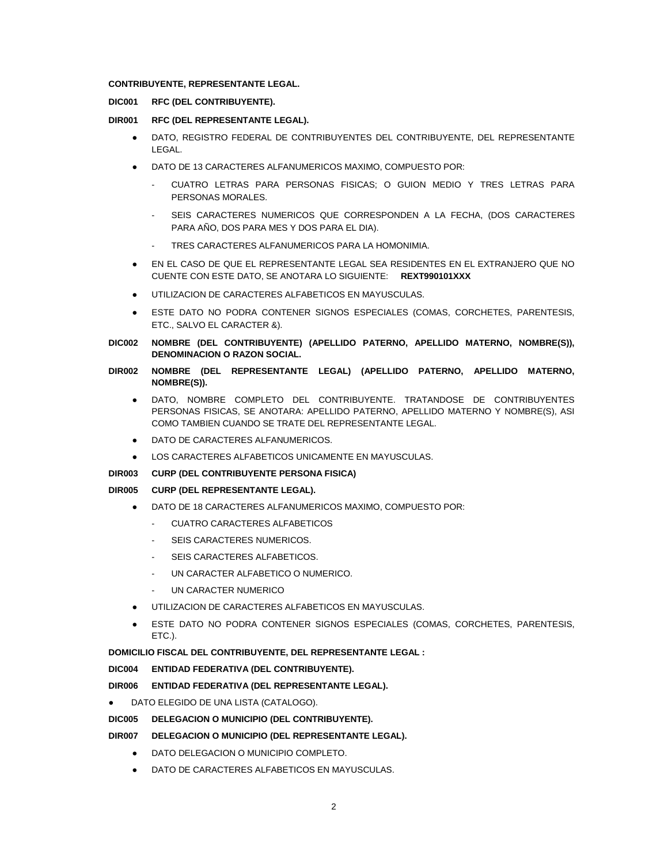## **CONTRIBUYENTE, REPRESENTANTE LEGAL.**

## **DIC001 RFC (DEL CONTRIBUYENTE).**

## **DIR001 RFC (DEL REPRESENTANTE LEGAL).**

- DATO, REGISTRO FEDERAL DE CONTRIBUYENTES DEL CONTRIBUYENTE, DEL REPRESENTANTE LEGAL.
- DATO DE 13 CARACTERES ALFANUMERICOS MAXIMO, COMPUESTO POR:
	- CUATRO LETRAS PARA PERSONAS FISICAS; O GUION MEDIO Y TRES LETRAS PARA PERSONAS MORALES.
	- SEIS CARACTERES NUMERICOS QUE CORRESPONDEN A LA FECHA, (DOS CARACTERES PARA AÑO, DOS PARA MES Y DOS PARA EL DIA).
	- TRES CARACTERES ALFANUMERICOS PARA LA HOMONIMIA.
- EN EL CASO DE QUE EL REPRESENTANTE LEGAL SEA RESIDENTES EN EL EXTRANJERO QUE NO CUENTE CON ESTE DATO, SE ANOTARA LO SIGUIENTE: **REXT990101XXX**
- UTILIZACION DE CARACTERES ALFABETICOS EN MAYUSCULAS.
- ESTE DATO NO PODRA CONTENER SIGNOS ESPECIALES (COMAS, CORCHETES, PARENTESIS, ETC., SALVO EL CARACTER &).
- **DIC002 NOMBRE (DEL CONTRIBUYENTE) (APELLIDO PATERNO, APELLIDO MATERNO, NOMBRE(S)), DENOMINACION O RAZON SOCIAL.**
- **DIR002 NOMBRE (DEL REPRESENTANTE LEGAL) (APELLIDO PATERNO, APELLIDO MATERNO, NOMBRE(S)).**
	- DATO, NOMBRE COMPLETO DEL CONTRIBUYENTE. TRATANDOSE DE CONTRIBUYENTES PERSONAS FISICAS, SE ANOTARA: APELLIDO PATERNO, APELLIDO MATERNO Y NOMBRE(S), ASI COMO TAMBIEN CUANDO SE TRATE DEL REPRESENTANTE LEGAL.
	- DATO DE CARACTERES ALFANUMERICOS.
	- LOS CARACTERES ALFABETICOS UNICAMENTE EN MAYUSCULAS.

#### **DIR003 CURP (DEL CONTRIBUYENTE PERSONA FISICA)**

## **DIR005 CURP (DEL REPRESENTANTE LEGAL).**

- DATO DE 18 CARACTERES ALFANUMERICOS MAXIMO, COMPUESTO POR:
	- CUATRO CARACTERES ALFABETICOS
	- SEIS CARACTERES NUMERICOS.
	- SEIS CARACTERES ALFABETICOS.
	- UN CARACTER ALFABETICO O NUMERICO.
	- UN CARACTER NUMERICO
- UTILIZACION DE CARACTERES ALFABETICOS EN MAYUSCULAS.
- ESTE DATO NO PODRA CONTENER SIGNOS ESPECIALES (COMAS, CORCHETES, PARENTESIS, ETC.).

## **DOMICILIO FISCAL DEL CONTRIBUYENTE, DEL REPRESENTANTE LEGAL :**

**DIC004 ENTIDAD FEDERATIVA (DEL CONTRIBUYENTE).**

# **DIR006 ENTIDAD FEDERATIVA (DEL REPRESENTANTE LEGAL).**

● DATO ELEGIDO DE UNA LISTA (CATALOGO).

# **DIC005 DELEGACION O MUNICIPIO (DEL CONTRIBUYENTE).**

- **DIR007 DELEGACION O MUNICIPIO (DEL REPRESENTANTE LEGAL).**
	- DATO DELEGACION O MUNICIPIO COMPLETO.
	- DATO DE CARACTERES ALFABETICOS EN MAYUSCULAS.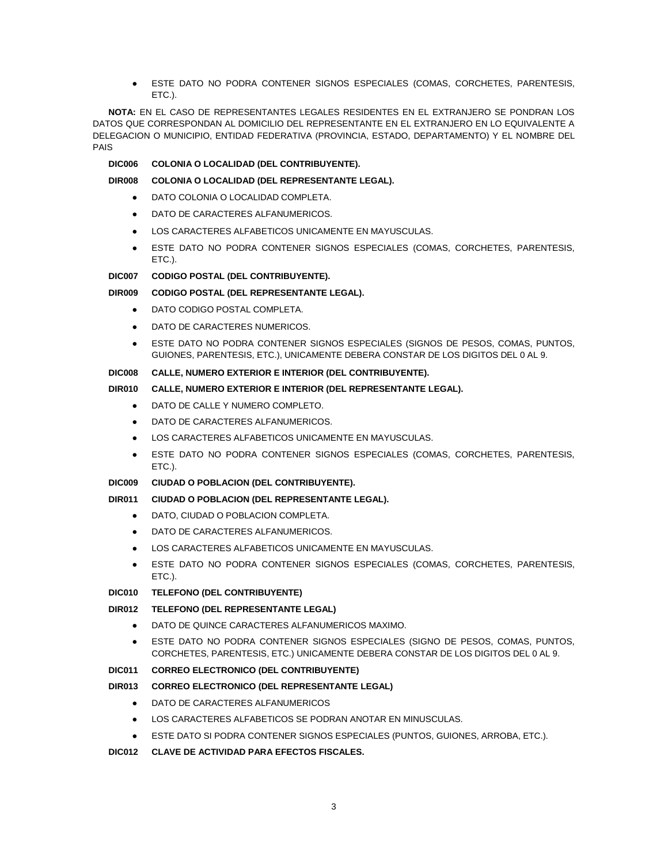ESTE DATO NO PODRA CONTENER SIGNOS ESPECIALES (COMAS, CORCHETES, PARENTESIS, ETC.).

**NOTA:** EN EL CASO DE REPRESENTANTES LEGALES RESIDENTES EN EL EXTRANJERO SE PONDRAN LOS DATOS QUE CORRESPONDAN AL DOMICILIO DEL REPRESENTANTE EN EL EXTRANJERO EN LO EQUIVALENTE A DELEGACION O MUNICIPIO, ENTIDAD FEDERATIVA (PROVINCIA, ESTADO, DEPARTAMENTO) Y EL NOMBRE DEL PAIS

## **DIC006 COLONIA O LOCALIDAD (DEL CONTRIBUYENTE).**

## **DIR008 COLONIA O LOCALIDAD (DEL REPRESENTANTE LEGAL).**

- DATO COLONIA O LOCALIDAD COMPLETA.
- DATO DE CARACTERES ALFANUMERICOS.
- LOS CARACTERES ALFABETICOS UNICAMENTE EN MAYUSCULAS.
- ESTE DATO NO PODRA CONTENER SIGNOS ESPECIALES (COMAS, CORCHETES, PARENTESIS, ETC.).

### **DIC007 CODIGO POSTAL (DEL CONTRIBUYENTE).**

## **DIR009 CODIGO POSTAL (DEL REPRESENTANTE LEGAL).**

- DATO CODIGO POSTAL COMPLETA.
- DATO DE CARACTERES NUMERICOS.
- ESTE DATO NO PODRA CONTENER SIGNOS ESPECIALES (SIGNOS DE PESOS, COMAS, PUNTOS, GUIONES, PARENTESIS, ETC.), UNICAMENTE DEBERA CONSTAR DE LOS DIGITOS DEL 0 AL 9.

## **DIC008 CALLE, NUMERO EXTERIOR E INTERIOR (DEL CONTRIBUYENTE).**

# **DIR010 CALLE, NUMERO EXTERIOR E INTERIOR (DEL REPRESENTANTE LEGAL).**

- DATO DE CALLE Y NUMERO COMPLETO.
- DATO DE CARACTERES ALFANUMERICOS.
- LOS CARACTERES ALFABETICOS UNICAMENTE EN MAYUSCULAS.
- ESTE DATO NO PODRA CONTENER SIGNOS ESPECIALES (COMAS, CORCHETES, PARENTESIS, ETC.).

#### **DIC009 CIUDAD O POBLACION (DEL CONTRIBUYENTE).**

#### **DIR011 CIUDAD O POBLACION (DEL REPRESENTANTE LEGAL).**

- DATO, CIUDAD O POBLACION COMPLETA.
- DATO DE CARACTERES ALFANUMERICOS.
- LOS CARACTERES ALFABETICOS UNICAMENTE EN MAYUSCULAS.
- ESTE DATO NO PODRA CONTENER SIGNOS ESPECIALES (COMAS, CORCHETES, PARENTESIS, ETC.).

## **DIC010 TELEFONO (DEL CONTRIBUYENTE)**

# **DIR012 TELEFONO (DEL REPRESENTANTE LEGAL)**

- DATO DE QUINCE CARACTERES ALFANUMERICOS MAXIMO.
- ESTE DATO NO PODRA CONTENER SIGNOS ESPECIALES (SIGNO DE PESOS, COMAS, PUNTOS, CORCHETES, PARENTESIS, ETC.) UNICAMENTE DEBERA CONSTAR DE LOS DIGITOS DEL 0 AL 9.

#### **DIC011 CORREO ELECTRONICO (DEL CONTRIBUYENTE)**

# **DIR013 CORREO ELECTRONICO (DEL REPRESENTANTE LEGAL)**

- DATO DE CARACTERES ALFANUMERICOS
- LOS CARACTERES ALFABETICOS SE PODRAN ANOTAR EN MINUSCULAS.
- ESTE DATO SI PODRA CONTENER SIGNOS ESPECIALES (PUNTOS, GUIONES, ARROBA, ETC.).

#### **DIC012 CLAVE DE ACTIVIDAD PARA EFECTOS FISCALES.**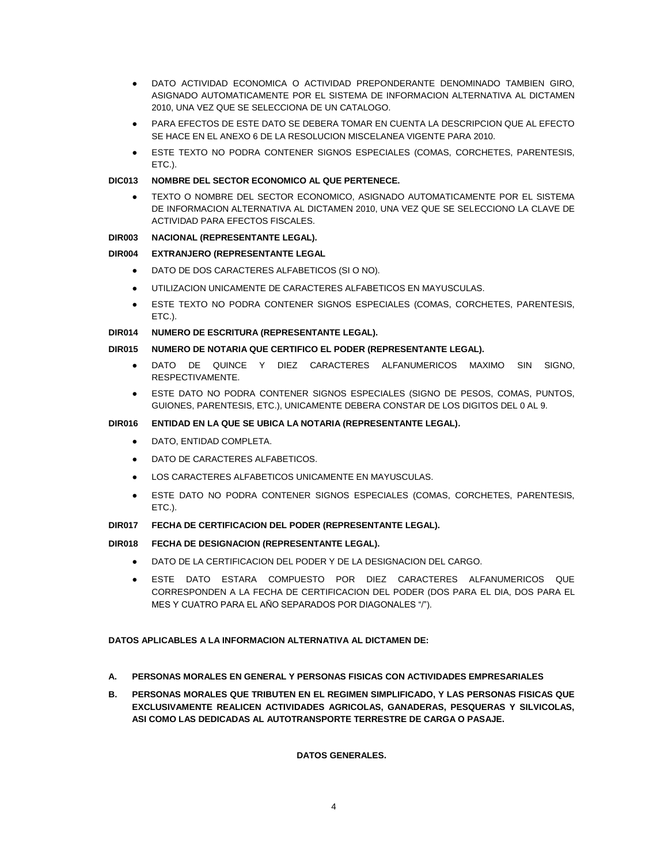- DATO ACTIVIDAD ECONOMICA O ACTIVIDAD PREPONDERANTE DENOMINADO TAMBIEN GIRO, ASIGNADO AUTOMATICAMENTE POR EL SISTEMA DE INFORMACION ALTERNATIVA AL DICTAMEN 2010, UNA VEZ QUE SE SELECCIONA DE UN CATALOGO.
- PARA EFECTOS DE ESTE DATO SE DEBERA TOMAR EN CUENTA LA DESCRIPCION QUE AL EFECTO SE HACE EN EL ANEXO 6 DE LA RESOLUCION MISCELANEA VIGENTE PARA 2010.
- ESTE TEXTO NO PODRA CONTENER SIGNOS ESPECIALES (COMAS, CORCHETES, PARENTESIS, ETC.).

## **DIC013 NOMBRE DEL SECTOR ECONOMICO AL QUE PERTENECE.**

TEXTO O NOMBRE DEL SECTOR ECONOMICO, ASIGNADO AUTOMATICAMENTE POR EL SISTEMA DE INFORMACION ALTERNATIVA AL DICTAMEN 2010, UNA VEZ QUE SE SELECCIONO LA CLAVE DE ACTIVIDAD PARA EFECTOS FISCALES.

## **DIR003 NACIONAL (REPRESENTANTE LEGAL).**

## **DIR004 EXTRANJERO (REPRESENTANTE LEGAL**

- DATO DE DOS CARACTERES ALFABETICOS (SI O NO).
- UTILIZACION UNICAMENTE DE CARACTERES ALFABETICOS EN MAYUSCULAS.
- ESTE TEXTO NO PODRA CONTENER SIGNOS ESPECIALES (COMAS, CORCHETES, PARENTESIS, ETC.).

## **DIR014 NUMERO DE ESCRITURA (REPRESENTANTE LEGAL).**

## **DIR015 NUMERO DE NOTARIA QUE CERTIFICO EL PODER (REPRESENTANTE LEGAL).**

- DATO DE QUINCE Y DIEZ CARACTERES ALFANUMERICOS MAXIMO SIN SIGNO, RESPECTIVAMENTE.
- ESTE DATO NO PODRA CONTENER SIGNOS ESPECIALES (SIGNO DE PESOS, COMAS, PUNTOS, GUIONES, PARENTESIS, ETC.), UNICAMENTE DEBERA CONSTAR DE LOS DIGITOS DEL 0 AL 9.

## **DIR016 ENTIDAD EN LA QUE SE UBICA LA NOTARIA (REPRESENTANTE LEGAL).**

- **DATO, ENTIDAD COMPLETA.**
- DATO DE CARACTERES ALFABETICOS.
- LOS CARACTERES ALFABETICOS UNICAMENTE EN MAYUSCULAS.
- ESTE DATO NO PODRA CONTENER SIGNOS ESPECIALES (COMAS, CORCHETES, PARENTESIS, ETC.).

#### **DIR017 FECHA DE CERTIFICACION DEL PODER (REPRESENTANTE LEGAL).**

# **DIR018 FECHA DE DESIGNACION (REPRESENTANTE LEGAL).**

- DATO DE LA CERTIFICACION DEL PODER Y DE LA DESIGNACION DEL CARGO.
- ESTE DATO ESTARA COMPUESTO POR DIEZ CARACTERES ALFANUMERICOS QUE CORRESPONDEN A LA FECHA DE CERTIFICACION DEL PODER (DOS PARA EL DIA, DOS PARA EL MES Y CUATRO PARA EL AÑO SEPARADOS POR DIAGONALES "/").

#### **DATOS APLICABLES A LA INFORMACION ALTERNATIVA AL DICTAMEN DE:**

- **A. PERSONAS MORALES EN GENERAL Y PERSONAS FISICAS CON ACTIVIDADES EMPRESARIALES**
- **B. PERSONAS MORALES QUE TRIBUTEN EN EL REGIMEN SIMPLIFICADO, Y LAS PERSONAS FISICAS QUE EXCLUSIVAMENTE REALICEN ACTIVIDADES AGRICOLAS, GANADERAS, PESQUERAS Y SILVICOLAS, ASI COMO LAS DEDICADAS AL AUTOTRANSPORTE TERRESTRE DE CARGA O PASAJE.**

# **DATOS GENERALES.**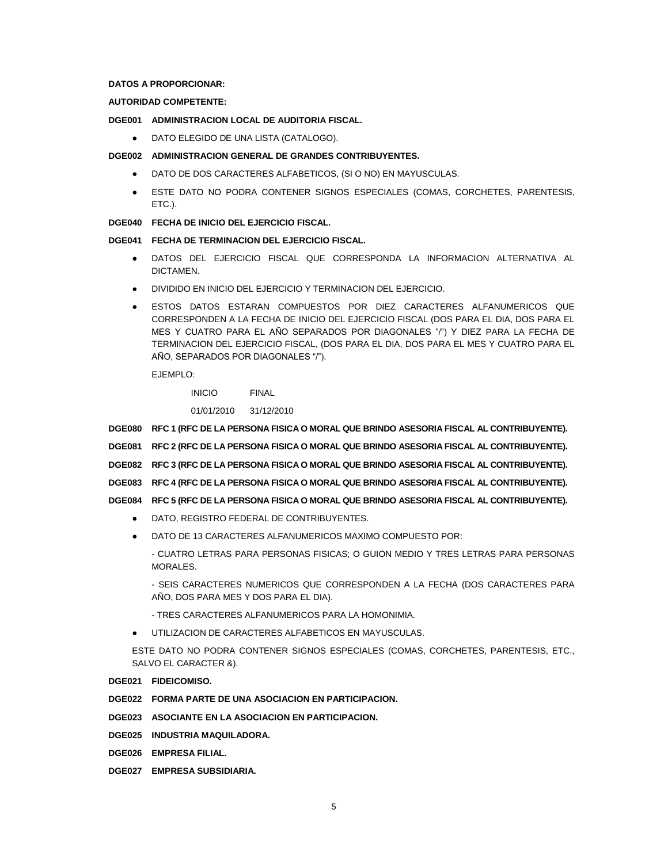## **DATOS A PROPORCIONAR:**

# **AUTORIDAD COMPETENTE:**

## **DGE001 ADMINISTRACION LOCAL DE AUDITORIA FISCAL.**

DATO ELEGIDO DE UNA LISTA (CATALOGO).

### **DGE002 ADMINISTRACION GENERAL DE GRANDES CONTRIBUYENTES.**

- DATO DE DOS CARACTERES ALFABETICOS, (SI O NO) EN MAYUSCULAS.
- ESTE DATO NO PODRA CONTENER SIGNOS ESPECIALES (COMAS, CORCHETES, PARENTESIS, ETC.).

# **DGE040 FECHA DE INICIO DEL EJERCICIO FISCAL.**

# **DGE041 FECHA DE TERMINACION DEL EJERCICIO FISCAL.**

- DATOS DEL EJERCICIO FISCAL QUE CORRESPONDA LA INFORMACION ALTERNATIVA AL DICTAMEN.
- DIVIDIDO EN INICIO DEL EJERCICIO Y TERMINACION DEL EJERCICIO.
- ESTOS DATOS ESTARAN COMPUESTOS POR DIEZ CARACTERES ALFANUMERICOS QUE CORRESPONDEN A LA FECHA DE INICIO DEL EJERCICIO FISCAL (DOS PARA EL DIA, DOS PARA EL MES Y CUATRO PARA EL AÑO SEPARADOS POR DIAGONALES "/") Y DIEZ PARA LA FECHA DE TERMINACION DEL EJERCICIO FISCAL, (DOS PARA EL DIA, DOS PARA EL MES Y CUATRO PARA EL AÑO, SEPARADOS POR DIAGONALES "/").

#### EJEMPLO:

INICIO FINAL

01/01/2010 31/12/2010

**DGE080 RFC 1 (RFC DE LA PERSONA FISICA O MORAL QUE BRINDO ASESORIA FISCAL AL CONTRIBUYENTE).**

- **DGE081 RFC 2 (RFC DE LA PERSONA FISICA O MORAL QUE BRINDO ASESORIA FISCAL AL CONTRIBUYENTE).**
- **DGE082 RFC 3 (RFC DE LA PERSONA FISICA O MORAL QUE BRINDO ASESORIA FISCAL AL CONTRIBUYENTE).**
- **DGE083 RFC 4 (RFC DE LA PERSONA FISICA O MORAL QUE BRINDO ASESORIA FISCAL AL CONTRIBUYENTE).**
- **DGE084 RFC 5 (RFC DE LA PERSONA FISICA O MORAL QUE BRINDO ASESORIA FISCAL AL CONTRIBUYENTE).**
	- DATO, REGISTRO FEDERAL DE CONTRIBUYENTES.
	- DATO DE 13 CARACTERES ALFANUMERICOS MAXIMO COMPUESTO POR:
		- CUATRO LETRAS PARA PERSONAS FISICAS; O GUION MEDIO Y TRES LETRAS PARA PERSONAS MORALES.

- SEIS CARACTERES NUMERICOS QUE CORRESPONDEN A LA FECHA (DOS CARACTERES PARA AÑO, DOS PARA MES Y DOS PARA EL DIA).

- TRES CARACTERES ALFANUMERICOS PARA LA HOMONIMIA.
- UTILIZACION DE CARACTERES ALFABETICOS EN MAYUSCULAS.

ESTE DATO NO PODRA CONTENER SIGNOS ESPECIALES (COMAS, CORCHETES, PARENTESIS, ETC., SALVO EL CARACTER &).

**DGE021 FIDEICOMISO.**

**DGE022 FORMA PARTE DE UNA ASOCIACION EN PARTICIPACION.**

**DGE023 ASOCIANTE EN LA ASOCIACION EN PARTICIPACION.**

**DGE025 INDUSTRIA MAQUILADORA.**

- **DGE026 EMPRESA FILIAL.**
- **DGE027 EMPRESA SUBSIDIARIA.**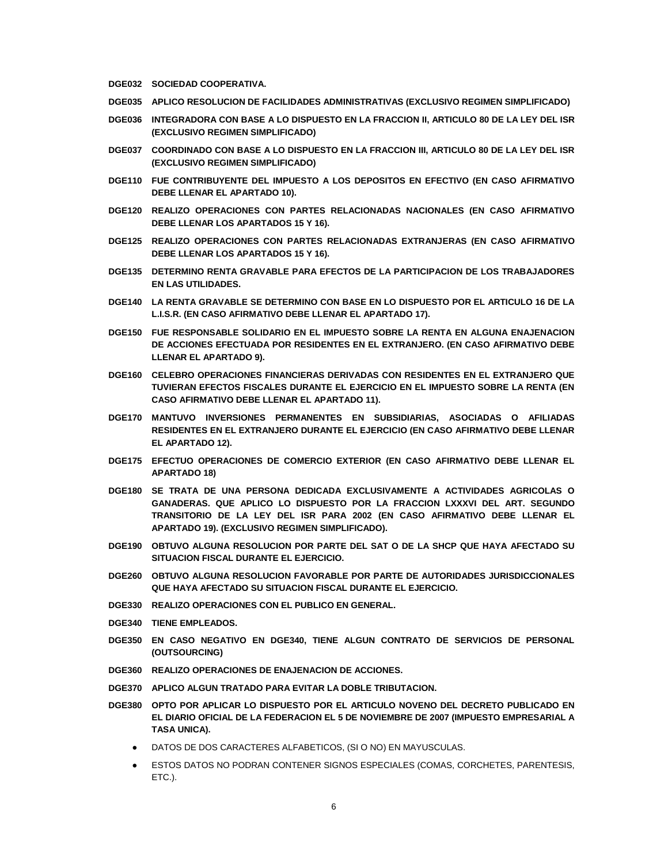- **DGE032 SOCIEDAD COOPERATIVA.**
- **DGE035 APLICO RESOLUCION DE FACILIDADES ADMINISTRATIVAS (EXCLUSIVO REGIMEN SIMPLIFICADO)**
- **DGE036 INTEGRADORA CON BASE A LO DISPUESTO EN LA FRACCION II, ARTICULO 80 DE LA LEY DEL ISR (EXCLUSIVO REGIMEN SIMPLIFICADO)**
- **DGE037 COORDINADO CON BASE A LO DISPUESTO EN LA FRACCION III, ARTICULO 80 DE LA LEY DEL ISR (EXCLUSIVO REGIMEN SIMPLIFICADO)**
- **DGE110 FUE CONTRIBUYENTE DEL IMPUESTO A LOS DEPOSITOS EN EFECTIVO (EN CASO AFIRMATIVO DEBE LLENAR EL APARTADO 10).**
- **DGE120 REALIZO OPERACIONES CON PARTES RELACIONADAS NACIONALES (EN CASO AFIRMATIVO DEBE LLENAR LOS APARTADOS 15 Y 16).**
- **DGE125 REALIZO OPERACIONES CON PARTES RELACIONADAS EXTRANJERAS (EN CASO AFIRMATIVO DEBE LLENAR LOS APARTADOS 15 Y 16).**
- **DGE135 DETERMINO RENTA GRAVABLE PARA EFECTOS DE LA PARTICIPACION DE LOS TRABAJADORES EN LAS UTILIDADES.**
- **DGE140 LA RENTA GRAVABLE SE DETERMINO CON BASE EN LO DISPUESTO POR EL ARTICULO 16 DE LA L.I.S.R. (EN CASO AFIRMATIVO DEBE LLENAR EL APARTADO 17).**
- **DGE150 FUE RESPONSABLE SOLIDARIO EN EL IMPUESTO SOBRE LA RENTA EN ALGUNA ENAJENACION DE ACCIONES EFECTUADA POR RESIDENTES EN EL EXTRANJERO. (EN CASO AFIRMATIVO DEBE LLENAR EL APARTADO 9).**
- **DGE160 CELEBRO OPERACIONES FINANCIERAS DERIVADAS CON RESIDENTES EN EL EXTRANJERO QUE TUVIERAN EFECTOS FISCALES DURANTE EL EJERCICIO EN EL IMPUESTO SOBRE LA RENTA (EN CASO AFIRMATIVO DEBE LLENAR EL APARTADO 11).**
- **DGE170 MANTUVO INVERSIONES PERMANENTES EN SUBSIDIARIAS, ASOCIADAS O AFILIADAS RESIDENTES EN EL EXTRANJERO DURANTE EL EJERCICIO (EN CASO AFIRMATIVO DEBE LLENAR EL APARTADO 12).**
- **DGE175 EFECTUO OPERACIONES DE COMERCIO EXTERIOR (EN CASO AFIRMATIVO DEBE LLENAR EL APARTADO 18)**
- **DGE180 SE TRATA DE UNA PERSONA DEDICADA EXCLUSIVAMENTE A ACTIVIDADES AGRICOLAS O GANADERAS. QUE APLICO LO DISPUESTO POR LA FRACCION LXXXVI DEL ART. SEGUNDO TRANSITORIO DE LA LEY DEL ISR PARA 2002 (EN CASO AFIRMATIVO DEBE LLENAR EL APARTADO 19). (EXCLUSIVO REGIMEN SIMPLIFICADO).**
- **DGE190 OBTUVO ALGUNA RESOLUCION POR PARTE DEL SAT O DE LA SHCP QUE HAYA AFECTADO SU SITUACION FISCAL DURANTE EL EJERCICIO.**
- **DGE260 OBTUVO ALGUNA RESOLUCION FAVORABLE POR PARTE DE AUTORIDADES JURISDICCIONALES QUE HAYA AFECTADO SU SITUACION FISCAL DURANTE EL EJERCICIO.**
- **DGE330 REALIZO OPERACIONES CON EL PUBLICO EN GENERAL.**
- **DGE340 TIENE EMPLEADOS.**
- **DGE350 EN CASO NEGATIVO EN DGE340, TIENE ALGUN CONTRATO DE SERVICIOS DE PERSONAL (OUTSOURCING)**
- **DGE360 REALIZO OPERACIONES DE ENAJENACION DE ACCIONES.**
- **DGE370 APLICO ALGUN TRATADO PARA EVITAR LA DOBLE TRIBUTACION.**
- **DGE380 OPTO POR APLICAR LO DISPUESTO POR EL ARTICULO NOVENO DEL DECRETO PUBLICADO EN EL DIARIO OFICIAL DE LA FEDERACION EL 5 DE NOVIEMBRE DE 2007 (IMPUESTO EMPRESARIAL A TASA UNICA).**
	- DATOS DE DOS CARACTERES ALFABETICOS, (SI O NO) EN MAYUSCULAS.
	- ESTOS DATOS NO PODRAN CONTENER SIGNOS ESPECIALES (COMAS, CORCHETES, PARENTESIS, ETC.).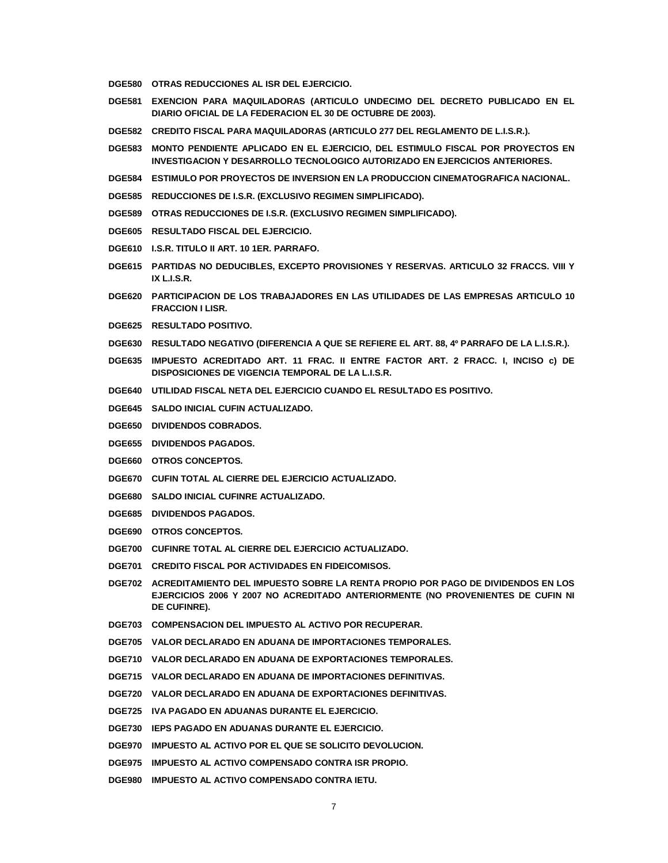- **DGE580 OTRAS REDUCCIONES AL ISR DEL EJERCICIO.**
- **DGE581 EXENCION PARA MAQUILADORAS (ARTICULO UNDECIMO DEL DECRETO PUBLICADO EN EL DIARIO OFICIAL DE LA FEDERACION EL 30 DE OCTUBRE DE 2003).**
- **DGE582 CREDITO FISCAL PARA MAQUILADORAS (ARTICULO 277 DEL REGLAMENTO DE L.I.S.R.).**
- **DGE583 MONTO PENDIENTE APLICADO EN EL EJERCICIO, DEL ESTIMULO FISCAL POR PROYECTOS EN INVESTIGACION Y DESARROLLO TECNOLOGICO AUTORIZADO EN EJERCICIOS ANTERIORES.**
- **DGE584 ESTIMULO POR PROYECTOS DE INVERSION EN LA PRODUCCION CINEMATOGRAFICA NACIONAL.**
- **DGE585 REDUCCIONES DE I.S.R. (EXCLUSIVO REGIMEN SIMPLIFICADO).**
- **DGE589 OTRAS REDUCCIONES DE I.S.R. (EXCLUSIVO REGIMEN SIMPLIFICADO).**
- **DGE605 RESULTADO FISCAL DEL EJERCICIO.**
- **DGE610 I.S.R. TITULO II ART. 10 1ER. PARRAFO.**
- **DGE615 PARTIDAS NO DEDUCIBLES, EXCEPTO PROVISIONES Y RESERVAS. ARTICULO 32 FRACCS. VIII Y IX L.I.S.R.**
- **DGE620 PARTICIPACION DE LOS TRABAJADORES EN LAS UTILIDADES DE LAS EMPRESAS ARTICULO 10 FRACCION I LISR.**
- **DGE625 RESULTADO POSITIVO.**
- **DGE630 RESULTADO NEGATIVO (DIFERENCIA A QUE SE REFIERE EL ART. 88, 4º PARRAFO DE LA L.I.S.R.).**
- **DGE635 IMPUESTO ACREDITADO ART. 11 FRAC. II ENTRE FACTOR ART. 2 FRACC. I, INCISO c) DE DISPOSICIONES DE VIGENCIA TEMPORAL DE LA L.I.S.R.**
- **DGE640 UTILIDAD FISCAL NETA DEL EJERCICIO CUANDO EL RESULTADO ES POSITIVO.**
- **DGE645 SALDO INICIAL CUFIN ACTUALIZADO.**
- **DGE650 DIVIDENDOS COBRADOS.**
- **DGE655 DIVIDENDOS PAGADOS.**
- **DGE660 OTROS CONCEPTOS.**
- **DGE670 CUFIN TOTAL AL CIERRE DEL EJERCICIO ACTUALIZADO.**
- **DGE680 SALDO INICIAL CUFINRE ACTUALIZADO.**
- **DGE685 DIVIDENDOS PAGADOS.**
- **DGE690 OTROS CONCEPTOS.**
- **DGE700 CUFINRE TOTAL AL CIERRE DEL EJERCICIO ACTUALIZADO.**
- **DGE701 CREDITO FISCAL POR ACTIVIDADES EN FIDEICOMISOS.**
- **DGE702 ACREDITAMIENTO DEL IMPUESTO SOBRE LA RENTA PROPIO POR PAGO DE DIVIDENDOS EN LOS EJERCICIOS 2006 Y 2007 NO ACREDITADO ANTERIORMENTE (NO PROVENIENTES DE CUFIN NI DE CUFINRE).**
- **DGE703 COMPENSACION DEL IMPUESTO AL ACTIVO POR RECUPERAR.**
- **DGE705 VALOR DECLARADO EN ADUANA DE IMPORTACIONES TEMPORALES.**
- **DGE710 VALOR DECLARADO EN ADUANA DE EXPORTACIONES TEMPORALES.**
- **DGE715 VALOR DECLARADO EN ADUANA DE IMPORTACIONES DEFINITIVAS.**
- **DGE720 VALOR DECLARADO EN ADUANA DE EXPORTACIONES DEFINITIVAS.**
- **DGE725 IVA PAGADO EN ADUANAS DURANTE EL EJERCICIO.**
- **DGE730 IEPS PAGADO EN ADUANAS DURANTE EL EJERCICIO.**
- **DGE970 IMPUESTO AL ACTIVO POR EL QUE SE SOLICITO DEVOLUCION.**
- **DGE975 IMPUESTO AL ACTIVO COMPENSADO CONTRA ISR PROPIO.**
- **DGE980 IMPUESTO AL ACTIVO COMPENSADO CONTRA IETU.**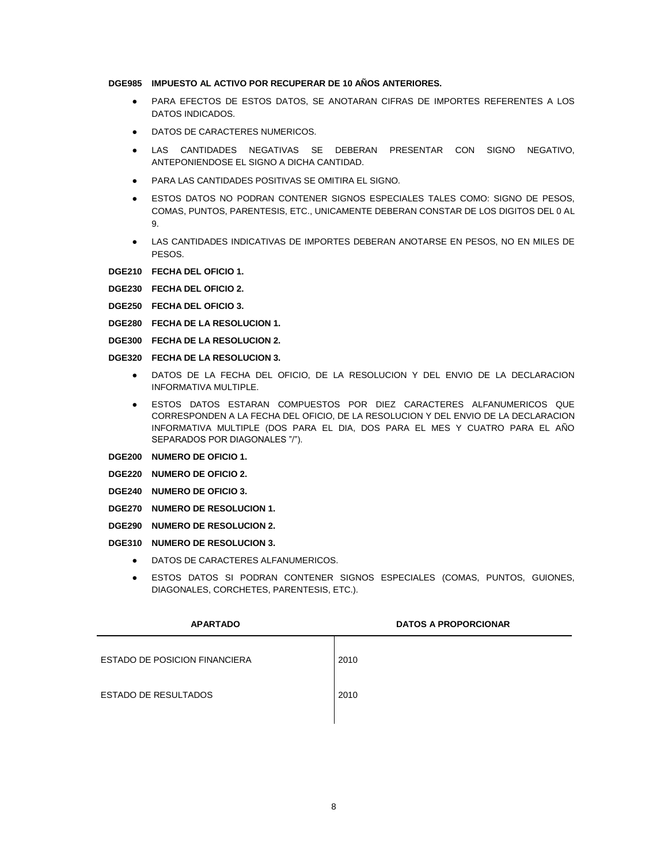#### **DGE985 IMPUESTO AL ACTIVO POR RECUPERAR DE 10 AÑOS ANTERIORES.**

- PARA EFECTOS DE ESTOS DATOS, SE ANOTARAN CIFRAS DE IMPORTES REFERENTES A LOS DATOS INDICADOS.
- DATOS DE CARACTERES NUMERICOS.
- LAS CANTIDADES NEGATIVAS SE DEBERAN PRESENTAR CON SIGNO NEGATIVO, ANTEPONIENDOSE EL SIGNO A DICHA CANTIDAD.
- PARA LAS CANTIDADES POSITIVAS SE OMITIRA EL SIGNO.
- ESTOS DATOS NO PODRAN CONTENER SIGNOS ESPECIALES TALES COMO: SIGNO DE PESOS, COMAS, PUNTOS, PARENTESIS, ETC., UNICAMENTE DEBERAN CONSTAR DE LOS DIGITOS DEL 0 AL 9.
- LAS CANTIDADES INDICATIVAS DE IMPORTES DEBERAN ANOTARSE EN PESOS, NO EN MILES DE PESOS.
- **DGE210 FECHA DEL OFICIO 1.**
- **DGE230 FECHA DEL OFICIO 2.**
- **DGE250 FECHA DEL OFICIO 3.**
- **DGE280 FECHA DE LA RESOLUCION 1.**
- **DGE300 FECHA DE LA RESOLUCION 2.**
- **DGE320 FECHA DE LA RESOLUCION 3.**
	- DATOS DE LA FECHA DEL OFICIO, DE LA RESOLUCION Y DEL ENVIO DE LA DECLARACION INFORMATIVA MULTIPLE.
	- ESTOS DATOS ESTARAN COMPUESTOS POR DIEZ CARACTERES ALFANUMERICOS QUE CORRESPONDEN A LA FECHA DEL OFICIO, DE LA RESOLUCION Y DEL ENVIO DE LA DECLARACION INFORMATIVA MULTIPLE (DOS PARA EL DIA, DOS PARA EL MES Y CUATRO PARA EL AÑO SEPARADOS POR DIAGONALES "/").
- **DGE200 NUMERO DE OFICIO 1.**
- **DGE220 NUMERO DE OFICIO 2.**
- **DGE240 NUMERO DE OFICIO 3.**
- **DGE270 NUMERO DE RESOLUCION 1.**
- **DGE290 NUMERO DE RESOLUCION 2.**
- **DGE310 NUMERO DE RESOLUCION 3.**
	- DATOS DE CARACTERES ALFANUMERICOS.
	- ESTOS DATOS SI PODRAN CONTENER SIGNOS ESPECIALES (COMAS, PUNTOS, GUIONES, DIAGONALES, CORCHETES, PARENTESIS, ETC.).

| <b>APARTADO</b>                      | <b>DATOS A PROPORCIONAR</b> |
|--------------------------------------|-----------------------------|
| <b>ESTADO DE POSICION FINANCIERA</b> | 2010                        |
| <b>ESTADO DE RESULTADOS</b>          | 2010                        |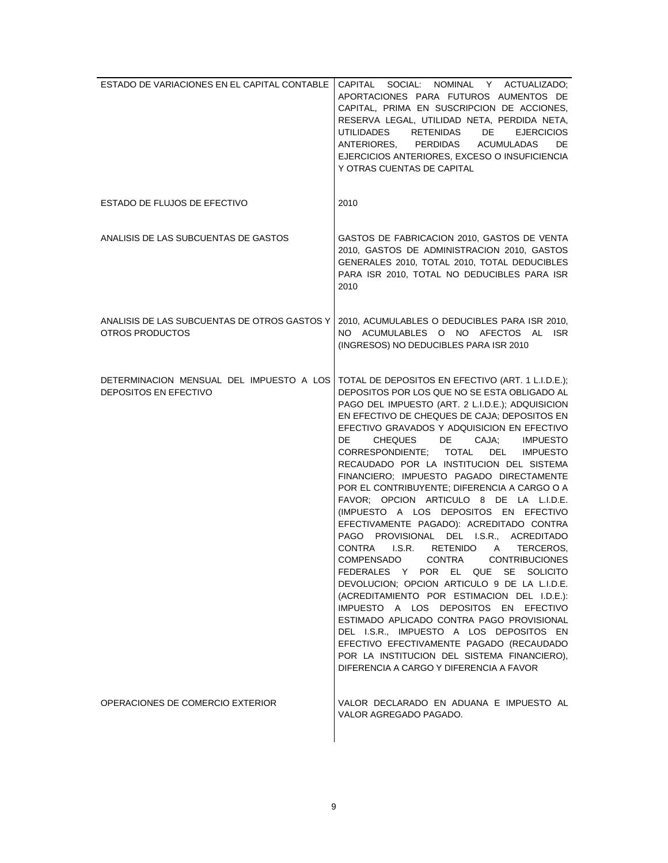| ESTADO DE VARIACIONES EN EL CAPITAL CONTABLE                      | CAPITAL SOCIAL: NOMINAL Y ACTUALIZADO;<br>APORTACIONES PARA FUTUROS AUMENTOS DE<br>CAPITAL, PRIMA EN SUSCRIPCION DE ACCIONES,<br>RESERVA LEGAL, UTILIDAD NETA, PERDIDA NETA,<br><b>UTILIDADES</b><br><b>RETENIDAS</b><br>DE<br><b>EJERCICIOS</b><br>ANTERIORES, PERDIDAS<br>ACUMULADAS<br>DE<br>EJERCICIOS ANTERIORES, EXCESO O INSUFICIENCIA<br>Y OTRAS CUENTAS DE CAPITAL                                                                                                                                                                                                                                                                                                                                                                                                                                                                                                                                                                                                                                                                                                                                                                                                                                                 |
|-------------------------------------------------------------------|-----------------------------------------------------------------------------------------------------------------------------------------------------------------------------------------------------------------------------------------------------------------------------------------------------------------------------------------------------------------------------------------------------------------------------------------------------------------------------------------------------------------------------------------------------------------------------------------------------------------------------------------------------------------------------------------------------------------------------------------------------------------------------------------------------------------------------------------------------------------------------------------------------------------------------------------------------------------------------------------------------------------------------------------------------------------------------------------------------------------------------------------------------------------------------------------------------------------------------|
| ESTADO DE FLUJOS DE EFECTIVO                                      | 2010                                                                                                                                                                                                                                                                                                                                                                                                                                                                                                                                                                                                                                                                                                                                                                                                                                                                                                                                                                                                                                                                                                                                                                                                                        |
| ANALISIS DE LAS SUBCUENTAS DE GASTOS                              | GASTOS DE FABRICACION 2010, GASTOS DE VENTA<br>2010, GASTOS DE ADMINISTRACION 2010, GASTOS<br>GENERALES 2010, TOTAL 2010, TOTAL DEDUCIBLES<br>PARA ISR 2010, TOTAL NO DEDUCIBLES PARA ISR<br>2010                                                                                                                                                                                                                                                                                                                                                                                                                                                                                                                                                                                                                                                                                                                                                                                                                                                                                                                                                                                                                           |
| ANALISIS DE LAS SUBCUENTAS DE OTROS GASTOS Y  <br>OTROS PRODUCTOS | 2010, ACUMULABLES O DEDUCIBLES PARA ISR 2010,<br>NO ACUMULABLES O NO AFECTOS AL ISR<br>(INGRESOS) NO DEDUCIBLES PARA ISR 2010                                                                                                                                                                                                                                                                                                                                                                                                                                                                                                                                                                                                                                                                                                                                                                                                                                                                                                                                                                                                                                                                                               |
| <b>DEPOSITOS EN EFECTIVO</b>                                      | DETERMINACION MENSUAL DEL IMPUESTO A LOS TOTAL DE DEPOSITOS EN EFECTIVO (ART. 1 L.I.D.E.);<br>DEPOSITOS POR LOS QUE NO SE ESTA OBLIGADO AL<br>PAGO DEL IMPUESTO (ART. 2 L.I.D.E.); ADQUISICION<br>EN EFECTIVO DE CHEQUES DE CAJA; DEPOSITOS EN<br>EFECTIVO GRAVADOS Y ADQUISICION EN EFECTIVO<br>DE<br>CHEQUES DE CAJA;<br><b>IMPUESTO</b><br>CORRESPONDIENTE; TOTAL<br>DEL<br><b>IMPUESTO</b><br>RECAUDADO POR LA INSTITUCION DEL SISTEMA<br>FINANCIERO; IMPUESTO PAGADO DIRECTAMENTE<br>POR EL CONTRIBUYENTE; DIFERENCIA A CARGO O A<br>FAVOR; OPCION ARTICULO 8 DE LA L.I.D.E.<br>(IMPUESTO A LOS DEPOSITOS EN EFECTIVO<br>EFECTIVAMENTE PAGADO): ACREDITADO CONTRA<br>PAGO PROVISIONAL DEL I.S.R., ACREDITADO<br>CONTRA<br>LS.R.<br>RETENIDO A<br>TERCEROS.<br><b>CONTRIBUCIONES</b><br>COMPENSADO<br>CONTRA<br>FEDERALES Y POR EL QUE SE SOLICITO<br>DEVOLUCION; OPCION ARTICULO 9 DE LA L.I.D.E.<br>(ACREDITAMIENTO POR ESTIMACION DEL I.D.E.):<br>IMPUESTO A LOS DEPOSITOS EN EFECTIVO<br>ESTIMADO APLICADO CONTRA PAGO PROVISIONAL<br>DEL I.S.R., IMPUESTO A LOS DEPOSITOS EN<br>EFECTIVO EFECTIVAMENTE PAGADO (RECAUDADO<br>POR LA INSTITUCION DEL SISTEMA FINANCIERO),<br>DIFERENCIA A CARGO Y DIFERENCIA A FAVOR |
| OPERACIONES DE COMERCIO EXTERIOR                                  | VALOR DECLARADO EN ADUANA E IMPUESTO AL<br>VALOR AGREGADO PAGADO.                                                                                                                                                                                                                                                                                                                                                                                                                                                                                                                                                                                                                                                                                                                                                                                                                                                                                                                                                                                                                                                                                                                                                           |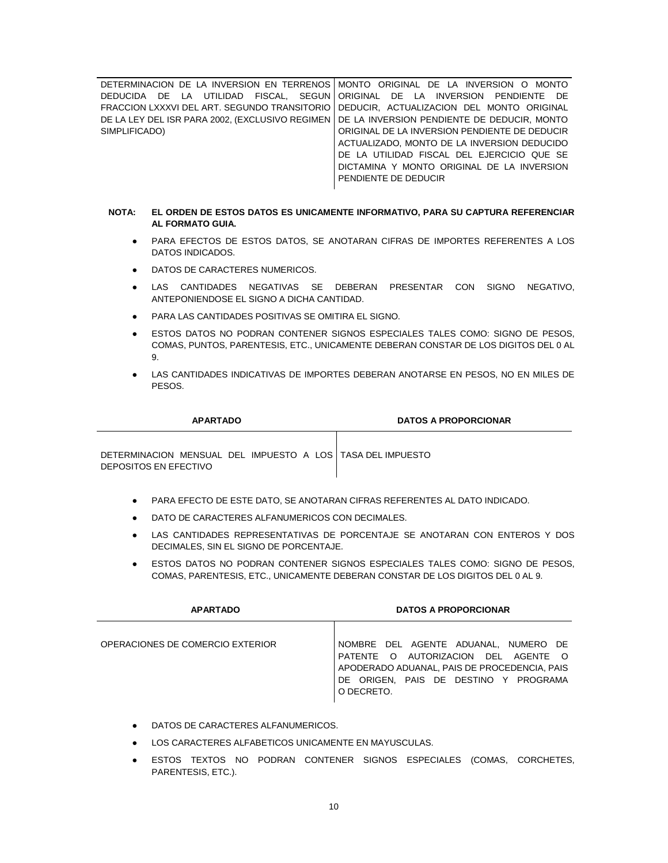DETERMINACION DE LA INVERSION EN TERRENOS MONTO ORIGINAL DE LA INVERSION O MONTO DEDUCIDA DE LA UTILIDAD FISCAL, SEGUN FRACCION LXXXVI DEL ART. SEGUNDO TRANSITORIO DEDUCIR, ACTUALIZACION DEL MONTO ORIGINAL DE LA LEY DEL ISR PARA 2002, (EXCLUSIVO REGIMEN DE LA INVERSION PENDIENTE DE DEDUCIR, MONTO SIMPLIFICADO) ORIGINAL DE LA INVERSION PENDIENTE DE ORIGINAL DE LA INVERSION PENDIENTE DE DEDUCIR ACTUALIZADO, MONTO DE LA INVERSION DEDUCIDO DE LA UTILIDAD FISCAL DEL EJERCICIO QUE SE DICTAMINA Y MONTO ORIGINAL DE LA INVERSION PENDIENTE DE DEDUCIR

## **NOTA: EL ORDEN DE ESTOS DATOS ES UNICAMENTE INFORMATIVO, PARA SU CAPTURA REFERENCIAR AL FORMATO GUIA.**

- PARA EFECTOS DE ESTOS DATOS, SE ANOTARAN CIFRAS DE IMPORTES REFERENTES A LOS DATOS INDICADOS.
- DATOS DE CARACTERES NUMERICOS.
- LAS CANTIDADES NEGATIVAS SE DEBERAN PRESENTAR CON SIGNO NEGATIVO, ANTEPONIENDOSE EL SIGNO A DICHA CANTIDAD.
- PARA LAS CANTIDADES POSITIVAS SE OMITIRA EL SIGNO.
- ESTOS DATOS NO PODRAN CONTENER SIGNOS ESPECIALES TALES COMO: SIGNO DE PESOS, COMAS, PUNTOS, PARENTESIS, ETC., UNICAMENTE DEBERAN CONSTAR DE LOS DIGITOS DEL 0 AL 9.
- LAS CANTIDADES INDICATIVAS DE IMPORTES DEBERAN ANOTARSE EN PESOS, NO EN MILES DE PESOS.

| <b>APARTADO</b>                                                                       | <b>DATOS A PROPORCIONAR</b> |
|---------------------------------------------------------------------------------------|-----------------------------|
| DETERMINACION MENSUAL DEL IMPUESTO A LOS I TASA DEL IMPUESTO<br>DEPOSITOS EN EFECTIVO |                             |

- PARA EFECTO DE ESTE DATO, SE ANOTARAN CIFRAS REFERENTES AL DATO INDICADO.
- DATO DE CARACTERES ALFANUMERICOS CON DECIMALES.
- LAS CANTIDADES REPRESENTATIVAS DE PORCENTAJE SE ANOTARAN CON ENTEROS Y DOS DECIMALES, SIN EL SIGNO DE PORCENTAJE.
- ESTOS DATOS NO PODRAN CONTENER SIGNOS ESPECIALES TALES COMO: SIGNO DE PESOS, COMAS, PARENTESIS, ETC., UNICAMENTE DEBERAN CONSTAR DE LOS DIGITOS DEL 0 AL 9.

| <b>APARTADO</b>                  | <b>DATOS A PROPORCIONAR</b>                                                                                                                                                        |
|----------------------------------|------------------------------------------------------------------------------------------------------------------------------------------------------------------------------------|
| OPERACIONES DE COMERCIO EXTERIOR | NOMBRE DEL AGENTE ADUANAL, NUMERO DE<br>PATENTE O AUTORIZACION DEL AGENTE O<br>APODERADO ADUANAL. PAIS DE PROCEDENCIA. PAIS<br>DE ORIGEN. PAIS DE DESTINO Y PROGRAMA<br>O DECRETO. |

- DATOS DE CARACTERES ALFANUMERICOS.
- LOS CARACTERES ALFABETICOS UNICAMENTE EN MAYUSCULAS.
- ESTOS TEXTOS NO PODRAN CONTENER SIGNOS ESPECIALES (COMAS, CORCHETES, PARENTESIS, ETC.).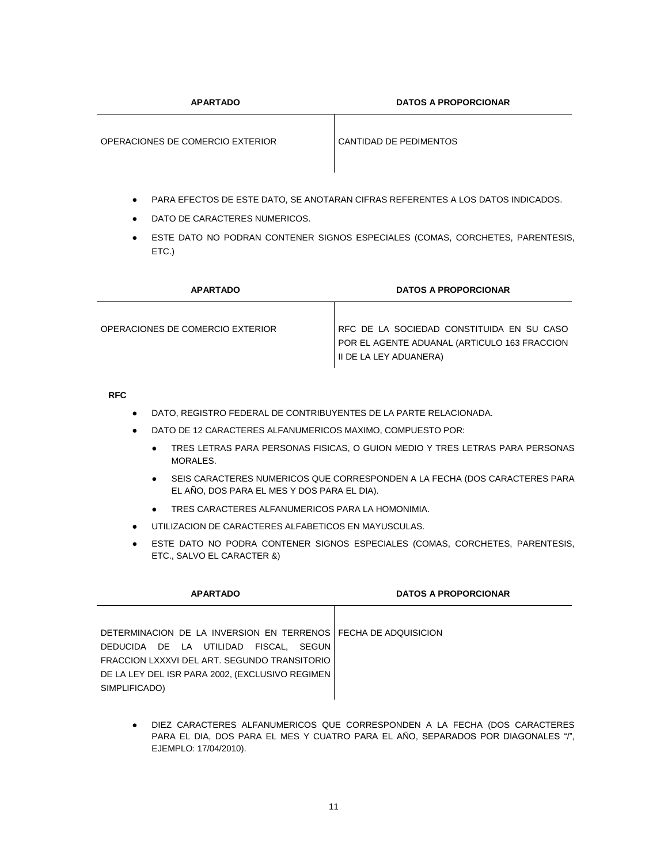**APARTADO DATOS A PROPORCIONAR**

OPERACIONES DE COMERCIO EXTERIOR CANTIDAD DE PEDIMENTOS

- PARA EFECTOS DE ESTE DATO, SE ANOTARAN CIFRAS REFERENTES A LOS DATOS INDICADOS.
- DATO DE CARACTERES NUMERICOS.
- **ESTE DATO NO PODRAN CONTENER SIGNOS ESPECIALES (COMAS, CORCHETES, PARENTESIS,** ETC.)

| <b>APARTADO</b>                  | <b>DATOS A PROPORCIONAR</b>                                                                                         |
|----------------------------------|---------------------------------------------------------------------------------------------------------------------|
| OPERACIONES DE COMERCIO EXTERIOR | RFC DE LA SOCIEDAD CONSTITUIDA EN SU CASO<br>POR EL AGENTE ADUANAL (ARTICULO 163 FRACCION<br>II DE LA LEY ADUANERA) |

## **RFC**

- DATO, REGISTRO FEDERAL DE CONTRIBUYENTES DE LA PARTE RELACIONADA.
- DATO DE 12 CARACTERES ALFANUMERICOS MAXIMO, COMPUESTO POR:
	- TRES LETRAS PARA PERSONAS FISICAS, O GUION MEDIO Y TRES LETRAS PARA PERSONAS MORALES.
	- SEIS CARACTERES NUMERICOS QUE CORRESPONDEN A LA FECHA (DOS CARACTERES PARA EL AÑO, DOS PARA EL MES Y DOS PARA EL DIA).
	- TRES CARACTERES ALFANUMERICOS PARA LA HOMONIMIA.
- UTILIZACION DE CARACTERES ALFABETICOS EN MAYUSCULAS.
- ESTE DATO NO PODRA CONTENER SIGNOS ESPECIALES (COMAS, CORCHETES, PARENTESIS, ETC., SALVO EL CARACTER &)

| <b>APARTADO</b>                                                                                                                                                                                                             | <b>DATOS A PROPORCIONAR</b> |
|-----------------------------------------------------------------------------------------------------------------------------------------------------------------------------------------------------------------------------|-----------------------------|
| DETERMINACION DE LA INVERSION EN TERRENOS FECHA DE ADQUISICION<br>DEDUCIDA DE LA UTILIDAD FISCAL. SEGUN<br>FRACCION LXXXVI DEL ART. SEGUNDO TRANSITORIO<br>DE LA LEY DEL ISR PARA 2002, (EXCLUSIVO REGIMEN<br>SIMPLIFICADO) |                             |
|                                                                                                                                                                                                                             |                             |

DIEZ CARACTERES ALFANUMERICOS QUE CORRESPONDEN A LA FECHA (DOS CARACTERES PARA EL DIA, DOS PARA EL MES Y CUATRO PARA EL AÑO, SEPARADOS POR DIAGONALES "/", EJEMPLO: 17/04/2010).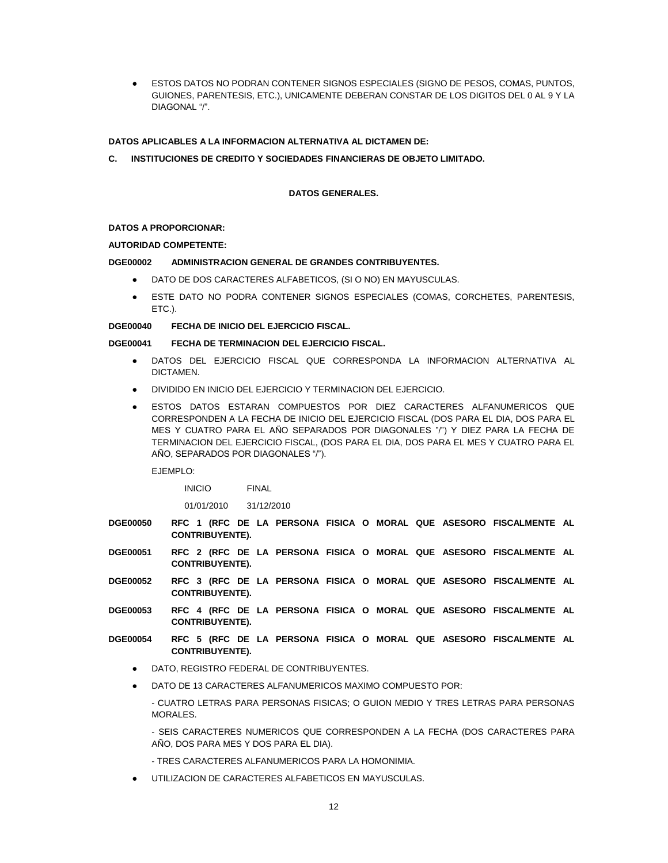ESTOS DATOS NO PODRAN CONTENER SIGNOS ESPECIALES (SIGNO DE PESOS, COMAS, PUNTOS, GUIONES, PARENTESIS, ETC.), UNICAMENTE DEBERAN CONSTAR DE LOS DIGITOS DEL 0 AL 9 Y LA DIAGONAL "/".

# **DATOS APLICABLES A LA INFORMACION ALTERNATIVA AL DICTAMEN DE:**

**C. INSTITUCIONES DE CREDITO Y SOCIEDADES FINANCIERAS DE OBJETO LIMITADO.**

## **DATOS GENERALES.**

#### **DATOS A PROPORCIONAR:**

## **AUTORIDAD COMPETENTE:**

## **DGE00002 ADMINISTRACION GENERAL DE GRANDES CONTRIBUYENTES.**

- DATO DE DOS CARACTERES ALFABETICOS, (SI O NO) EN MAYUSCULAS.
- ESTE DATO NO PODRA CONTENER SIGNOS ESPECIALES (COMAS, CORCHETES, PARENTESIS, ETC.).

**DGE00040 FECHA DE INICIO DEL EJERCICIO FISCAL.**

## **DGE00041 FECHA DE TERMINACION DEL EJERCICIO FISCAL.**

- DATOS DEL EJERCICIO FISCAL QUE CORRESPONDA LA INFORMACION ALTERNATIVA AL DICTAMEN.
- DIVIDIDO EN INICIO DEL EJERCICIO Y TERMINACION DEL EJERCICIO.
- ESTOS DATOS ESTARAN COMPUESTOS POR DIEZ CARACTERES ALFANUMERICOS QUE CORRESPONDEN A LA FECHA DE INICIO DEL EJERCICIO FISCAL (DOS PARA EL DIA, DOS PARA EL MES Y CUATRO PARA EL AÑO SEPARADOS POR DIAGONALES "/") Y DIEZ PARA LA FECHA DE TERMINACION DEL EJERCICIO FISCAL, (DOS PARA EL DIA, DOS PARA EL MES Y CUATRO PARA EL AÑO, SEPARADOS POR DIAGONALES "/").

EJEMPLO:

INICIO FINAL

01/01/2010 31/12/2010

- **DGE00050 RFC 1 (RFC DE LA PERSONA FISICA O MORAL QUE ASESORO FISCALMENTE AL CONTRIBUYENTE).**
- **DGE00051 RFC 2 (RFC DE LA PERSONA FISICA O MORAL QUE ASESORO FISCALMENTE AL CONTRIBUYENTE).**
- **DGE00052 RFC 3 (RFC DE LA PERSONA FISICA O MORAL QUE ASESORO FISCALMENTE AL CONTRIBUYENTE).**
- **DGE00053 RFC 4 (RFC DE LA PERSONA FISICA O MORAL QUE ASESORO FISCALMENTE AL CONTRIBUYENTE).**
- **DGE00054 RFC 5 (RFC DE LA PERSONA FISICA O MORAL QUE ASESORO FISCALMENTE AL CONTRIBUYENTE).**
	- DATO, REGISTRO FEDERAL DE CONTRIBUYENTES.
	- DATO DE 13 CARACTERES ALFANUMERICOS MAXIMO COMPUESTO POR:

- CUATRO LETRAS PARA PERSONAS FISICAS; O GUION MEDIO Y TRES LETRAS PARA PERSONAS MORALES.

- SEIS CARACTERES NUMERICOS QUE CORRESPONDEN A LA FECHA (DOS CARACTERES PARA AÑO, DOS PARA MES Y DOS PARA EL DIA).

- TRES CARACTERES ALFANUMERICOS PARA LA HOMONIMIA.
- UTILIZACION DE CARACTERES ALFABETICOS EN MAYUSCULAS.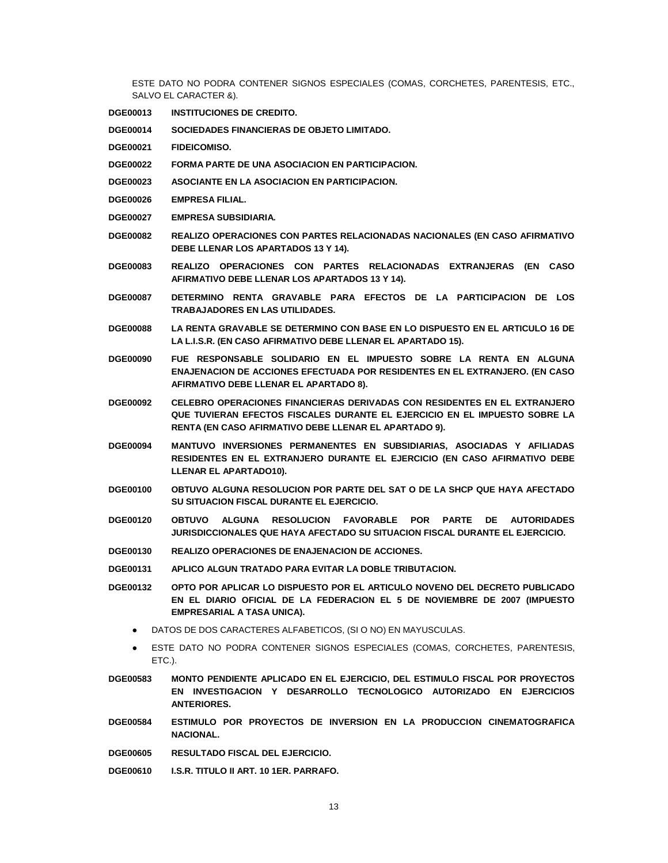ESTE DATO NO PODRA CONTENER SIGNOS ESPECIALES (COMAS, CORCHETES, PARENTESIS, ETC., SALVO EL CARACTER &).

- **DGE00013 INSTITUCIONES DE CREDITO.**
- **DGE00014 SOCIEDADES FINANCIERAS DE OBJETO LIMITADO.**
- **DGE00021 FIDEICOMISO.**
- **DGE00022 FORMA PARTE DE UNA ASOCIACION EN PARTICIPACION.**
- **DGE00023 ASOCIANTE EN LA ASOCIACION EN PARTICIPACION.**
- **DGE00026 EMPRESA FILIAL.**
- **DGE00027 EMPRESA SUBSIDIARIA.**
- **DGE00082 REALIZO OPERACIONES CON PARTES RELACIONADAS NACIONALES (EN CASO AFIRMATIVO DEBE LLENAR LOS APARTADOS 13 Y 14).**
- **DGE00083 REALIZO OPERACIONES CON PARTES RELACIONADAS EXTRANJERAS (EN CASO AFIRMATIVO DEBE LLENAR LOS APARTADOS 13 Y 14).**
- **DGE00087 DETERMINO RENTA GRAVABLE PARA EFECTOS DE LA PARTICIPACION DE LOS TRABAJADORES EN LAS UTILIDADES.**
- **DGE00088 LA RENTA GRAVABLE SE DETERMINO CON BASE EN LO DISPUESTO EN EL ARTICULO 16 DE LA L.I.S.R. (EN CASO AFIRMATIVO DEBE LLENAR EL APARTADO 15).**
- **DGE00090 FUE RESPONSABLE SOLIDARIO EN EL IMPUESTO SOBRE LA RENTA EN ALGUNA ENAJENACION DE ACCIONES EFECTUADA POR RESIDENTES EN EL EXTRANJERO. (EN CASO AFIRMATIVO DEBE LLENAR EL APARTADO 8).**
- **DGE00092 CELEBRO OPERACIONES FINANCIERAS DERIVADAS CON RESIDENTES EN EL EXTRANJERO QUE TUVIERAN EFECTOS FISCALES DURANTE EL EJERCICIO EN EL IMPUESTO SOBRE LA RENTA (EN CASO AFIRMATIVO DEBE LLENAR EL APARTADO 9).**
- **DGE00094 MANTUVO INVERSIONES PERMANENTES EN SUBSIDIARIAS, ASOCIADAS Y AFILIADAS RESIDENTES EN EL EXTRANJERO DURANTE EL EJERCICIO (EN CASO AFIRMATIVO DEBE LLENAR EL APARTADO10).**
- **DGE00100 OBTUVO ALGUNA RESOLUCION POR PARTE DEL SAT O DE LA SHCP QUE HAYA AFECTADO SU SITUACION FISCAL DURANTE EL EJERCICIO.**
- **DGE00120 OBTUVO ALGUNA RESOLUCION FAVORABLE POR PARTE DE AUTORIDADES JURISDICCIONALES QUE HAYA AFECTADO SU SITUACION FISCAL DURANTE EL EJERCICIO.**
- **DGE00130 REALIZO OPERACIONES DE ENAJENACION DE ACCIONES.**
- **DGE00131 APLICO ALGUN TRATADO PARA EVITAR LA DOBLE TRIBUTACION.**
- **DGE00132 OPTO POR APLICAR LO DISPUESTO POR EL ARTICULO NOVENO DEL DECRETO PUBLICADO EN EL DIARIO OFICIAL DE LA FEDERACION EL 5 DE NOVIEMBRE DE 2007 (IMPUESTO EMPRESARIAL A TASA UNICA).**
	- DATOS DE DOS CARACTERES ALFABETICOS, (SI O NO) EN MAYUSCULAS.
	- ESTE DATO NO PODRA CONTENER SIGNOS ESPECIALES (COMAS, CORCHETES, PARENTESIS, ETC.).
- **DGE00583 MONTO PENDIENTE APLICADO EN EL EJERCICIO, DEL ESTIMULO FISCAL POR PROYECTOS EN INVESTIGACION Y DESARROLLO TECNOLOGICO AUTORIZADO EN EJERCICIOS ANTERIORES.**
- **DGE00584 ESTIMULO POR PROYECTOS DE INVERSION EN LA PRODUCCION CINEMATOGRAFICA NACIONAL.**
- **DGE00605 RESULTADO FISCAL DEL EJERCICIO.**
- **DGE00610 I.S.R. TITULO II ART. 10 1ER. PARRAFO.**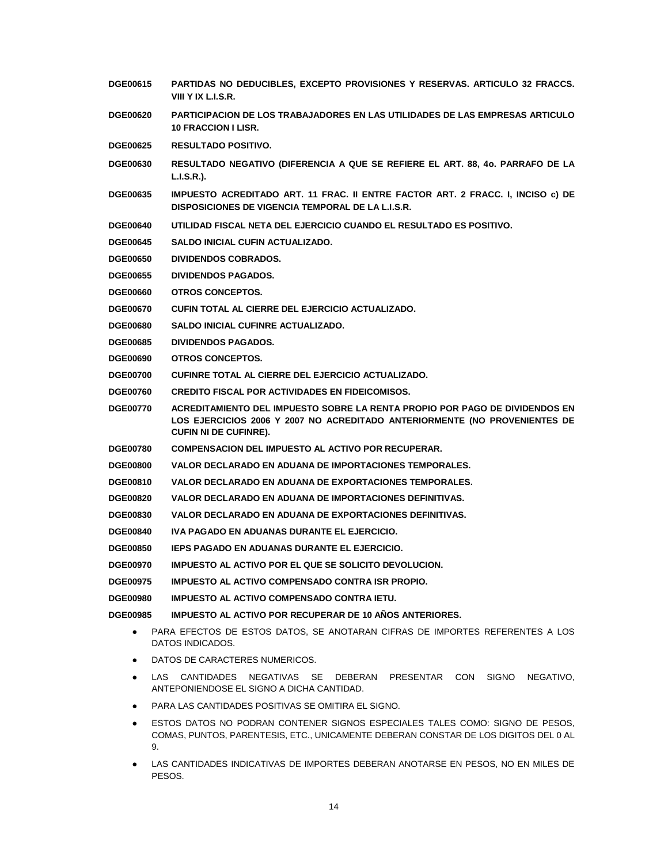- **DGE00615 PARTIDAS NO DEDUCIBLES, EXCEPTO PROVISIONES Y RESERVAS. ARTICULO 32 FRACCS. VIII Y IX L.I.S.R. DGE00620 PARTICIPACION DE LOS TRABAJADORES EN LAS UTILIDADES DE LAS EMPRESAS ARTICULO 10 FRACCION I LISR. DGE00625 RESULTADO POSITIVO. DGE00630 RESULTADO NEGATIVO (DIFERENCIA A QUE SE REFIERE EL ART. 88, 4o. PARRAFO DE LA L.I.S.R.). DGE00635 IMPUESTO ACREDITADO ART. 11 FRAC. II ENTRE FACTOR ART. 2 FRACC. I, INCISO c) DE DISPOSICIONES DE VIGENCIA TEMPORAL DE LA L.I.S.R. DGE00640 UTILIDAD FISCAL NETA DEL EJERCICIO CUANDO EL RESULTADO ES POSITIVO. DGE00645 SALDO INICIAL CUFIN ACTUALIZADO. DGE00650 DIVIDENDOS COBRADOS. DGE00655 DIVIDENDOS PAGADOS. DGE00660 OTROS CONCEPTOS. DGE00670 CUFIN TOTAL AL CIERRE DEL EJERCICIO ACTUALIZADO. DGE00680 SALDO INICIAL CUFINRE ACTUALIZADO. DGE00685 DIVIDENDOS PAGADOS. DGE00690 OTROS CONCEPTOS. DGE00700 CUFINRE TOTAL AL CIERRE DEL EJERCICIO ACTUALIZADO. DGE00760 CREDITO FISCAL POR ACTIVIDADES EN FIDEICOMISOS. DGE00770 ACREDITAMIENTO DEL IMPUESTO SOBRE LA RENTA PROPIO POR PAGO DE DIVIDENDOS EN LOS EJERCICIOS 2006 Y 2007 NO ACREDITADO ANTERIORMENTE (NO PROVENIENTES DE CUFIN NI DE CUFINRE). DGE00780 COMPENSACION DEL IMPUESTO AL ACTIVO POR RECUPERAR. DGE00800 VALOR DECLARADO EN ADUANA DE IMPORTACIONES TEMPORALES. DGE00810 VALOR DECLARADO EN ADUANA DE EXPORTACIONES TEMPORALES. DGE00820 VALOR DECLARADO EN ADUANA DE IMPORTACIONES DEFINITIVAS. DGE00830 VALOR DECLARADO EN ADUANA DE EXPORTACIONES DEFINITIVAS. DGE00840 IVA PAGADO EN ADUANAS DURANTE EL EJERCICIO. DGE00850 IEPS PAGADO EN ADUANAS DURANTE EL EJERCICIO. DGE00970 IMPUESTO AL ACTIVO POR EL QUE SE SOLICITO DEVOLUCION. DGE00975 IMPUESTO AL ACTIVO COMPENSADO CONTRA ISR PROPIO. DGE00980 IMPUESTO AL ACTIVO COMPENSADO CONTRA IETU. DGE00985 IMPUESTO AL ACTIVO POR RECUPERAR DE 10 AÑOS ANTERIORES.** PARA EFECTOS DE ESTOS DATOS, SE ANOTARAN CIFRAS DE IMPORTES REFERENTES A LOS DATOS INDICADOS. DATOS DE CARACTERES NUMERICOS. LAS CANTIDADES NEGATIVAS SE DEBERAN PRESENTAR CON SIGNO NEGATIVO. ANTEPONIENDOSE EL SIGNO A DICHA CANTIDAD. PARA LAS CANTIDADES POSITIVAS SE OMITIRA EL SIGNO. ESTOS DATOS NO PODRAN CONTENER SIGNOS ESPECIALES TALES COMO: SIGNO DE PESOS,
	- COMAS, PUNTOS, PARENTESIS, ETC., UNICAMENTE DEBERAN CONSTAR DE LOS DIGITOS DEL 0 AL 9.
	- LAS CANTIDADES INDICATIVAS DE IMPORTES DEBERAN ANOTARSE EN PESOS, NO EN MILES DE **PESOS**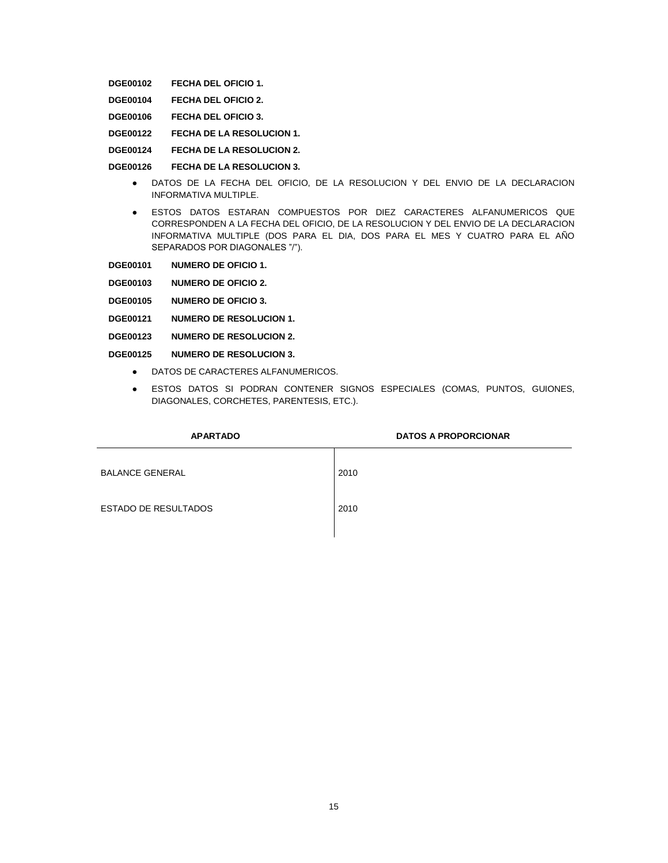**DGE00102 FECHA DEL OFICIO 1.**

- **DGE00104 FECHA DEL OFICIO 2.**
- **DGE00106 FECHA DEL OFICIO 3.**
- **DGE00122 FECHA DE LA RESOLUCION 1.**
- **DGE00124 FECHA DE LA RESOLUCION 2.**
- **DGE00126 FECHA DE LA RESOLUCION 3.**
	- DATOS DE LA FECHA DEL OFICIO, DE LA RESOLUCION Y DEL ENVIO DE LA DECLARACION INFORMATIVA MULTIPLE.
	- ESTOS DATOS ESTARAN COMPUESTOS POR DIEZ CARACTERES ALFANUMERICOS QUE CORRESPONDEN A LA FECHA DEL OFICIO, DE LA RESOLUCION Y DEL ENVIO DE LA DECLARACION INFORMATIVA MULTIPLE (DOS PARA EL DIA, DOS PARA EL MES Y CUATRO PARA EL AÑO SEPARADOS POR DIAGONALES "/").
- **DGE00101 NUMERO DE OFICIO 1.**
- **DGE00103 NUMERO DE OFICIO 2.**
- **DGE00105 NUMERO DE OFICIO 3.**
- **DGE00121 NUMERO DE RESOLUCION 1.**
- **DGE00123 NUMERO DE RESOLUCION 2.**
- **DGE00125 NUMERO DE RESOLUCION 3.**
	- DATOS DE CARACTERES ALFANUMERICOS.
	- ESTOS DATOS SI PODRAN CONTENER SIGNOS ESPECIALES (COMAS, PUNTOS, GUIONES, DIAGONALES, CORCHETES, PARENTESIS, ETC.).

| <b>APARTADO</b>             | <b>DATOS A PROPORCIONAR</b> |
|-----------------------------|-----------------------------|
| <b>BALANCE GENERAL</b>      | 2010                        |
| <b>ESTADO DE RESULTADOS</b> | 2010                        |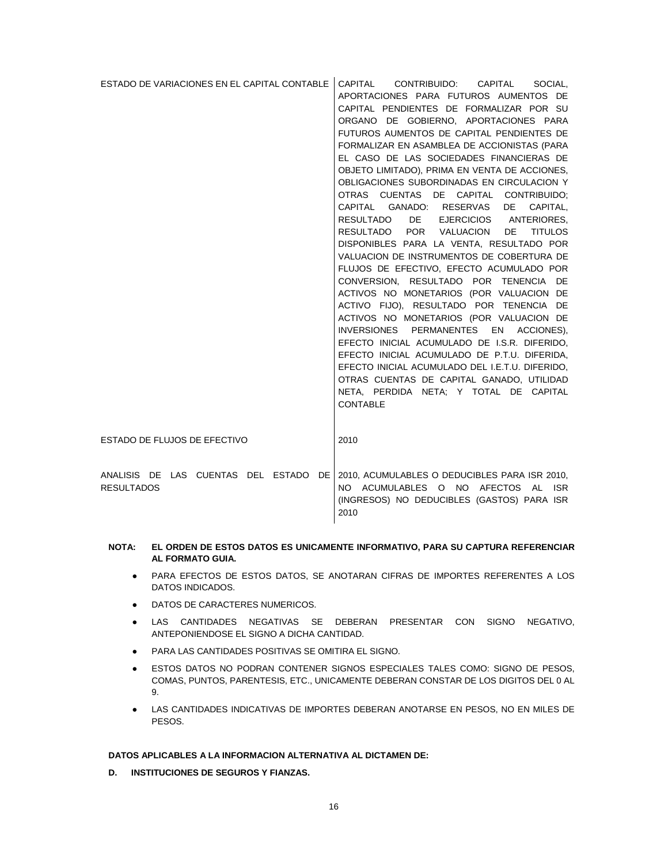| ESTADO DE VARIACIONES EN EL CAPITAL CONTABLE                 | CAPITAL CONTRIBUIDO: CAPITAL<br>SOCIAL.<br>APORTACIONES PARA FUTUROS AUMENTOS DE<br>CAPITAL PENDIENTES DE FORMALIZAR POR SU<br>ORGANO DE GOBIERNO. APORTACIONES PARA<br>FUTUROS AUMENTOS DE CAPITAL PENDIENTES DE<br>FORMALIZAR EN ASAMBLEA DE ACCIONISTAS (PARA<br>EL CASO DE LAS SOCIEDADES FINANCIERAS DE<br>OBJETO LIMITADO), PRIMA EN VENTA DE ACCIONES,<br>OBLIGACIONES SUBORDINADAS EN CIRCULACION Y                                                                                                                                                           |
|--------------------------------------------------------------|-----------------------------------------------------------------------------------------------------------------------------------------------------------------------------------------------------------------------------------------------------------------------------------------------------------------------------------------------------------------------------------------------------------------------------------------------------------------------------------------------------------------------------------------------------------------------|
|                                                              | OTRAS CUENTAS DE CAPITAL CONTRIBUIDO;<br>CAPITAL GANADO: RESERVAS DE CAPITAL.<br>RESULTADO DE EJERCICIOS ANTERIORES,<br>RESULTADO POR VALUACION DE TITULOS<br>DISPONIBLES PARA LA VENTA, RESULTADO POR                                                                                                                                                                                                                                                                                                                                                                |
|                                                              | VALUACION DE INSTRUMENTOS DE COBERTURA DE<br>FLUJOS DE EFECTIVO, EFECTO ACUMULADO POR<br>CONVERSION, RESULTADO POR TENENCIA DE<br>ACTIVOS NO MONETARIOS (POR VALUACION DE<br>ACTIVO FIJO), RESULTADO POR TENENCIA DE<br>ACTIVOS NO MONETARIOS (POR VALUACION DE<br>INVERSIONES PERMANENTES EN ACCIONES),<br>EFECTO INICIAL ACUMULADO DE I.S.R. DIFERIDO,<br>EFECTO INICIAL ACUMULADO DE P.T.U. DIFERIDA,<br>EFECTO INICIAL ACUMULADO DEL I.E.T.U. DIFERIDO,<br>OTRAS CUENTAS DE CAPITAL GANADO, UTILIDAD<br>NETA, PERDIDA NETA; Y TOTAL DE CAPITAL<br><b>CONTABLE</b> |
| ESTADO DE FLUJOS DE EFECTIVO                                 | 2010                                                                                                                                                                                                                                                                                                                                                                                                                                                                                                                                                                  |
| ANALISIS DE LAS CUENTAS DEL ESTADO DE I<br><b>RESULTADOS</b> | 2010, ACUMULABLES O DEDUCIBLES PARA ISR 2010,<br>NO ACUMULABLES O NO AFECTOS AL<br><b>ISR</b><br>(INGRESOS) NO DEDUCIBLES (GASTOS) PARA ISR<br>2010                                                                                                                                                                                                                                                                                                                                                                                                                   |

## **NOTA: EL ORDEN DE ESTOS DATOS ES UNICAMENTE INFORMATIVO, PARA SU CAPTURA REFERENCIAR AL FORMATO GUIA.**

- PARA EFECTOS DE ESTOS DATOS, SE ANOTARAN CIFRAS DE IMPORTES REFERENTES A LOS DATOS INDICADOS.
- DATOS DE CARACTERES NUMERICOS.
- LAS CANTIDADES NEGATIVAS SE DEBERAN PRESENTAR CON SIGNO NEGATIVO, ANTEPONIENDOSE EL SIGNO A DICHA CANTIDAD.
- PARA LAS CANTIDADES POSITIVAS SE OMITIRA EL SIGNO.
- **ESTOS DATOS NO PODRAN CONTENER SIGNOS ESPECIALES TALES COMO: SIGNO DE PESOS,** COMAS, PUNTOS, PARENTESIS, ETC., UNICAMENTE DEBERAN CONSTAR DE LOS DIGITOS DEL 0 AL 9.
- LAS CANTIDADES INDICATIVAS DE IMPORTES DEBERAN ANOTARSE EN PESOS, NO EN MILES DE PESOS.

# **DATOS APLICABLES A LA INFORMACION ALTERNATIVA AL DICTAMEN DE:**

**D. INSTITUCIONES DE SEGUROS Y FIANZAS.**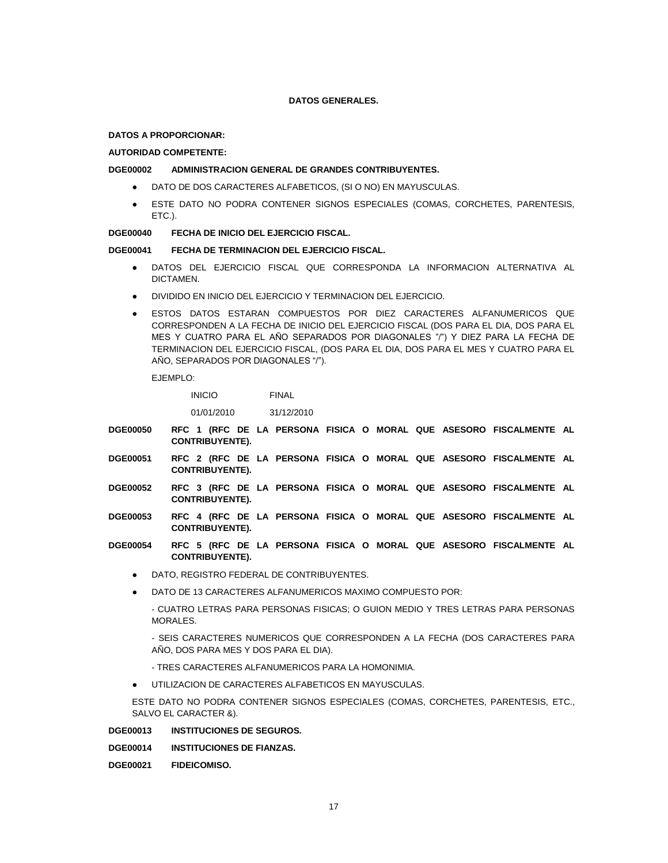### **DATOS GENERALES.**

#### **DATOS A PROPORCIONAR:**

#### **AUTORIDAD COMPETENTE:**

#### **DGE00002 ADMINISTRACION GENERAL DE GRANDES CONTRIBUYENTES.**

- DATO DE DOS CARACTERES ALFABETICOS, (SI O NO) EN MAYUSCULAS.
- ESTE DATO NO PODRA CONTENER SIGNOS ESPECIALES (COMAS, CORCHETES, PARENTESIS, ETC.).

## **DGE00040 FECHA DE INICIO DEL EJERCICIO FISCAL.**

### **DGE00041 FECHA DE TERMINACION DEL EJERCICIO FISCAL.**

- DATOS DEL EJERCICIO FISCAL QUE CORRESPONDA LA INFORMACION ALTERNATIVA AL DICTAMEN.
- DIVIDIDO EN INICIO DEL EJERCICIO Y TERMINACION DEL EJERCICIO.
- ESTOS DATOS ESTARAN COMPUESTOS POR DIEZ CARACTERES ALFANUMERICOS QUE CORRESPONDEN A LA FECHA DE INICIO DEL EJERCICIO FISCAL (DOS PARA EL DIA, DOS PARA EL MES Y CUATRO PARA EL AÑO SEPARADOS POR DIAGONALES "/") Y DIEZ PARA LA FECHA DE TERMINACION DEL EJERCICIO FISCAL, (DOS PARA EL DIA, DOS PARA EL MES Y CUATRO PARA EL AÑO, SEPARADOS POR DIAGONALES "/").

EJEMPLO:

INICIO FINAL

01/01/2010 31/12/2010

- **DGE00050 RFC 1 (RFC DE LA PERSONA FISICA O MORAL QUE ASESORO FISCALMENTE AL CONTRIBUYENTE).**
- **DGE00051 RFC 2 (RFC DE LA PERSONA FISICA O MORAL QUE ASESORO FISCALMENTE AL CONTRIBUYENTE).**
- **DGE00052 RFC 3 (RFC DE LA PERSONA FISICA O MORAL QUE ASESORO FISCALMENTE AL CONTRIBUYENTE).**
- **DGE00053 RFC 4 (RFC DE LA PERSONA FISICA O MORAL QUE ASESORO FISCALMENTE AL CONTRIBUYENTE).**
- **DGE00054 RFC 5 (RFC DE LA PERSONA FISICA O MORAL QUE ASESORO FISCALMENTE AL CONTRIBUYENTE).**
	- DATO, REGISTRO FEDERAL DE CONTRIBUYENTES.
	- DATO DE 13 CARACTERES ALFANUMERICOS MAXIMO COMPUESTO POR:

- CUATRO LETRAS PARA PERSONAS FISICAS; O GUION MEDIO Y TRES LETRAS PARA PERSONAS MORALES.

- SEIS CARACTERES NUMERICOS QUE CORRESPONDEN A LA FECHA (DOS CARACTERES PARA AÑO, DOS PARA MES Y DOS PARA EL DIA).

- TRES CARACTERES ALFANUMERICOS PARA LA HOMONIMIA.
- UTILIZACION DE CARACTERES ALFABETICOS EN MAYUSCULAS.

ESTE DATO NO PODRA CONTENER SIGNOS ESPECIALES (COMAS, CORCHETES, PARENTESIS, ETC., SALVO EL CARACTER &).

**DGE00013 INSTITUCIONES DE SEGUROS.**

**DGE00014 INSTITUCIONES DE FIANZAS.**

**DGE00021 FIDEICOMISO.**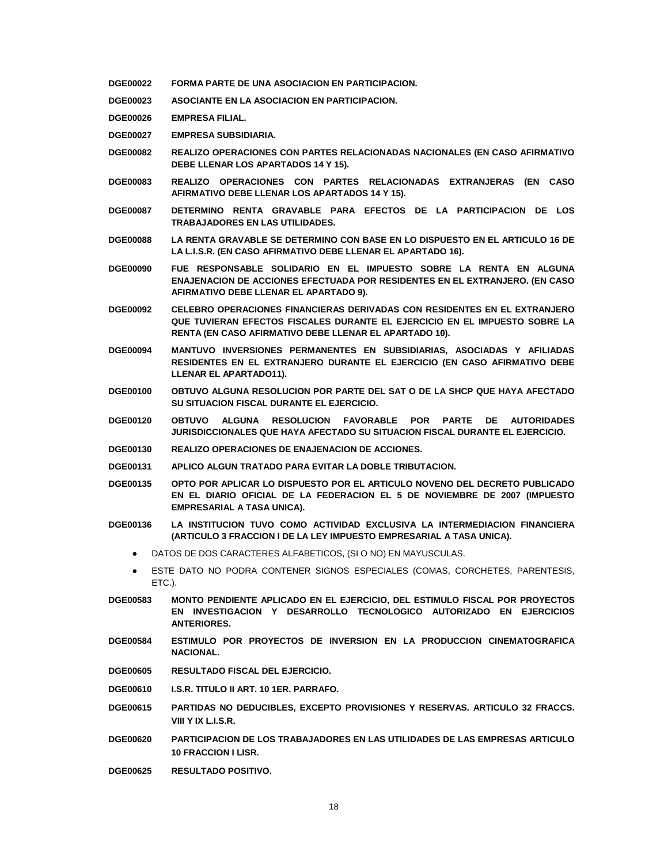- **DGE00022 FORMA PARTE DE UNA ASOCIACION EN PARTICIPACION.**
- **DGE00023 ASOCIANTE EN LA ASOCIACION EN PARTICIPACION.**
- **DGE00026 EMPRESA FILIAL.**
- **DGE00027 EMPRESA SUBSIDIARIA.**
- **DGE00082 REALIZO OPERACIONES CON PARTES RELACIONADAS NACIONALES (EN CASO AFIRMATIVO DEBE LLENAR LOS APARTADOS 14 Y 15).**
- **DGE00083 REALIZO OPERACIONES CON PARTES RELACIONADAS EXTRANJERAS (EN CASO AFIRMATIVO DEBE LLENAR LOS APARTADOS 14 Y 15).**
- **DGE00087 DETERMINO RENTA GRAVABLE PARA EFECTOS DE LA PARTICIPACION DE LOS TRABAJADORES EN LAS UTILIDADES.**
- **DGE00088 LA RENTA GRAVABLE SE DETERMINO CON BASE EN LO DISPUESTO EN EL ARTICULO 16 DE LA L.I.S.R. (EN CASO AFIRMATIVO DEBE LLENAR EL APARTADO 16).**
- **DGE00090 FUE RESPONSABLE SOLIDARIO EN EL IMPUESTO SOBRE LA RENTA EN ALGUNA ENAJENACION DE ACCIONES EFECTUADA POR RESIDENTES EN EL EXTRANJERO. (EN CASO AFIRMATIVO DEBE LLENAR EL APARTADO 9).**
- **DGE00092 CELEBRO OPERACIONES FINANCIERAS DERIVADAS CON RESIDENTES EN EL EXTRANJERO QUE TUVIERAN EFECTOS FISCALES DURANTE EL EJERCICIO EN EL IMPUESTO SOBRE LA RENTA (EN CASO AFIRMATIVO DEBE LLENAR EL APARTADO 10).**
- **DGE00094 MANTUVO INVERSIONES PERMANENTES EN SUBSIDIARIAS, ASOCIADAS Y AFILIADAS RESIDENTES EN EL EXTRANJERO DURANTE EL EJERCICIO (EN CASO AFIRMATIVO DEBE LLENAR EL APARTADO11).**
- **DGE00100 OBTUVO ALGUNA RESOLUCION POR PARTE DEL SAT O DE LA SHCP QUE HAYA AFECTADO SU SITUACION FISCAL DURANTE EL EJERCICIO.**
- **DGE00120 OBTUVO ALGUNA RESOLUCION FAVORABLE POR PARTE DE AUTORIDADES JURISDICCIONALES QUE HAYA AFECTADO SU SITUACION FISCAL DURANTE EL EJERCICIO.**
- **DGE00130 REALIZO OPERACIONES DE ENAJENACION DE ACCIONES.**
- **DGE00131 APLICO ALGUN TRATADO PARA EVITAR LA DOBLE TRIBUTACION.**
- **DGE00135 OPTO POR APLICAR LO DISPUESTO POR EL ARTICULO NOVENO DEL DECRETO PUBLICADO EN EL DIARIO OFICIAL DE LA FEDERACION EL 5 DE NOVIEMBRE DE 2007 (IMPUESTO EMPRESARIAL A TASA UNICA).**
- **DGE00136 LA INSTITUCION TUVO COMO ACTIVIDAD EXCLUSIVA LA INTERMEDIACION FINANCIERA (ARTICULO 3 FRACCION I DE LA LEY IMPUESTO EMPRESARIAL A TASA UNICA).**
	- DATOS DE DOS CARACTERES ALFABETICOS, (SI O NO) EN MAYUSCULAS.
	- ESTE DATO NO PODRA CONTENER SIGNOS ESPECIALES (COMAS, CORCHETES, PARENTESIS, ETC.).
- **DGE00583 MONTO PENDIENTE APLICADO EN EL EJERCICIO, DEL ESTIMULO FISCAL POR PROYECTOS EN INVESTIGACION Y DESARROLLO TECNOLOGICO AUTORIZADO EN EJERCICIOS ANTERIORES.**
- **DGE00584 ESTIMULO POR PROYECTOS DE INVERSION EN LA PRODUCCION CINEMATOGRAFICA NACIONAL.**
- **DGE00605 RESULTADO FISCAL DEL EJERCICIO.**
- **DGE00610 I.S.R. TITULO II ART. 10 1ER. PARRAFO.**
- **DGE00615 PARTIDAS NO DEDUCIBLES, EXCEPTO PROVISIONES Y RESERVAS. ARTICULO 32 FRACCS. VIII Y IX L.I.S.R.**
- **DGE00620 PARTICIPACION DE LOS TRABAJADORES EN LAS UTILIDADES DE LAS EMPRESAS ARTICULO 10 FRACCION I LISR.**
- **DGE00625 RESULTADO POSITIVO.**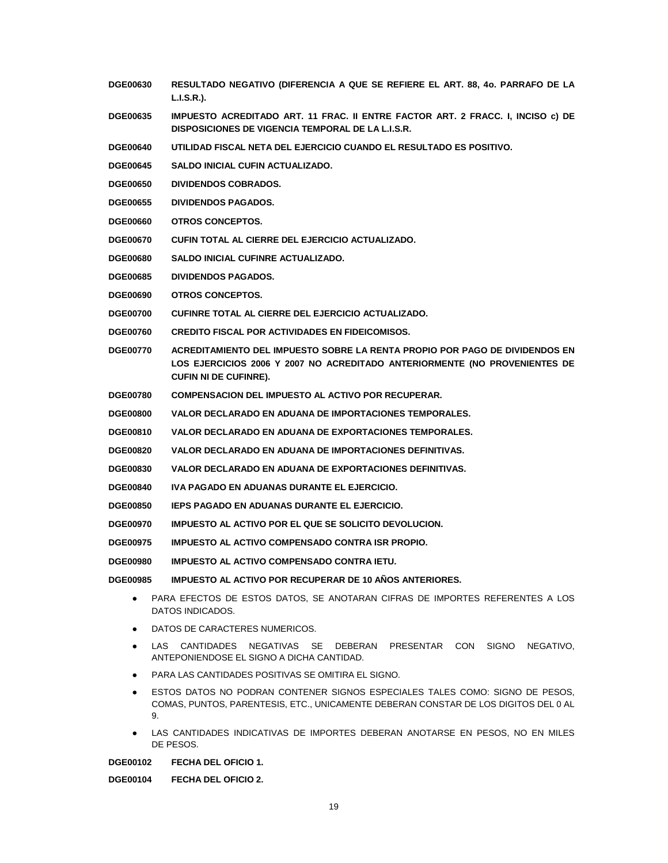- **DGE00630 RESULTADO NEGATIVO (DIFERENCIA A QUE SE REFIERE EL ART. 88, 4o. PARRAFO DE LA L.I.S.R.).**
- **DGE00635 IMPUESTO ACREDITADO ART. 11 FRAC. II ENTRE FACTOR ART. 2 FRACC. I, INCISO c) DE DISPOSICIONES DE VIGENCIA TEMPORAL DE LA L.I.S.R.**
- **DGE00640 UTILIDAD FISCAL NETA DEL EJERCICIO CUANDO EL RESULTADO ES POSITIVO.**
- **DGE00645 SALDO INICIAL CUFIN ACTUALIZADO.**
- **DGE00650 DIVIDENDOS COBRADOS.**
- **DGE00655 DIVIDENDOS PAGADOS.**
- **DGE00660 OTROS CONCEPTOS.**
- **DGE00670 CUFIN TOTAL AL CIERRE DEL EJERCICIO ACTUALIZADO.**
- **DGE00680 SALDO INICIAL CUFINRE ACTUALIZADO.**
- **DGE00685 DIVIDENDOS PAGADOS.**
- **DGE00690 OTROS CONCEPTOS.**
- **DGE00700 CUFINRE TOTAL AL CIERRE DEL EJERCICIO ACTUALIZADO.**
- **DGE00760 CREDITO FISCAL POR ACTIVIDADES EN FIDEICOMISOS.**
- **DGE00770 ACREDITAMIENTO DEL IMPUESTO SOBRE LA RENTA PROPIO POR PAGO DE DIVIDENDOS EN LOS EJERCICIOS 2006 Y 2007 NO ACREDITADO ANTERIORMENTE (NO PROVENIENTES DE CUFIN NI DE CUFINRE).**
- **DGE00780 COMPENSACION DEL IMPUESTO AL ACTIVO POR RECUPERAR.**
- **DGE00800 VALOR DECLARADO EN ADUANA DE IMPORTACIONES TEMPORALES.**
- **DGE00810 VALOR DECLARADO EN ADUANA DE EXPORTACIONES TEMPORALES.**
- **DGE00820 VALOR DECLARADO EN ADUANA DE IMPORTACIONES DEFINITIVAS.**
- **DGE00830 VALOR DECLARADO EN ADUANA DE EXPORTACIONES DEFINITIVAS.**
- **DGE00840 IVA PAGADO EN ADUANAS DURANTE EL EJERCICIO.**
- **DGE00850 IEPS PAGADO EN ADUANAS DURANTE EL EJERCICIO.**
- **DGE00970 IMPUESTO AL ACTIVO POR EL QUE SE SOLICITO DEVOLUCION.**
- **DGE00975 IMPUESTO AL ACTIVO COMPENSADO CONTRA ISR PROPIO.**
- **DGE00980 IMPUESTO AL ACTIVO COMPENSADO CONTRA IETU.**
- **DGE00985 IMPUESTO AL ACTIVO POR RECUPERAR DE 10 AÑOS ANTERIORES.**
	- PARA EFECTOS DE ESTOS DATOS, SE ANOTARAN CIFRAS DE IMPORTES REFERENTES A LOS DATOS INDICADOS.
	- DATOS DE CARACTERES NUMERICOS.
	- LAS CANTIDADES NEGATIVAS SE DEBERAN PRESENTAR CON SIGNO NEGATIVO, ANTEPONIENDOSE EL SIGNO A DICHA CANTIDAD.
	- PARA LAS CANTIDADES POSITIVAS SE OMITIRA EL SIGNO.
	- ESTOS DATOS NO PODRAN CONTENER SIGNOS ESPECIALES TALES COMO: SIGNO DE PESOS, COMAS, PUNTOS, PARENTESIS, ETC., UNICAMENTE DEBERAN CONSTAR DE LOS DIGITOS DEL 0 AL 9.
	- LAS CANTIDADES INDICATIVAS DE IMPORTES DEBERAN ANOTARSE EN PESOS, NO EN MILES DE PESOS.

**DGE00102 FECHA DEL OFICIO 1.**

**DGE00104 FECHA DEL OFICIO 2.**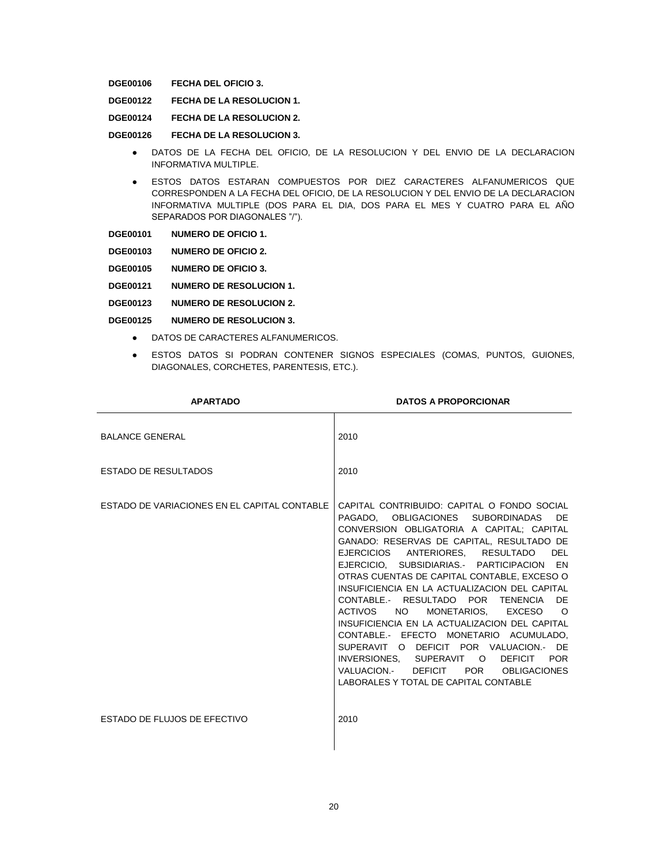**DGE00106 FECHA DEL OFICIO 3.**

**DGE00122 FECHA DE LA RESOLUCION 1.**

**DGE00124 FECHA DE LA RESOLUCION 2.**

**DGE00126 FECHA DE LA RESOLUCION 3.**

- DATOS DE LA FECHA DEL OFICIO, DE LA RESOLUCION Y DEL ENVIO DE LA DECLARACION INFORMATIVA MULTIPLE.
- ESTOS DATOS ESTARAN COMPUESTOS POR DIEZ CARACTERES ALFANUMERICOS QUE CORRESPONDEN A LA FECHA DEL OFICIO, DE LA RESOLUCION Y DEL ENVIO DE LA DECLARACION INFORMATIVA MULTIPLE (DOS PARA EL DIA, DOS PARA EL MES Y CUATRO PARA EL AÑO SEPARADOS POR DIAGONALES "/").

**DGE00103 NUMERO DE OFICIO 2.**

- **DGE00105 NUMERO DE OFICIO 3.**
- **DGE00121 NUMERO DE RESOLUCION 1.**
- **DGE00123 NUMERO DE RESOLUCION 2.**
- **DGE00125 NUMERO DE RESOLUCION 3.**
	- DATOS DE CARACTERES ALFANUMERICOS.
	- ESTOS DATOS SI PODRAN CONTENER SIGNOS ESPECIALES (COMAS, PUNTOS, GUIONES, DIAGONALES, CORCHETES, PARENTESIS, ETC.).

| <b>APARTADO</b>                              | <b>DATOS A PROPORCIONAR</b>                                                                                                                                                                                                                                                                                                                                                                                                                                                                                                                                                                                                                                                                                                    |
|----------------------------------------------|--------------------------------------------------------------------------------------------------------------------------------------------------------------------------------------------------------------------------------------------------------------------------------------------------------------------------------------------------------------------------------------------------------------------------------------------------------------------------------------------------------------------------------------------------------------------------------------------------------------------------------------------------------------------------------------------------------------------------------|
| <b>BALANCE GENERAL</b>                       | 2010                                                                                                                                                                                                                                                                                                                                                                                                                                                                                                                                                                                                                                                                                                                           |
| <b>ESTADO DE RESULTADOS</b>                  | 2010                                                                                                                                                                                                                                                                                                                                                                                                                                                                                                                                                                                                                                                                                                                           |
| ESTADO DE VARIACIONES EN EL CAPITAL CONTABLE | CAPITAL CONTRIBUIDO: CAPITAL O FONDO SOCIAL<br>PAGADO. OBLIGACIONES SUBORDINADAS<br>DF.<br>CONVERSION OBLIGATORIA A CAPITAL: CAPITAL<br>GANADO: RESERVAS DE CAPITAL, RESULTADO DE<br>EJERCICIOS ANTERIORES, RESULTADO DEL<br>EJERCICIO. SUBSIDIARIAS.- PARTICIPACION EN<br>OTRAS CUENTAS DE CAPITAL CONTABLE, EXCESO O<br>INSUFICIENCIA EN LA ACTUALIZACION DEL CAPITAL<br>CONTABLE. RESULTADO POR TENENCIA DE<br>ACTIVOS<br>NO 1<br>MONETARIOS. EXCESO<br>$\circ$<br>INSUFICIENCIA EN LA ACTUALIZACION DEL CAPITAL<br>CONTABLE. EFECTO MONETARIO ACUMULADO.<br>SUPERAVIT O DEFICIT POR VALUACION.- DE<br>INVERSIONES. SUPERAVIT O DEFICIT POR<br>VALUACION. DEFICIT POR OBLIGACIONES<br>LABORALES Y TOTAL DE CAPITAL CONTABLE |
| ESTADO DE FLUJOS DE EFECTIVO                 | 2010                                                                                                                                                                                                                                                                                                                                                                                                                                                                                                                                                                                                                                                                                                                           |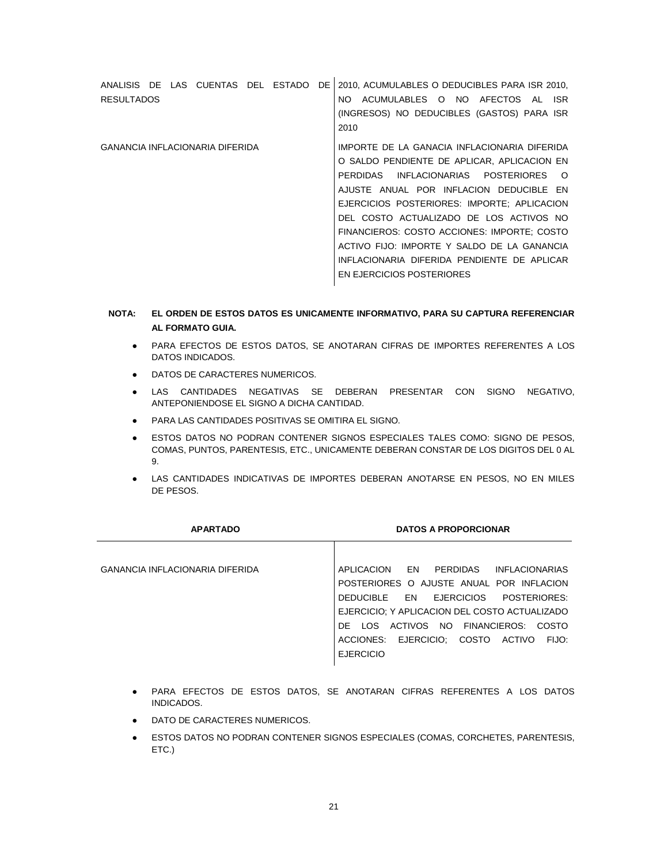| ANALISIS DE LAS CUENTAS DEL ESTADO DE  |  |  | 2010, ACUMULABLES O DEDUCIBLES PARA ISR 2010, |
|----------------------------------------|--|--|-----------------------------------------------|
| <b>RESULTADOS</b>                      |  |  | ACUMULABLES O NO AFECTOS AL ISR<br>NO.        |
|                                        |  |  | (INGRESOS) NO DEDUCIBLES (GASTOS) PARA ISR    |
|                                        |  |  | 2010                                          |
| <b>GANANCIA INFLACIONARIA DIFERIDA</b> |  |  | IMPORTE DE LA GANACIA INFLACIONARIA DIFERIDA  |
|                                        |  |  | O SALDO PENDIENTE DE APLICAR. APLICACION EN   |
|                                        |  |  | PERDIDAS INFLACIONARIAS POSTERIORES<br>- റ    |
|                                        |  |  | AJUSTE ANUAL POR INFLACION DEDUCIBLE EN       |
|                                        |  |  | EJERCICIOS POSTERIORES: IMPORTE; APLICACION   |
|                                        |  |  | DEL COSTO ACTUALIZADO DE LOS ACTIVOS NO       |
|                                        |  |  | FINANCIEROS: COSTO ACCIONES: IMPORTE: COSTO   |
|                                        |  |  | ACTIVO FIJO: IMPORTE Y SALDO DE LA GANANCIA   |
|                                        |  |  | INFLACIONARIA DIFERIDA PENDIENTE DE APLICAR   |
|                                        |  |  | EN EJERCICIOS POSTERIORES                     |
|                                        |  |  |                                               |

# **NOTA: EL ORDEN DE ESTOS DATOS ES UNICAMENTE INFORMATIVO, PARA SU CAPTURA REFERENCIAR AL FORMATO GUIA.**

- PARA EFECTOS DE ESTOS DATOS, SE ANOTARAN CIFRAS DE IMPORTES REFERENTES A LOS DATOS INDICADOS.
- DATOS DE CARACTERES NUMERICOS.
- LAS CANTIDADES NEGATIVAS SE DEBERAN PRESENTAR CON SIGNO NEGATIVO, ANTEPONIENDOSE EL SIGNO A DICHA CANTIDAD.
- PARA LAS CANTIDADES POSITIVAS SE OMITIRA EL SIGNO.
- **ESTOS DATOS NO PODRAN CONTENER SIGNOS ESPECIALES TALES COMO: SIGNO DE PESOS,** COMAS, PUNTOS, PARENTESIS, ETC., UNICAMENTE DEBERAN CONSTAR DE LOS DIGITOS DEL 0 AL 9.
- LAS CANTIDADES INDICATIVAS DE IMPORTES DEBERAN ANOTARSE EN PESOS, NO EN MILES DE PESOS.

| <b>APARTADO</b>                        | <b>DATOS A PROPORCIONAR</b>                      |
|----------------------------------------|--------------------------------------------------|
|                                        |                                                  |
| <b>GANANCIA INFLACIONARIA DIFERIDA</b> | EN<br>PERDIDAS<br>APLICACION<br>INFLACIONARIAS   |
|                                        | POSTERIORES O AJUSTE ANUAL POR INFLACION         |
|                                        | DEDUCIBLE EN EJERCICIOS<br>POSTERIORES:          |
|                                        | EJERCICIO; Y APLICACION DEL COSTO ACTUALIZADO    |
|                                        | DE LOS ACTIVOS NO FINANCIEROS: COSTO             |
|                                        | ACCIONES: EJERCICIO;<br>COSTO<br>ACTIVO<br>FIJO: |
|                                        | <b>EJERCICIO</b>                                 |

- PARA EFECTOS DE ESTOS DATOS, SE ANOTARAN CIFRAS REFERENTES A LOS DATOS INDICADOS.
- DATO DE CARACTERES NUMERICOS.
- ESTOS DATOS NO PODRAN CONTENER SIGNOS ESPECIALES (COMAS, CORCHETES, PARENTESIS, ETC.)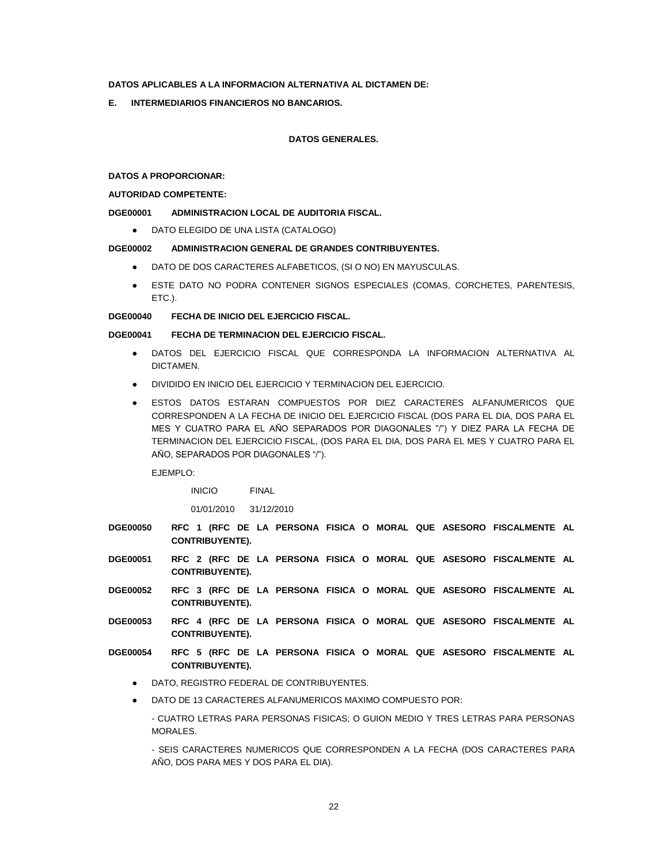### **DATOS APLICABLES A LA INFORMACION ALTERNATIVA AL DICTAMEN DE:**

**E. INTERMEDIARIOS FINANCIEROS NO BANCARIOS.**

#### **DATOS GENERALES.**

**DATOS A PROPORCIONAR:**

## **AUTORIDAD COMPETENTE:**

### **DGE00001 ADMINISTRACION LOCAL DE AUDITORIA FISCAL.**

● DATO ELEGIDO DE UNA LISTA (CATALOGO)

#### **DGE00002 ADMINISTRACION GENERAL DE GRANDES CONTRIBUYENTES.**

- DATO DE DOS CARACTERES ALFABETICOS, (SI O NO) EN MAYUSCULAS.
- ESTE DATO NO PODRA CONTENER SIGNOS ESPECIALES (COMAS, CORCHETES, PARENTESIS, ETC.).

#### **DGE00040 FECHA DE INICIO DEL EJERCICIO FISCAL.**

## **DGE00041 FECHA DE TERMINACION DEL EJERCICIO FISCAL.**

- DATOS DEL EJERCICIO FISCAL QUE CORRESPONDA LA INFORMACION ALTERNATIVA AL DICTAMEN.
- DIVIDIDO EN INICIO DEL EJERCICIO Y TERMINACION DEL EJERCICIO.
- ESTOS DATOS ESTARAN COMPUESTOS POR DIEZ CARACTERES ALFANUMERICOS QUE CORRESPONDEN A LA FECHA DE INICIO DEL EJERCICIO FISCAL (DOS PARA EL DIA, DOS PARA EL MES Y CUATRO PARA EL AÑO SEPARADOS POR DIAGONALES "/") Y DIEZ PARA LA FECHA DE TERMINACION DEL EJERCICIO FISCAL, (DOS PARA EL DIA, DOS PARA EL MES Y CUATRO PARA EL AÑO, SEPARADOS POR DIAGONALES "/").

EJEMPLO:

INICIO FINAL

01/01/2010 31/12/2010

- **DGE00050 RFC 1 (RFC DE LA PERSONA FISICA O MORAL QUE ASESORO FISCALMENTE AL CONTRIBUYENTE).**
- **DGE00051 RFC 2 (RFC DE LA PERSONA FISICA O MORAL QUE ASESORO FISCALMENTE AL CONTRIBUYENTE).**
- **DGE00052 RFC 3 (RFC DE LA PERSONA FISICA O MORAL QUE ASESORO FISCALMENTE AL CONTRIBUYENTE).**
- **DGE00053 RFC 4 (RFC DE LA PERSONA FISICA O MORAL QUE ASESORO FISCALMENTE AL CONTRIBUYENTE).**
- **DGE00054 RFC 5 (RFC DE LA PERSONA FISICA O MORAL QUE ASESORO FISCALMENTE AL CONTRIBUYENTE).**
	- DATO, REGISTRO FEDERAL DE CONTRIBUYENTES.
	- DATO DE 13 CARACTERES ALFANUMERICOS MAXIMO COMPUESTO POR:
		- CUATRO LETRAS PARA PERSONAS FISICAS; O GUION MEDIO Y TRES LETRAS PARA PERSONAS MORALES.

- SEIS CARACTERES NUMERICOS QUE CORRESPONDEN A LA FECHA (DOS CARACTERES PARA AÑO, DOS PARA MES Y DOS PARA EL DIA).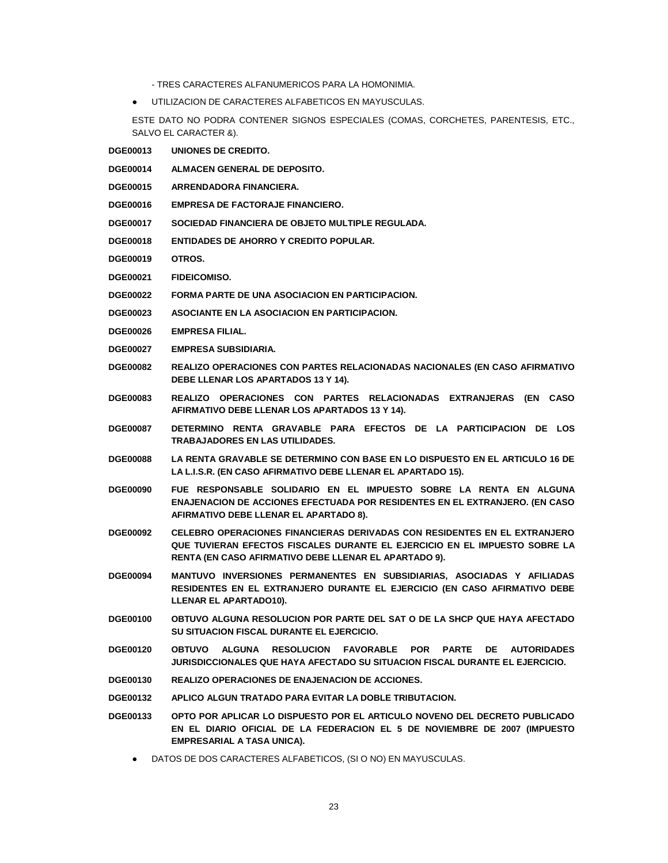- TRES CARACTERES ALFANUMERICOS PARA LA HOMONIMIA.
- UTILIZACION DE CARACTERES ALFABETICOS EN MAYUSCULAS.

ESTE DATO NO PODRA CONTENER SIGNOS ESPECIALES (COMAS, CORCHETES, PARENTESIS, ETC., SALVO EL CARACTER &).

- **DGE00013 UNIONES DE CREDITO.**
- **DGE00014 ALMACEN GENERAL DE DEPOSITO.**
- **DGE00015 ARRENDADORA FINANCIERA.**
- **DGE00016 EMPRESA DE FACTORAJE FINANCIERO.**
- **DGE00017 SOCIEDAD FINANCIERA DE OBJETO MULTIPLE REGULADA.**
- **DGE00018 ENTIDADES DE AHORRO Y CREDITO POPULAR.**
- **DGE00019 OTROS.**
- **DGE00021 FIDEICOMISO.**
- **DGE00022 FORMA PARTE DE UNA ASOCIACION EN PARTICIPACION.**
- **DGE00023 ASOCIANTE EN LA ASOCIACION EN PARTICIPACION.**
- **DGE00026 EMPRESA FILIAL.**
- **DGE00027 EMPRESA SUBSIDIARIA.**
- **DGE00082 REALIZO OPERACIONES CON PARTES RELACIONADAS NACIONALES (EN CASO AFIRMATIVO DEBE LLENAR LOS APARTADOS 13 Y 14).**
- **DGE00083 REALIZO OPERACIONES CON PARTES RELACIONADAS EXTRANJERAS (EN CASO AFIRMATIVO DEBE LLENAR LOS APARTADOS 13 Y 14).**
- **DGE00087 DETERMINO RENTA GRAVABLE PARA EFECTOS DE LA PARTICIPACION DE LOS TRABAJADORES EN LAS UTILIDADES.**
- **DGE00088 LA RENTA GRAVABLE SE DETERMINO CON BASE EN LO DISPUESTO EN EL ARTICULO 16 DE LA L.I.S.R. (EN CASO AFIRMATIVO DEBE LLENAR EL APARTADO 15).**
- **DGE00090 FUE RESPONSABLE SOLIDARIO EN EL IMPUESTO SOBRE LA RENTA EN ALGUNA ENAJENACION DE ACCIONES EFECTUADA POR RESIDENTES EN EL EXTRANJERO. (EN CASO AFIRMATIVO DEBE LLENAR EL APARTADO 8).**
- **DGE00092 CELEBRO OPERACIONES FINANCIERAS DERIVADAS CON RESIDENTES EN EL EXTRANJERO QUE TUVIERAN EFECTOS FISCALES DURANTE EL EJERCICIO EN EL IMPUESTO SOBRE LA RENTA (EN CASO AFIRMATIVO DEBE LLENAR EL APARTADO 9).**
- **DGE00094 MANTUVO INVERSIONES PERMANENTES EN SUBSIDIARIAS, ASOCIADAS Y AFILIADAS RESIDENTES EN EL EXTRANJERO DURANTE EL EJERCICIO (EN CASO AFIRMATIVO DEBE LLENAR EL APARTADO10).**
- **DGE00100 OBTUVO ALGUNA RESOLUCION POR PARTE DEL SAT O DE LA SHCP QUE HAYA AFECTADO SU SITUACION FISCAL DURANTE EL EJERCICIO.**
- **DGE00120 OBTUVO ALGUNA RESOLUCION FAVORABLE POR PARTE DE AUTORIDADES JURISDICCIONALES QUE HAYA AFECTADO SU SITUACION FISCAL DURANTE EL EJERCICIO.**
- **DGE00130 REALIZO OPERACIONES DE ENAJENACION DE ACCIONES.**
- **DGE00132 APLICO ALGUN TRATADO PARA EVITAR LA DOBLE TRIBUTACION.**
- **DGE00133 OPTO POR APLICAR LO DISPUESTO POR EL ARTICULO NOVENO DEL DECRETO PUBLICADO EN EL DIARIO OFICIAL DE LA FEDERACION EL 5 DE NOVIEMBRE DE 2007 (IMPUESTO EMPRESARIAL A TASA UNICA).**
	- DATOS DE DOS CARACTERES ALFABETICOS, (SI O NO) EN MAYUSCULAS.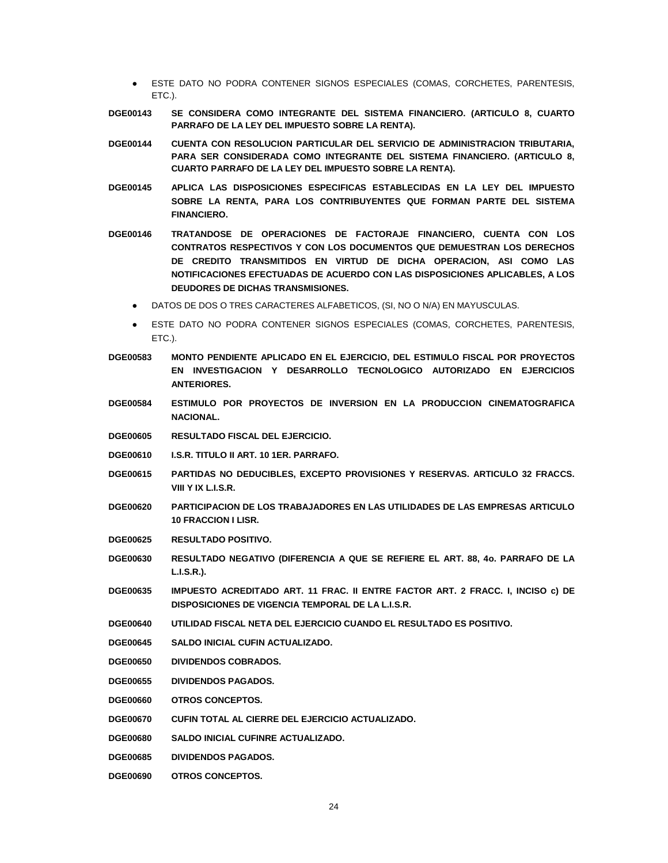- ESTE DATO NO PODRA CONTENER SIGNOS ESPECIALES (COMAS, CORCHETES, PARENTESIS, ETC.).
- **DGE00143 SE CONSIDERA COMO INTEGRANTE DEL SISTEMA FINANCIERO. (ARTICULO 8, CUARTO PARRAFO DE LA LEY DEL IMPUESTO SOBRE LA RENTA).**
- **DGE00144 CUENTA CON RESOLUCION PARTICULAR DEL SERVICIO DE ADMINISTRACION TRIBUTARIA, PARA SER CONSIDERADA COMO INTEGRANTE DEL SISTEMA FINANCIERO. (ARTICULO 8, CUARTO PARRAFO DE LA LEY DEL IMPUESTO SOBRE LA RENTA).**
- **DGE00145 APLICA LAS DISPOSICIONES ESPECIFICAS ESTABLECIDAS EN LA LEY DEL IMPUESTO SOBRE LA RENTA, PARA LOS CONTRIBUYENTES QUE FORMAN PARTE DEL SISTEMA FINANCIERO.**
- **DGE00146 TRATANDOSE DE OPERACIONES DE FACTORAJE FINANCIERO, CUENTA CON LOS CONTRATOS RESPECTIVOS Y CON LOS DOCUMENTOS QUE DEMUESTRAN LOS DERECHOS DE CREDITO TRANSMITIDOS EN VIRTUD DE DICHA OPERACION, ASI COMO LAS NOTIFICACIONES EFECTUADAS DE ACUERDO CON LAS DISPOSICIONES APLICABLES, A LOS DEUDORES DE DICHAS TRANSMISIONES.**
	- DATOS DE DOS O TRES CARACTERES ALFABETICOS, (SI, NO O N/A) EN MAYUSCULAS.
	- ESTE DATO NO PODRA CONTENER SIGNOS ESPECIALES (COMAS, CORCHETES, PARENTESIS, ETC.).
- **DGE00583 MONTO PENDIENTE APLICADO EN EL EJERCICIO, DEL ESTIMULO FISCAL POR PROYECTOS EN INVESTIGACION Y DESARROLLO TECNOLOGICO AUTORIZADO EN EJERCICIOS ANTERIORES.**
- **DGE00584 ESTIMULO POR PROYECTOS DE INVERSION EN LA PRODUCCION CINEMATOGRAFICA NACIONAL.**
- **DGE00605 RESULTADO FISCAL DEL EJERCICIO.**
- **DGE00610 I.S.R. TITULO II ART. 10 1ER. PARRAFO.**
- **DGE00615 PARTIDAS NO DEDUCIBLES, EXCEPTO PROVISIONES Y RESERVAS. ARTICULO 32 FRACCS. VIII Y IX L.I.S.R.**
- **DGE00620 PARTICIPACION DE LOS TRABAJADORES EN LAS UTILIDADES DE LAS EMPRESAS ARTICULO 10 FRACCION I LISR.**
- **DGE00625 RESULTADO POSITIVO.**
- **DGE00630 RESULTADO NEGATIVO (DIFERENCIA A QUE SE REFIERE EL ART. 88, 4o. PARRAFO DE LA L.I.S.R.).**
- **DGE00635 IMPUESTO ACREDITADO ART. 11 FRAC. II ENTRE FACTOR ART. 2 FRACC. I, INCISO c) DE DISPOSICIONES DE VIGENCIA TEMPORAL DE LA L.I.S.R.**
- **DGE00640 UTILIDAD FISCAL NETA DEL EJERCICIO CUANDO EL RESULTADO ES POSITIVO.**
- **DGE00645 SALDO INICIAL CUFIN ACTUALIZADO.**
- **DGE00650 DIVIDENDOS COBRADOS.**
- **DGE00655 DIVIDENDOS PAGADOS.**
- **DGE00660 OTROS CONCEPTOS.**
- **DGE00670 CUFIN TOTAL AL CIERRE DEL EJERCICIO ACTUALIZADO.**
- **DGE00680 SALDO INICIAL CUFINRE ACTUALIZADO.**
- **DGE00685 DIVIDENDOS PAGADOS.**
- **DGE00690 OTROS CONCEPTOS.**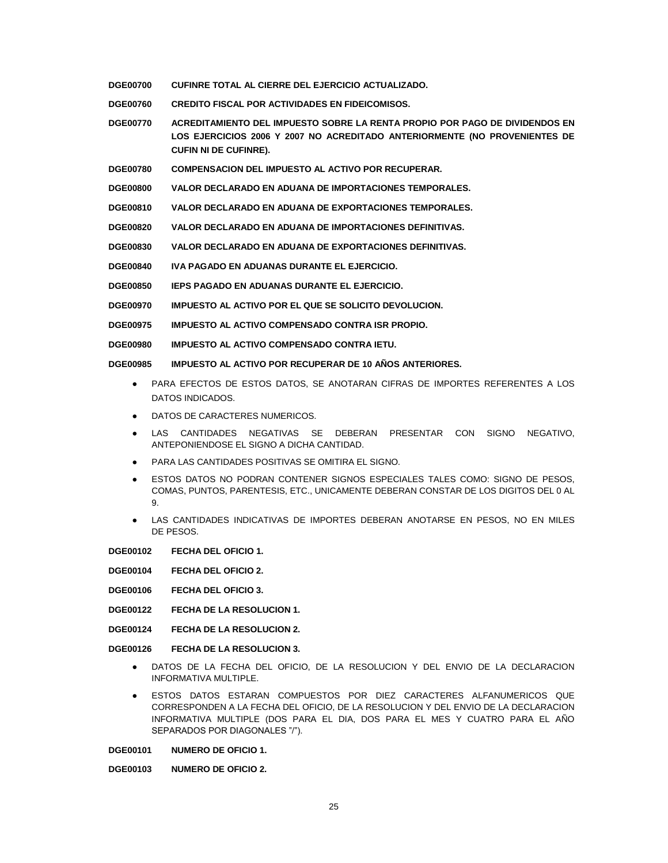- **DGE00700 CUFINRE TOTAL AL CIERRE DEL EJERCICIO ACTUALIZADO.**
- **DGE00760 CREDITO FISCAL POR ACTIVIDADES EN FIDEICOMISOS.**
- **DGE00770 ACREDITAMIENTO DEL IMPUESTO SOBRE LA RENTA PROPIO POR PAGO DE DIVIDENDOS EN LOS EJERCICIOS 2006 Y 2007 NO ACREDITADO ANTERIORMENTE (NO PROVENIENTES DE CUFIN NI DE CUFINRE).**
- **DGE00780 COMPENSACION DEL IMPUESTO AL ACTIVO POR RECUPERAR.**
- **DGE00800 VALOR DECLARADO EN ADUANA DE IMPORTACIONES TEMPORALES.**
- **DGE00810 VALOR DECLARADO EN ADUANA DE EXPORTACIONES TEMPORALES.**
- **DGE00820 VALOR DECLARADO EN ADUANA DE IMPORTACIONES DEFINITIVAS.**
- **DGE00830 VALOR DECLARADO EN ADUANA DE EXPORTACIONES DEFINITIVAS.**
- **DGE00840 IVA PAGADO EN ADUANAS DURANTE EL EJERCICIO.**
- **DGE00850 IEPS PAGADO EN ADUANAS DURANTE EL EJERCICIO.**
- **DGE00970 IMPUESTO AL ACTIVO POR EL QUE SE SOLICITO DEVOLUCION.**
- **DGE00975 IMPUESTO AL ACTIVO COMPENSADO CONTRA ISR PROPIO.**
- **DGE00980 IMPUESTO AL ACTIVO COMPENSADO CONTRA IETU.**

#### **DGE00985 IMPUESTO AL ACTIVO POR RECUPERAR DE 10 AÑOS ANTERIORES.**

- PARA EFECTOS DE ESTOS DATOS, SE ANOTARAN CIFRAS DE IMPORTES REFERENTES A LOS DATOS INDICADOS.
- DATOS DE CARACTERES NUMERICOS.
- LAS CANTIDADES NEGATIVAS SE DEBERAN PRESENTAR CON SIGNO NEGATIVO, ANTEPONIENDOSE EL SIGNO A DICHA CANTIDAD.
- PARA LAS CANTIDADES POSITIVAS SE OMITIRA EL SIGNO.
- **ESTOS DATOS NO PODRAN CONTENER SIGNOS ESPECIALES TALES COMO: SIGNO DE PESOS,** COMAS, PUNTOS, PARENTESIS, ETC., UNICAMENTE DEBERAN CONSTAR DE LOS DIGITOS DEL 0 AL 9.
- LAS CANTIDADES INDICATIVAS DE IMPORTES DEBERAN ANOTARSE EN PESOS, NO EN MILES DE PESOS.
- **DGE00102 FECHA DEL OFICIO 1.**
- **DGE00104 FECHA DEL OFICIO 2.**
- **DGE00106 FECHA DEL OFICIO 3.**
- **DGE00122 FECHA DE LA RESOLUCION 1.**
- **DGE00124 FECHA DE LA RESOLUCION 2.**

#### **DGE00126 FECHA DE LA RESOLUCION 3.**

- DATOS DE LA FECHA DEL OFICIO, DE LA RESOLUCION Y DEL ENVIO DE LA DECLARACION INFORMATIVA MULTIPLE.
- ESTOS DATOS ESTARAN COMPUESTOS POR DIEZ CARACTERES ALFANUMERICOS QUE CORRESPONDEN A LA FECHA DEL OFICIO, DE LA RESOLUCION Y DEL ENVIO DE LA DECLARACION INFORMATIVA MULTIPLE (DOS PARA EL DIA, DOS PARA EL MES Y CUATRO PARA EL AÑO SEPARADOS POR DIAGONALES "/").

**DGE00101 NUMERO DE OFICIO 1.**

**DGE00103 NUMERO DE OFICIO 2.**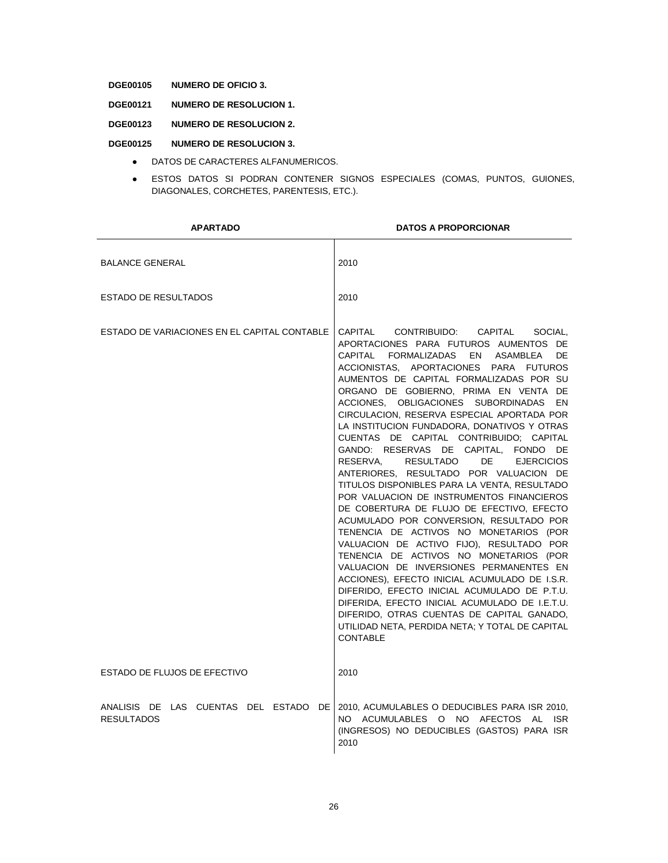# **DGE00105 NUMERO DE OFICIO 3.**

**DGE00121 NUMERO DE RESOLUCION 1.**

#### **DGE00123 NUMERO DE RESOLUCION 2.**

## **DGE00125 NUMERO DE RESOLUCION 3.**

- DATOS DE CARACTERES ALFANUMERICOS.
- ESTOS DATOS SI PODRAN CONTENER SIGNOS ESPECIALES (COMAS, PUNTOS, GUIONES, DIAGONALES, CORCHETES, PARENTESIS, ETC.).

| <b>APARTADO</b>                                               | <b>DATOS A PROPORCIONAR</b>                                                                                                                                                                                                                                                                                                                                                                                                                                                                                                                                                                                                                                                                                                                                                                                                                                                                                                                                                                                                                                                                                                                                                                                                       |
|---------------------------------------------------------------|-----------------------------------------------------------------------------------------------------------------------------------------------------------------------------------------------------------------------------------------------------------------------------------------------------------------------------------------------------------------------------------------------------------------------------------------------------------------------------------------------------------------------------------------------------------------------------------------------------------------------------------------------------------------------------------------------------------------------------------------------------------------------------------------------------------------------------------------------------------------------------------------------------------------------------------------------------------------------------------------------------------------------------------------------------------------------------------------------------------------------------------------------------------------------------------------------------------------------------------|
| <b>BALANCE GENERAL</b>                                        | 2010                                                                                                                                                                                                                                                                                                                                                                                                                                                                                                                                                                                                                                                                                                                                                                                                                                                                                                                                                                                                                                                                                                                                                                                                                              |
| <b>ESTADO DE RESULTADOS</b>                                   | 2010                                                                                                                                                                                                                                                                                                                                                                                                                                                                                                                                                                                                                                                                                                                                                                                                                                                                                                                                                                                                                                                                                                                                                                                                                              |
| ESTADO DE VARIACIONES EN EL CAPITAL CONTABLE                  | CAPITAL CONTRIBUIDO:<br>CAPITAL<br>SOCIAL.<br>APORTACIONES PARA FUTUROS AUMENTOS DE<br>CAPITAL<br>FORMALIZADAS EN ASAMBLEA<br>DE.<br>ACCIONISTAS. APORTACIONES PARA FUTUROS<br>AUMENTOS DE CAPITAL FORMALIZADAS POR SU<br>ORGANO DE GOBIERNO, PRIMA EN VENTA DE<br>ACCIONES, OBLIGACIONES SUBORDINADAS<br>EN<br>CIRCULACION, RESERVA ESPECIAL APORTADA POR<br>LA INSTITUCION FUNDADORA, DONATIVOS Y OTRAS<br>CUENTAS DE CAPITAL CONTRIBUIDO; CAPITAL<br>GANDO: RESERVAS DE CAPITAL, FONDO DE<br>RESERVA.<br>RESULTADO<br>DE<br><b>EJERCICIOS</b><br>ANTERIORES, RESULTADO POR VALUACION DE<br>TITULOS DISPONIBLES PARA LA VENTA, RESULTADO<br>POR VALUACION DE INSTRUMENTOS FINANCIEROS<br>DE COBERTURA DE FLUJO DE EFECTIVO, EFECTO<br>ACUMULADO POR CONVERSION, RESULTADO POR<br>TENENCIA DE ACTIVOS NO MONETARIOS (POR<br>VALUACION DE ACTIVO FIJO), RESULTADO POR<br>TENENCIA DE ACTIVOS NO MONETARIOS (POR<br>VALUACION DE INVERSIONES PERMANENTES EN<br>ACCIONES), EFECTO INICIAL ACUMULADO DE I.S.R.<br>DIFERIDO, EFECTO INICIAL ACUMULADO DE P.T.U.<br>DIFERIDA, EFECTO INICIAL ACUMULADO DE I.E.T.U.<br>DIFERIDO, OTRAS CUENTAS DE CAPITAL GANADO,<br>UTILIDAD NETA, PERDIDA NETA; Y TOTAL DE CAPITAL<br><b>CONTABLE</b> |
| ESTADO DE FLUJOS DE EFECTIVO                                  | 2010                                                                                                                                                                                                                                                                                                                                                                                                                                                                                                                                                                                                                                                                                                                                                                                                                                                                                                                                                                                                                                                                                                                                                                                                                              |
| ANALISIS DE LAS CUENTAS DEL ESTADO<br>DE<br><b>RESULTADOS</b> | 2010, ACUMULABLES O DEDUCIBLES PARA ISR 2010,<br>NO ACUMULABLES O NO AFECTOS AL<br><b>ISR</b><br>(INGRESOS) NO DEDUCIBLES (GASTOS) PARA ISR<br>2010                                                                                                                                                                                                                                                                                                                                                                                                                                                                                                                                                                                                                                                                                                                                                                                                                                                                                                                                                                                                                                                                               |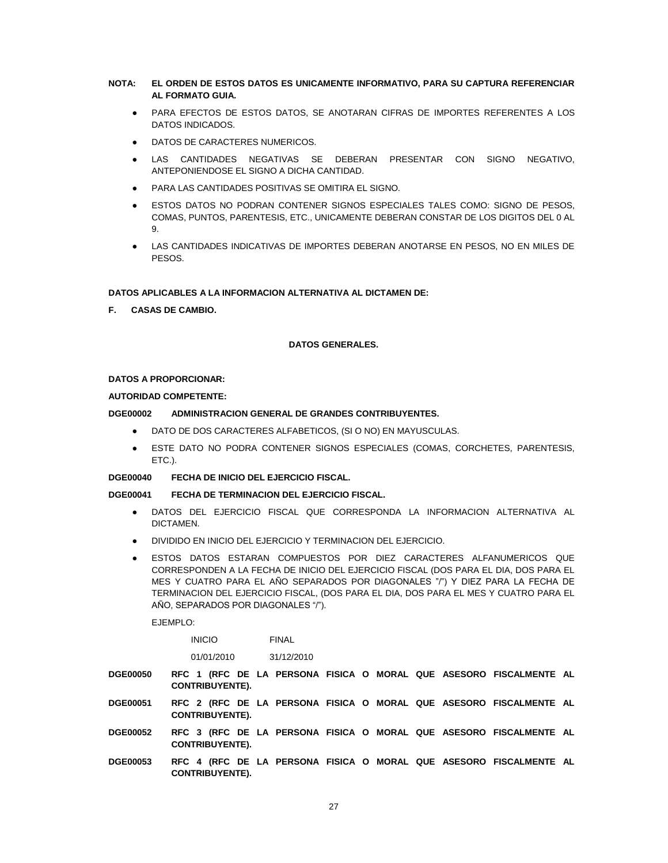## **NOTA: EL ORDEN DE ESTOS DATOS ES UNICAMENTE INFORMATIVO, PARA SU CAPTURA REFERENCIAR AL FORMATO GUIA.**

- PARA EFECTOS DE ESTOS DATOS, SE ANOTARAN CIFRAS DE IMPORTES REFERENTES A LOS DATOS INDICADOS.
- DATOS DE CARACTERES NUMERICOS.
- LAS CANTIDADES NEGATIVAS SE DEBERAN PRESENTAR CON SIGNO NEGATIVO, ANTEPONIENDOSE EL SIGNO A DICHA CANTIDAD.
- PARA LAS CANTIDADES POSITIVAS SE OMITIRA EL SIGNO.
- ESTOS DATOS NO PODRAN CONTENER SIGNOS ESPECIALES TALES COMO: SIGNO DE PESOS, COMAS, PUNTOS, PARENTESIS, ETC., UNICAMENTE DEBERAN CONSTAR DE LOS DIGITOS DEL 0 AL 9.
- LAS CANTIDADES INDICATIVAS DE IMPORTES DEBERAN ANOTARSE EN PESOS, NO EN MILES DE PESOS.

#### **DATOS APLICABLES A LA INFORMACION ALTERNATIVA AL DICTAMEN DE:**

**F. CASAS DE CAMBIO.**

#### **DATOS GENERALES.**

### **DATOS A PROPORCIONAR:**

#### **AUTORIDAD COMPETENTE:**

## **DGE00002 ADMINISTRACION GENERAL DE GRANDES CONTRIBUYENTES.**

- DATO DE DOS CARACTERES ALFABETICOS, (SI O NO) EN MAYUSCULAS.
- ESTE DATO NO PODRA CONTENER SIGNOS ESPECIALES (COMAS, CORCHETES, PARENTESIS, ETC.).
- **DGE00040 FECHA DE INICIO DEL EJERCICIO FISCAL.**

#### **DGE00041 FECHA DE TERMINACION DEL EJERCICIO FISCAL.**

- DATOS DEL EJERCICIO FISCAL QUE CORRESPONDA LA INFORMACION ALTERNATIVA AL DICTAMEN.
- DIVIDIDO EN INICIO DEL EJERCICIO Y TERMINACION DEL EJERCICIO.
- ESTOS DATOS ESTARAN COMPUESTOS POR DIEZ CARACTERES ALFANUMERICOS QUE CORRESPONDEN A LA FECHA DE INICIO DEL EJERCICIO FISCAL (DOS PARA EL DIA, DOS PARA EL MES Y CUATRO PARA EL AÑO SEPARADOS POR DIAGONALES "/") Y DIEZ PARA LA FECHA DE TERMINACION DEL EJERCICIO FISCAL, (DOS PARA EL DIA, DOS PARA EL MES Y CUATRO PARA EL AÑO, SEPARADOS POR DIAGONALES "/").

EJEMPLO:

INICIO FINAL

01/01/2010 31/12/2010

**DGE00050 RFC 1 (RFC DE LA PERSONA FISICA O MORAL QUE ASESORO FISCALMENTE AL CONTRIBUYENTE).**

- **DGE00051 RFC 2 (RFC DE LA PERSONA FISICA O MORAL QUE ASESORO FISCALMENTE AL CONTRIBUYENTE).**
- **DGE00052 RFC 3 (RFC DE LA PERSONA FISICA O MORAL QUE ASESORO FISCALMENTE AL CONTRIBUYENTE).**
- **DGE00053 RFC 4 (RFC DE LA PERSONA FISICA O MORAL QUE ASESORO FISCALMENTE AL CONTRIBUYENTE).**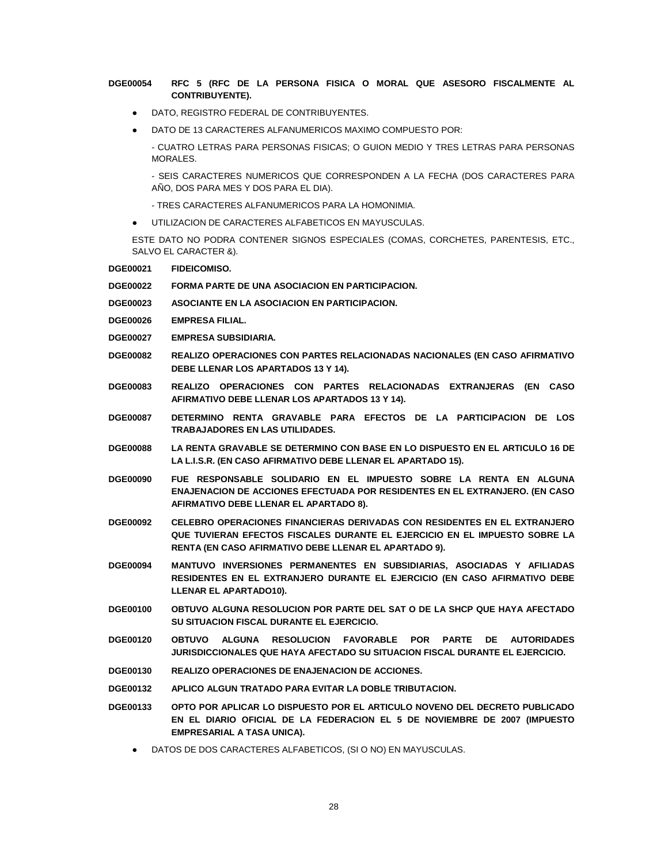# **DGE00054 RFC 5 (RFC DE LA PERSONA FISICA O MORAL QUE ASESORO FISCALMENTE AL CONTRIBUYENTE).**

- DATO, REGISTRO FEDERAL DE CONTRIBUYENTES.
- DATO DE 13 CARACTERES ALFANUMERICOS MAXIMO COMPUESTO POR:

- CUATRO LETRAS PARA PERSONAS FISICAS; O GUION MEDIO Y TRES LETRAS PARA PERSONAS MORALES.

- SEIS CARACTERES NUMERICOS QUE CORRESPONDEN A LA FECHA (DOS CARACTERES PARA AÑO, DOS PARA MES Y DOS PARA EL DIA).

- TRES CARACTERES ALFANUMERICOS PARA LA HOMONIMIA.

UTILIZACION DE CARACTERES ALFABETICOS EN MAYUSCULAS.

ESTE DATO NO PODRA CONTENER SIGNOS ESPECIALES (COMAS, CORCHETES, PARENTESIS, ETC., SALVO EL CARACTER &).

**DGE00021 FIDEICOMISO.**

**DGE00022 FORMA PARTE DE UNA ASOCIACION EN PARTICIPACION.**

- **DGE00023 ASOCIANTE EN LA ASOCIACION EN PARTICIPACION.**
- **DGE00026 EMPRESA FILIAL.**
- **DGE00027 EMPRESA SUBSIDIARIA.**
- **DGE00082 REALIZO OPERACIONES CON PARTES RELACIONADAS NACIONALES (EN CASO AFIRMATIVO DEBE LLENAR LOS APARTADOS 13 Y 14).**
- **DGE00083 REALIZO OPERACIONES CON PARTES RELACIONADAS EXTRANJERAS (EN CASO AFIRMATIVO DEBE LLENAR LOS APARTADOS 13 Y 14).**
- **DGE00087 DETERMINO RENTA GRAVABLE PARA EFECTOS DE LA PARTICIPACION DE LOS TRABAJADORES EN LAS UTILIDADES.**
- **DGE00088 LA RENTA GRAVABLE SE DETERMINO CON BASE EN LO DISPUESTO EN EL ARTICULO 16 DE LA L.I.S.R. (EN CASO AFIRMATIVO DEBE LLENAR EL APARTADO 15).**
- **DGE00090 FUE RESPONSABLE SOLIDARIO EN EL IMPUESTO SOBRE LA RENTA EN ALGUNA ENAJENACION DE ACCIONES EFECTUADA POR RESIDENTES EN EL EXTRANJERO. (EN CASO AFIRMATIVO DEBE LLENAR EL APARTADO 8).**
- **DGE00092 CELEBRO OPERACIONES FINANCIERAS DERIVADAS CON RESIDENTES EN EL EXTRANJERO QUE TUVIERAN EFECTOS FISCALES DURANTE EL EJERCICIO EN EL IMPUESTO SOBRE LA RENTA (EN CASO AFIRMATIVO DEBE LLENAR EL APARTADO 9).**
- **DGE00094 MANTUVO INVERSIONES PERMANENTES EN SUBSIDIARIAS, ASOCIADAS Y AFILIADAS RESIDENTES EN EL EXTRANJERO DURANTE EL EJERCICIO (EN CASO AFIRMATIVO DEBE LLENAR EL APARTADO10).**
- **DGE00100 OBTUVO ALGUNA RESOLUCION POR PARTE DEL SAT O DE LA SHCP QUE HAYA AFECTADO SU SITUACION FISCAL DURANTE EL EJERCICIO.**
- **DGE00120 OBTUVO ALGUNA RESOLUCION FAVORABLE POR PARTE DE AUTORIDADES JURISDICCIONALES QUE HAYA AFECTADO SU SITUACION FISCAL DURANTE EL EJERCICIO.**
- **DGE00130 REALIZO OPERACIONES DE ENAJENACION DE ACCIONES.**
- **DGE00132 APLICO ALGUN TRATADO PARA EVITAR LA DOBLE TRIBUTACION.**
- **DGE00133 OPTO POR APLICAR LO DISPUESTO POR EL ARTICULO NOVENO DEL DECRETO PUBLICADO EN EL DIARIO OFICIAL DE LA FEDERACION EL 5 DE NOVIEMBRE DE 2007 (IMPUESTO EMPRESARIAL A TASA UNICA).**
	- DATOS DE DOS CARACTERES ALFABETICOS, (SI O NO) EN MAYUSCULAS.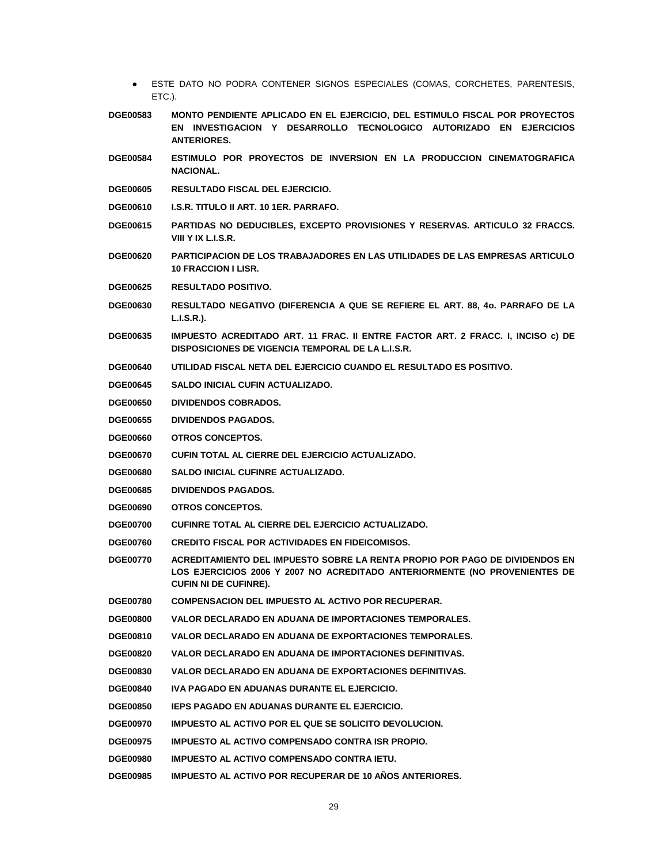- ESTE DATO NO PODRA CONTENER SIGNOS ESPECIALES (COMAS, CORCHETES, PARENTESIS, ETC.).
- **DGE00583 MONTO PENDIENTE APLICADO EN EL EJERCICIO, DEL ESTIMULO FISCAL POR PROYECTOS EN INVESTIGACION Y DESARROLLO TECNOLOGICO AUTORIZADO EN EJERCICIOS ANTERIORES.**
- **DGE00584 ESTIMULO POR PROYECTOS DE INVERSION EN LA PRODUCCION CINEMATOGRAFICA NACIONAL.**
- **DGE00605 RESULTADO FISCAL DEL EJERCICIO.**
- **DGE00610 I.S.R. TITULO II ART. 10 1ER. PARRAFO.**
- **DGE00615 PARTIDAS NO DEDUCIBLES, EXCEPTO PROVISIONES Y RESERVAS. ARTICULO 32 FRACCS. VIII Y IX L.I.S.R.**
- **DGE00620 PARTICIPACION DE LOS TRABAJADORES EN LAS UTILIDADES DE LAS EMPRESAS ARTICULO 10 FRACCION I LISR.**
- **DGE00625 RESULTADO POSITIVO.**
- **DGE00630 RESULTADO NEGATIVO (DIFERENCIA A QUE SE REFIERE EL ART. 88, 4o. PARRAFO DE LA L.I.S.R.).**
- **DGE00635 IMPUESTO ACREDITADO ART. 11 FRAC. II ENTRE FACTOR ART. 2 FRACC. I, INCISO c) DE DISPOSICIONES DE VIGENCIA TEMPORAL DE LA L.I.S.R.**
- **DGE00640 UTILIDAD FISCAL NETA DEL EJERCICIO CUANDO EL RESULTADO ES POSITIVO.**
- **DGE00645 SALDO INICIAL CUFIN ACTUALIZADO.**
- **DGE00650 DIVIDENDOS COBRADOS.**
- **DGE00655 DIVIDENDOS PAGADOS.**
- **DGE00660 OTROS CONCEPTOS.**
- **DGE00670 CUFIN TOTAL AL CIERRE DEL EJERCICIO ACTUALIZADO.**
- **DGE00680 SALDO INICIAL CUFINRE ACTUALIZADO.**
- **DGE00685 DIVIDENDOS PAGADOS.**
- **DGE00690 OTROS CONCEPTOS.**
- **DGE00700 CUFINRE TOTAL AL CIERRE DEL EJERCICIO ACTUALIZADO.**
- **DGE00760 CREDITO FISCAL POR ACTIVIDADES EN FIDEICOMISOS.**
- **DGE00770 ACREDITAMIENTO DEL IMPUESTO SOBRE LA RENTA PROPIO POR PAGO DE DIVIDENDOS EN LOS EJERCICIOS 2006 Y 2007 NO ACREDITADO ANTERIORMENTE (NO PROVENIENTES DE CUFIN NI DE CUFINRE).**
- **DGE00780 COMPENSACION DEL IMPUESTO AL ACTIVO POR RECUPERAR.**
- **DGE00800 VALOR DECLARADO EN ADUANA DE IMPORTACIONES TEMPORALES.**
- **DGE00810 VALOR DECLARADO EN ADUANA DE EXPORTACIONES TEMPORALES.**
- **DGE00820 VALOR DECLARADO EN ADUANA DE IMPORTACIONES DEFINITIVAS.**
- **DGE00830 VALOR DECLARADO EN ADUANA DE EXPORTACIONES DEFINITIVAS.**
- **DGE00840 IVA PAGADO EN ADUANAS DURANTE EL EJERCICIO.**
- **DGE00850 IEPS PAGADO EN ADUANAS DURANTE EL EJERCICIO.**
- **DGE00970 IMPUESTO AL ACTIVO POR EL QUE SE SOLICITO DEVOLUCION.**
- **DGE00975 IMPUESTO AL ACTIVO COMPENSADO CONTRA ISR PROPIO.**
- **DGE00980 IMPUESTO AL ACTIVO COMPENSADO CONTRA IETU.**
- **DGE00985 IMPUESTO AL ACTIVO POR RECUPERAR DE 10 AÑOS ANTERIORES.**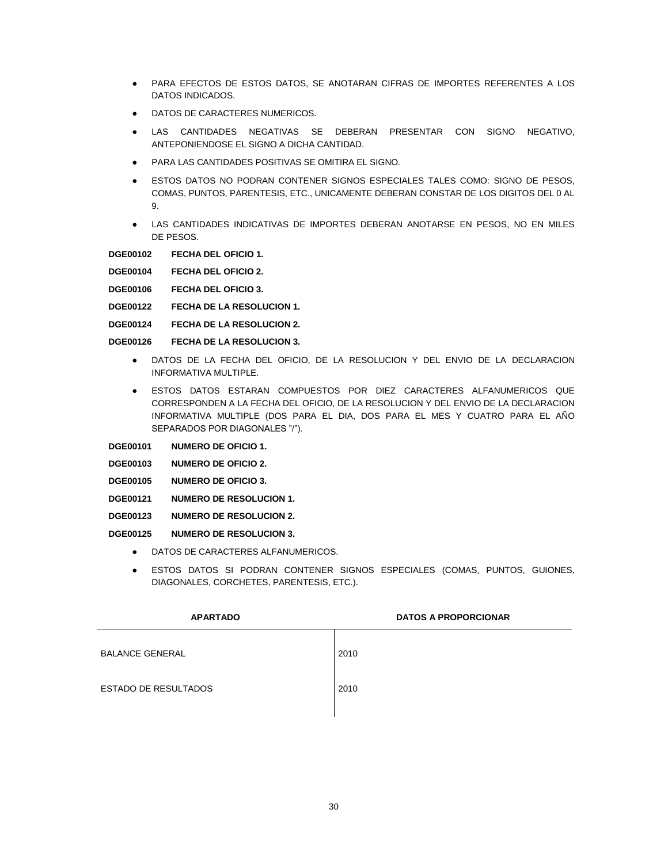- PARA EFECTOS DE ESTOS DATOS, SE ANOTARAN CIFRAS DE IMPORTES REFERENTES A LOS DATOS INDICADOS.
- DATOS DE CARACTERES NUMERICOS.
- LAS CANTIDADES NEGATIVAS SE DEBERAN PRESENTAR CON SIGNO NEGATIVO, ANTEPONIENDOSE EL SIGNO A DICHA CANTIDAD.
- PARA LAS CANTIDADES POSITIVAS SE OMITIRA EL SIGNO.
- ESTOS DATOS NO PODRAN CONTENER SIGNOS ESPECIALES TALES COMO: SIGNO DE PESOS, COMAS, PUNTOS, PARENTESIS, ETC., UNICAMENTE DEBERAN CONSTAR DE LOS DIGITOS DEL 0 AL 9.
- LAS CANTIDADES INDICATIVAS DE IMPORTES DEBERAN ANOTARSE EN PESOS, NO EN MILES DE PESOS.

**DGE00102 FECHA DEL OFICIO 1.**

**DGE00104 FECHA DEL OFICIO 2.**

**DGE00106 FECHA DEL OFICIO 3.**

- **DGE00122 FECHA DE LA RESOLUCION 1.**
- **DGE00124 FECHA DE LA RESOLUCION 2.**
- **DGE00126 FECHA DE LA RESOLUCION 3.**
	- DATOS DE LA FECHA DEL OFICIO, DE LA RESOLUCION Y DEL ENVIO DE LA DECLARACION INFORMATIVA MULTIPLE.
	- ESTOS DATOS ESTARAN COMPUESTOS POR DIEZ CARACTERES ALFANUMERICOS QUE CORRESPONDEN A LA FECHA DEL OFICIO, DE LA RESOLUCION Y DEL ENVIO DE LA DECLARACION INFORMATIVA MULTIPLE (DOS PARA EL DIA, DOS PARA EL MES Y CUATRO PARA EL AÑO SEPARADOS POR DIAGONALES "/").
- **DGE00101 NUMERO DE OFICIO 1.**
- **DGE00103 NUMERO DE OFICIO 2.**
- **DGE00105 NUMERO DE OFICIO 3.**
- **DGE00121 NUMERO DE RESOLUCION 1.**
- **DGE00123 NUMERO DE RESOLUCION 2.**

**DGE00125 NUMERO DE RESOLUCION 3.**

- DATOS DE CARACTERES ALFANUMERICOS.
- ESTOS DATOS SI PODRAN CONTENER SIGNOS ESPECIALES (COMAS, PUNTOS, GUIONES, DIAGONALES, CORCHETES, PARENTESIS, ETC.).

| <b>APARTADO</b>             | <b>DATOS A PROPORCIONAR</b> |
|-----------------------------|-----------------------------|
| <b>BALANCE GENERAL</b>      | 2010                        |
| <b>ESTADO DE RESULTADOS</b> | 2010                        |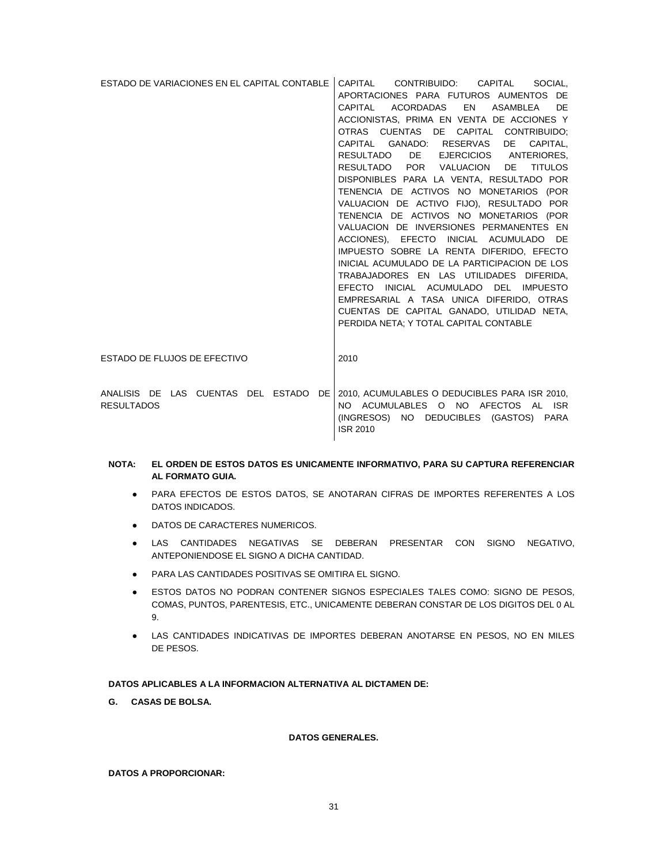| ESTADO DE VARIACIONES EN EL CAPITAL CONTABLE | CAPITAL<br>CONTRIBUIDO: CAPITAL<br>SOCIAL.      |
|----------------------------------------------|-------------------------------------------------|
|                                              | APORTACIONES PARA FUTUROS AUMENTOS DE           |
|                                              | CAPITAL ACORDADAS EN ASAMBLEA<br>DE.            |
|                                              | ACCIONISTAS, PRIMA EN VENTA DE ACCIONES Y       |
|                                              | OTRAS CUENTAS DE CAPITAL CONTRIBUIDO:           |
|                                              | CAPITAL GANADO: RESERVAS DE<br>CAPITAL.         |
|                                              | RESULTADO DE EJERCICIOS ANTERIORES,             |
|                                              | RESULTADO POR VALUACION<br>DE<br><b>TITULOS</b> |
|                                              | DISPONIBLES PARA LA VENTA, RESULTADO POR        |
|                                              | TENENCIA DE ACTIVOS NO MONETARIOS (POR          |
|                                              | VALUACION DE ACTIVO FIJO), RESULTADO POR        |
|                                              | TENENCIA DE ACTIVOS NO MONETARIOS (POR          |
|                                              | VALUACION DE INVERSIONES PERMANENTES EN         |
|                                              | ACCIONES). EFECTO INICIAL ACUMULADO DE          |
|                                              | IMPUESTO SOBRE LA RENTA DIFERIDO, EFECTO        |
|                                              | INICIAL ACUMULADO DE LA PARTICIPACION DE LOS    |
|                                              | TRABAJADORES EN LAS UTILIDADES DIFERIDA,        |
|                                              | EFECTO INICIAL ACUMULADO DEL<br><b>IMPUESTO</b> |
|                                              | EMPRESARIAL A TASA UNICA DIFERIDO, OTRAS        |
|                                              | CUENTAS DE CAPITAL GANADO, UTILIDAD NETA,       |
|                                              | PERDIDA NETA; Y TOTAL CAPITAL CONTABLE          |
|                                              |                                                 |
|                                              |                                                 |
| ESTADO DE FLUJOS DE EFECTIVO                 | 2010                                            |
|                                              |                                                 |
| ANALISIS DE LAS CUENTAS DEL ESTADO DE        | 2010, ACUMULABLES O DEDUCIBLES PARA ISR 2010,   |
| <b>RESULTADOS</b>                            | NO ACUMULABLES O NO AFECTOS AL ISR              |
|                                              | (INGRESOS) NO DEDUCIBLES (GASTOS) PARA          |
|                                              | <b>ISR 2010</b>                                 |
|                                              |                                                 |

# **NOTA: EL ORDEN DE ESTOS DATOS ES UNICAMENTE INFORMATIVO, PARA SU CAPTURA REFERENCIAR AL FORMATO GUIA.**

- PARA EFECTOS DE ESTOS DATOS, SE ANOTARAN CIFRAS DE IMPORTES REFERENTES A LOS DATOS INDICADOS.
- DATOS DE CARACTERES NUMERICOS.
- LAS CANTIDADES NEGATIVAS SE DEBERAN PRESENTAR CON SIGNO NEGATIVO, ANTEPONIENDOSE EL SIGNO A DICHA CANTIDAD.
- PARA LAS CANTIDADES POSITIVAS SE OMITIRA EL SIGNO.
- **ESTOS DATOS NO PODRAN CONTENER SIGNOS ESPECIALES TALES COMO: SIGNO DE PESOS,** COMAS, PUNTOS, PARENTESIS, ETC., UNICAMENTE DEBERAN CONSTAR DE LOS DIGITOS DEL 0 AL 9.
- **LAS CANTIDADES INDICATIVAS DE IMPORTES DEBERAN ANOTARSE EN PESOS, NO EN MILES** DE PESOS.

### **DATOS APLICABLES A LA INFORMACION ALTERNATIVA AL DICTAMEN DE:**

**G. CASAS DE BOLSA.**

**DATOS GENERALES.**

## **DATOS A PROPORCIONAR:**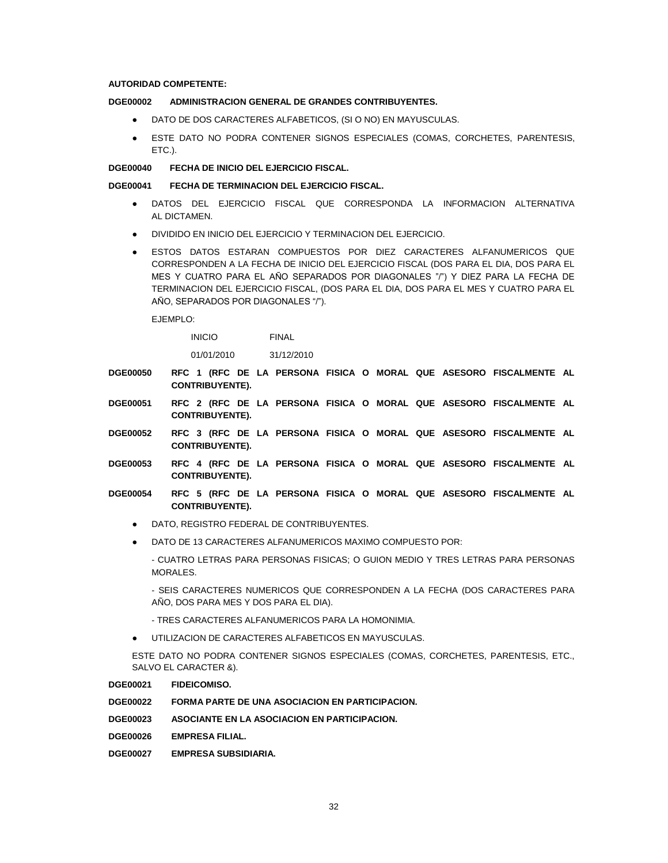### **AUTORIDAD COMPETENTE:**

## **DGE00002 ADMINISTRACION GENERAL DE GRANDES CONTRIBUYENTES.**

- DATO DE DOS CARACTERES ALFABETICOS, (SI O NO) EN MAYUSCULAS.
- ESTE DATO NO PODRA CONTENER SIGNOS ESPECIALES (COMAS, CORCHETES, PARENTESIS, ETC.).

#### **DGE00040 FECHA DE INICIO DEL EJERCICIO FISCAL.**

#### **DGE00041 FECHA DE TERMINACION DEL EJERCICIO FISCAL.**

- DATOS DEL EJERCICIO FISCAL QUE CORRESPONDA LA INFORMACION ALTERNATIVA AL DICTAMEN.
- DIVIDIDO EN INICIO DEL EJERCICIO Y TERMINACION DEL EJERCICIO.
- ESTOS DATOS ESTARAN COMPUESTOS POR DIEZ CARACTERES ALFANUMERICOS QUE CORRESPONDEN A LA FECHA DE INICIO DEL EJERCICIO FISCAL (DOS PARA EL DIA, DOS PARA EL MES Y CUATRO PARA EL AÑO SEPARADOS POR DIAGONALES "/") Y DIEZ PARA LA FECHA DE TERMINACION DEL EJERCICIO FISCAL, (DOS PARA EL DIA, DOS PARA EL MES Y CUATRO PARA EL AÑO, SEPARADOS POR DIAGONALES "/").

EJEMPLO:

INICIO FINAL

01/01/2010 31/12/2010

- **DGE00050 RFC 1 (RFC DE LA PERSONA FISICA O MORAL QUE ASESORO FISCALMENTE AL CONTRIBUYENTE).**
- **DGE00051 RFC 2 (RFC DE LA PERSONA FISICA O MORAL QUE ASESORO FISCALMENTE AL CONTRIBUYENTE).**
- **DGE00052 RFC 3 (RFC DE LA PERSONA FISICA O MORAL QUE ASESORO FISCALMENTE AL CONTRIBUYENTE).**
- **DGE00053 RFC 4 (RFC DE LA PERSONA FISICA O MORAL QUE ASESORO FISCALMENTE AL CONTRIBUYENTE).**
- **DGE00054 RFC 5 (RFC DE LA PERSONA FISICA O MORAL QUE ASESORO FISCALMENTE AL CONTRIBUYENTE).**
	- DATO, REGISTRO FEDERAL DE CONTRIBUYENTES.
	- DATO DE 13 CARACTERES ALFANUMERICOS MAXIMO COMPUESTO POR:

- CUATRO LETRAS PARA PERSONAS FISICAS; O GUION MEDIO Y TRES LETRAS PARA PERSONAS MORALES.

- SEIS CARACTERES NUMERICOS QUE CORRESPONDEN A LA FECHA (DOS CARACTERES PARA AÑO, DOS PARA MES Y DOS PARA EL DIA).

- TRES CARACTERES ALFANUMERICOS PARA LA HOMONIMIA.

UTILIZACION DE CARACTERES ALFABETICOS EN MAYUSCULAS.

ESTE DATO NO PODRA CONTENER SIGNOS ESPECIALES (COMAS, CORCHETES, PARENTESIS, ETC., SALVO EL CARACTER &).

#### **DGE00021 FIDEICOMISO.**

- **DGE00022 FORMA PARTE DE UNA ASOCIACION EN PARTICIPACION.**
- **DGE00023 ASOCIANTE EN LA ASOCIACION EN PARTICIPACION.**
- **DGE00026 EMPRESA FILIAL.**
- **DGE00027 EMPRESA SUBSIDIARIA.**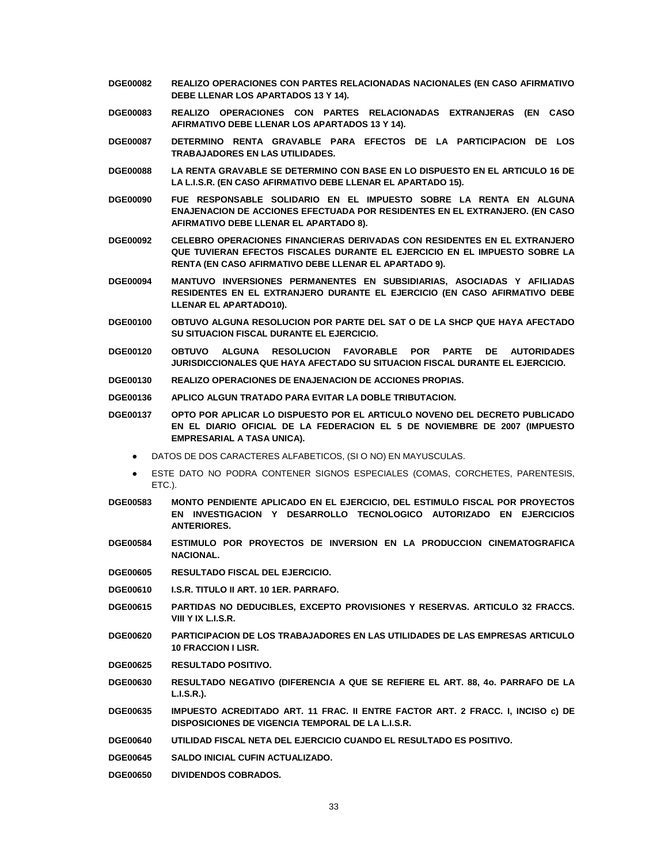- **DGE00082 REALIZO OPERACIONES CON PARTES RELACIONADAS NACIONALES (EN CASO AFIRMATIVO DEBE LLENAR LOS APARTADOS 13 Y 14).**
- **DGE00083 REALIZO OPERACIONES CON PARTES RELACIONADAS EXTRANJERAS (EN CASO AFIRMATIVO DEBE LLENAR LOS APARTADOS 13 Y 14).**
- **DGE00087 DETERMINO RENTA GRAVABLE PARA EFECTOS DE LA PARTICIPACION DE LOS TRABAJADORES EN LAS UTILIDADES.**
- **DGE00088 LA RENTA GRAVABLE SE DETERMINO CON BASE EN LO DISPUESTO EN EL ARTICULO 16 DE LA L.I.S.R. (EN CASO AFIRMATIVO DEBE LLENAR EL APARTADO 15).**
- **DGE00090 FUE RESPONSABLE SOLIDARIO EN EL IMPUESTO SOBRE LA RENTA EN ALGUNA ENAJENACION DE ACCIONES EFECTUADA POR RESIDENTES EN EL EXTRANJERO. (EN CASO AFIRMATIVO DEBE LLENAR EL APARTADO 8).**
- **DGE00092 CELEBRO OPERACIONES FINANCIERAS DERIVADAS CON RESIDENTES EN EL EXTRANJERO QUE TUVIERAN EFECTOS FISCALES DURANTE EL EJERCICIO EN EL IMPUESTO SOBRE LA RENTA (EN CASO AFIRMATIVO DEBE LLENAR EL APARTADO 9).**
- **DGE00094 MANTUVO INVERSIONES PERMANENTES EN SUBSIDIARIAS, ASOCIADAS Y AFILIADAS RESIDENTES EN EL EXTRANJERO DURANTE EL EJERCICIO (EN CASO AFIRMATIVO DEBE LLENAR EL APARTADO10).**
- **DGE00100 OBTUVO ALGUNA RESOLUCION POR PARTE DEL SAT O DE LA SHCP QUE HAYA AFECTADO SU SITUACION FISCAL DURANTE EL EJERCICIO.**
- **DGE00120 OBTUVO ALGUNA RESOLUCION FAVORABLE POR PARTE DE AUTORIDADES JURISDICCIONALES QUE HAYA AFECTADO SU SITUACION FISCAL DURANTE EL EJERCICIO.**
- **DGE00130 REALIZO OPERACIONES DE ENAJENACION DE ACCIONES PROPIAS.**
- **DGE00136 APLICO ALGUN TRATADO PARA EVITAR LA DOBLE TRIBUTACION.**

**DGE00137 OPTO POR APLICAR LO DISPUESTO POR EL ARTICULO NOVENO DEL DECRETO PUBLICADO EN EL DIARIO OFICIAL DE LA FEDERACION EL 5 DE NOVIEMBRE DE 2007 (IMPUESTO EMPRESARIAL A TASA UNICA).**

- DATOS DE DOS CARACTERES ALFABETICOS, (SI O NO) EN MAYUSCULAS.
- ESTE DATO NO PODRA CONTENER SIGNOS ESPECIALES (COMAS, CORCHETES, PARENTESIS, ETC.).
- **DGE00583 MONTO PENDIENTE APLICADO EN EL EJERCICIO, DEL ESTIMULO FISCAL POR PROYECTOS EN INVESTIGACION Y DESARROLLO TECNOLOGICO AUTORIZADO EN EJERCICIOS ANTERIORES.**
- **DGE00584 ESTIMULO POR PROYECTOS DE INVERSION EN LA PRODUCCION CINEMATOGRAFICA NACIONAL.**
- **DGE00605 RESULTADO FISCAL DEL EJERCICIO.**
- **DGE00610 I.S.R. TITULO II ART. 10 1ER. PARRAFO.**
- **DGE00615 PARTIDAS NO DEDUCIBLES, EXCEPTO PROVISIONES Y RESERVAS. ARTICULO 32 FRACCS. VIII Y IX L.I.S.R.**
- **DGE00620 PARTICIPACION DE LOS TRABAJADORES EN LAS UTILIDADES DE LAS EMPRESAS ARTICULO 10 FRACCION I LISR.**
- **DGE00625 RESULTADO POSITIVO.**
- **DGE00630 RESULTADO NEGATIVO (DIFERENCIA A QUE SE REFIERE EL ART. 88, 4o. PARRAFO DE LA L.I.S.R.).**
- **DGE00635 IMPUESTO ACREDITADO ART. 11 FRAC. II ENTRE FACTOR ART. 2 FRACC. I, INCISO c) DE DISPOSICIONES DE VIGENCIA TEMPORAL DE LA L.I.S.R.**
- **DGE00640 UTILIDAD FISCAL NETA DEL EJERCICIO CUANDO EL RESULTADO ES POSITIVO.**
- **DGE00645 SALDO INICIAL CUFIN ACTUALIZADO.**
- **DGE00650 DIVIDENDOS COBRADOS.**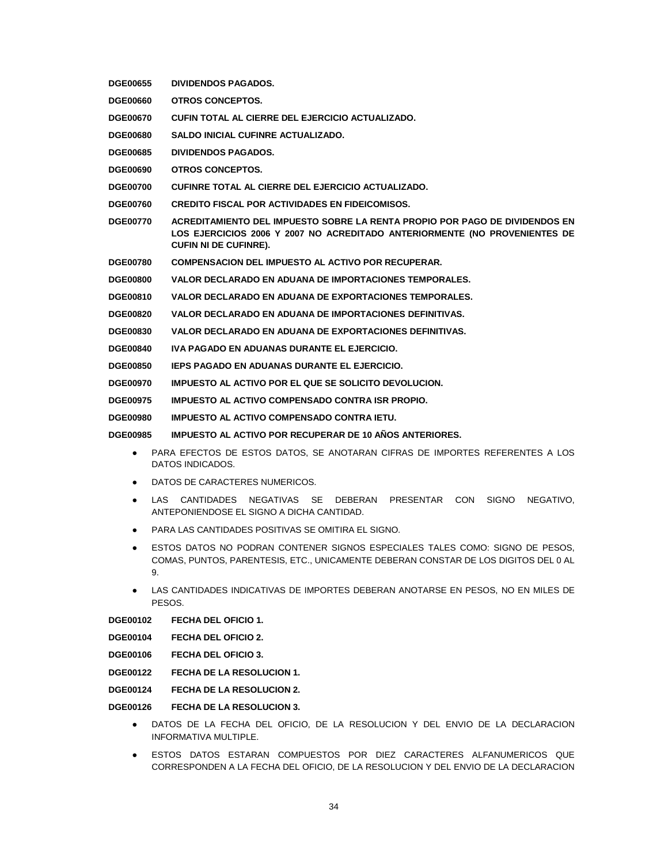- **DGE00655 DIVIDENDOS PAGADOS.**
- **DGE00660 OTROS CONCEPTOS.**
- **DGE00670 CUFIN TOTAL AL CIERRE DEL EJERCICIO ACTUALIZADO.**
- **DGE00680 SALDO INICIAL CUFINRE ACTUALIZADO.**
- **DGE00685 DIVIDENDOS PAGADOS.**
- **DGE00690 OTROS CONCEPTOS.**
- **DGE00700 CUFINRE TOTAL AL CIERRE DEL EJERCICIO ACTUALIZADO.**
- **DGE00760 CREDITO FISCAL POR ACTIVIDADES EN FIDEICOMISOS.**
- **DGE00770 ACREDITAMIENTO DEL IMPUESTO SOBRE LA RENTA PROPIO POR PAGO DE DIVIDENDOS EN LOS EJERCICIOS 2006 Y 2007 NO ACREDITADO ANTERIORMENTE (NO PROVENIENTES DE CUFIN NI DE CUFINRE).**
- **DGE00780 COMPENSACION DEL IMPUESTO AL ACTIVO POR RECUPERAR.**
- **DGE00800 VALOR DECLARADO EN ADUANA DE IMPORTACIONES TEMPORALES.**
- **DGE00810 VALOR DECLARADO EN ADUANA DE EXPORTACIONES TEMPORALES.**
- **DGE00820 VALOR DECLARADO EN ADUANA DE IMPORTACIONES DEFINITIVAS.**
- **DGE00830 VALOR DECLARADO EN ADUANA DE EXPORTACIONES DEFINITIVAS.**
- **DGE00840 IVA PAGADO EN ADUANAS DURANTE EL EJERCICIO.**
- **DGE00850 IEPS PAGADO EN ADUANAS DURANTE EL EJERCICIO.**
- **DGE00970 IMPUESTO AL ACTIVO POR EL QUE SE SOLICITO DEVOLUCION.**
- **DGE00975 IMPUESTO AL ACTIVO COMPENSADO CONTRA ISR PROPIO.**
- **DGE00980 IMPUESTO AL ACTIVO COMPENSADO CONTRA IETU.**

**DGE00985 IMPUESTO AL ACTIVO POR RECUPERAR DE 10 AÑOS ANTERIORES.**

- PARA EFECTOS DE ESTOS DATOS, SE ANOTARAN CIFRAS DE IMPORTES REFERENTES A LOS DATOS INDICADOS.
- DATOS DE CARACTERES NUMERICOS.
- **.** LAS CANTIDADES NEGATIVAS SE DEBERAN PRESENTAR CON SIGNO NEGATIVO, ANTEPONIENDOSE EL SIGNO A DICHA CANTIDAD.
- PARA LAS CANTIDADES POSITIVAS SE OMITIRA EL SIGNO.
- **ESTOS DATOS NO PODRAN CONTENER SIGNOS ESPECIALES TALES COMO: SIGNO DE PESOS.** COMAS, PUNTOS, PARENTESIS, ETC., UNICAMENTE DEBERAN CONSTAR DE LOS DIGITOS DEL 0 AL 9.
- LAS CANTIDADES INDICATIVAS DE IMPORTES DEBERAN ANOTARSE EN PESOS. NO EN MILES DE PESOS.

**DGE00102 FECHA DEL OFICIO 1.**

- **DGE00104 FECHA DEL OFICIO 2.**
- **DGE00106 FECHA DEL OFICIO 3.**
- **DGE00122 FECHA DE LA RESOLUCION 1.**
- **DGE00124 FECHA DE LA RESOLUCION 2.**
- **DGE00126 FECHA DE LA RESOLUCION 3.**
	- DATOS DE LA FECHA DEL OFICIO, DE LA RESOLUCION Y DEL ENVIO DE LA DECLARACION INFORMATIVA MULTIPLE.
	- ESTOS DATOS ESTARAN COMPUESTOS POR DIEZ CARACTERES ALFANUMERICOS QUE CORRESPONDEN A LA FECHA DEL OFICIO, DE LA RESOLUCION Y DEL ENVIO DE LA DECLARACION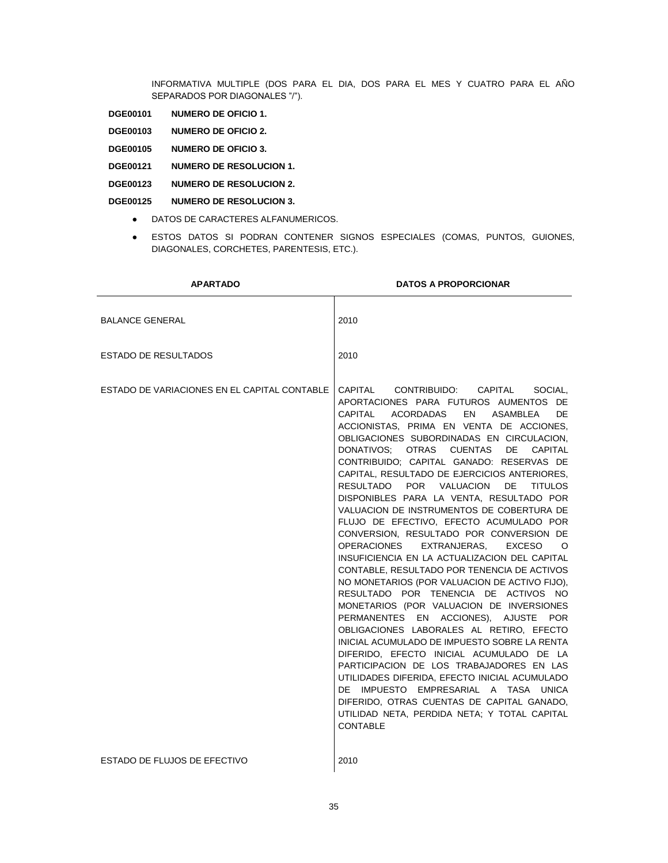INFORMATIVA MULTIPLE (DOS PARA EL DIA, DOS PARA EL MES Y CUATRO PARA EL AÑO SEPARADOS POR DIAGONALES "/").

- **DGE00101 NUMERO DE OFICIO 1.**
- **DGE00103 NUMERO DE OFICIO 2.**
- **DGE00105 NUMERO DE OFICIO 3.**
- **DGE00121 NUMERO DE RESOLUCION 1.**
- **DGE00123 NUMERO DE RESOLUCION 2.**
- **DGE00125 NUMERO DE RESOLUCION 3.**
	- DATOS DE CARACTERES ALFANUMERICOS.
	- ESTOS DATOS SI PODRAN CONTENER SIGNOS ESPECIALES (COMAS, PUNTOS, GUIONES, DIAGONALES, CORCHETES, PARENTESIS, ETC.).

| <b>APARTADO</b>                              | <b>DATOS A PROPORCIONAR</b>                                                                                                                                                                                                                                                                                                                                                                                                                                                                                                                                                                                                                                                                                                                                                                                                                                                                                                                                                                                                                                                                                                                                                                                                                                                                                          |
|----------------------------------------------|----------------------------------------------------------------------------------------------------------------------------------------------------------------------------------------------------------------------------------------------------------------------------------------------------------------------------------------------------------------------------------------------------------------------------------------------------------------------------------------------------------------------------------------------------------------------------------------------------------------------------------------------------------------------------------------------------------------------------------------------------------------------------------------------------------------------------------------------------------------------------------------------------------------------------------------------------------------------------------------------------------------------------------------------------------------------------------------------------------------------------------------------------------------------------------------------------------------------------------------------------------------------------------------------------------------------|
| <b>BALANCE GENERAL</b>                       | 2010                                                                                                                                                                                                                                                                                                                                                                                                                                                                                                                                                                                                                                                                                                                                                                                                                                                                                                                                                                                                                                                                                                                                                                                                                                                                                                                 |
| <b>ESTADO DE RESULTADOS</b>                  | 2010                                                                                                                                                                                                                                                                                                                                                                                                                                                                                                                                                                                                                                                                                                                                                                                                                                                                                                                                                                                                                                                                                                                                                                                                                                                                                                                 |
| ESTADO DE VARIACIONES EN EL CAPITAL CONTABLE | CAPITAL CONTRIBUIDO: CAPITAL<br>SOCIAL.<br>APORTACIONES PARA FUTUROS AUMENTOS DE<br>CAPITAL ACORDADAS<br>EN ASAMBLEA<br>DE<br>ACCIONISTAS, PRIMA EN VENTA DE ACCIONES,<br>OBLIGACIONES SUBORDINADAS EN CIRCULACION,<br>DONATIVOS: OTRAS CUENTAS DE<br>CAPITAL<br>CONTRIBUIDO: CAPITAL GANADO: RESERVAS DE<br>CAPITAL, RESULTADO DE EJERCICIOS ANTERIORES,<br>RESULTADO POR VALUACION DE<br><b>TITULOS</b><br>DISPONIBLES PARA LA VENTA. RESULTADO POR<br>VALUACION DE INSTRUMENTOS DE COBERTURA DE<br>FLUJO DE EFECTIVO, EFECTO ACUMULADO POR<br>CONVERSION, RESULTADO POR CONVERSION DE<br>OPERACIONES<br>EXTRANJERAS, EXCESO<br>$\circ$<br>INSUFICIENCIA EN LA ACTUALIZACION DEL CAPITAL<br>CONTABLE, RESULTADO POR TENENCIA DE ACTIVOS<br>NO MONETARIOS (POR VALUACION DE ACTIVO FIJO),<br>RESULTADO POR TENENCIA DE ACTIVOS NO<br>MONETARIOS (POR VALUACION DE INVERSIONES<br>PERMANENTES EN ACCIONES), AJUSTE POR<br>OBLIGACIONES LABORALES AL RETIRO, EFECTO<br>INICIAL ACUMULADO DE IMPUESTO SOBRE LA RENTA<br>DIFERIDO, EFECTO INICIAL ACUMULADO DE LA<br>PARTICIPACION DE LOS TRABAJADORES EN LAS<br>UTILIDADES DIFERIDA, EFECTO INICIAL ACUMULADO<br>DE IMPUESTO EMPRESARIAL A TASA UNICA<br>DIFERIDO, OTRAS CUENTAS DE CAPITAL GANADO,<br>UTILIDAD NETA, PERDIDA NETA; Y TOTAL CAPITAL<br><b>CONTABLE</b> |
| ESTADO DE FLUJOS DE EFECTIVO                 | 2010                                                                                                                                                                                                                                                                                                                                                                                                                                                                                                                                                                                                                                                                                                                                                                                                                                                                                                                                                                                                                                                                                                                                                                                                                                                                                                                 |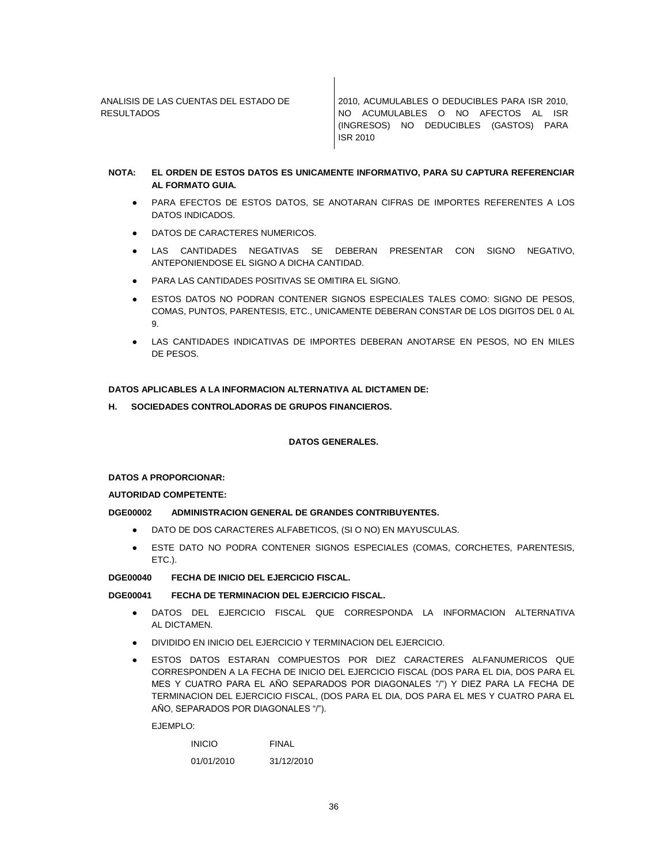ANALISIS DE LAS CUENTAS DEL ESTADO DE RESULTADOS

2010, ACUMULABLES O DEDUCIBLES PARA ISR 2010, NO ACUMULABLES O NO AFECTOS AL ISR (INGRESOS) NO DEDUCIBLES (GASTOS) PARA ISR 2010

## **NOTA: EL ORDEN DE ESTOS DATOS ES UNICAMENTE INFORMATIVO, PARA SU CAPTURA REFERENCIAR AL FORMATO GUIA.**

- PARA EFECTOS DE ESTOS DATOS, SE ANOTARAN CIFRAS DE IMPORTES REFERENTES A LOS DATOS INDICADOS.
- DATOS DE CARACTERES NUMERICOS.
- LAS CANTIDADES NEGATIVAS SE DEBERAN PRESENTAR CON SIGNO NEGATIVO, ANTEPONIENDOSE EL SIGNO A DICHA CANTIDAD.
- PARA LAS CANTIDADES POSITIVAS SE OMITIRA EL SIGNO.
- ESTOS DATOS NO PODRAN CONTENER SIGNOS ESPECIALES TALES COMO: SIGNO DE PESOS, COMAS, PUNTOS, PARENTESIS, ETC., UNICAMENTE DEBERAN CONSTAR DE LOS DIGITOS DEL 0 AL 9.
- LAS CANTIDADES INDICATIVAS DE IMPORTES DEBERAN ANOTARSE EN PESOS, NO EN MILES DE PESOS.

## **DATOS APLICABLES A LA INFORMACION ALTERNATIVA AL DICTAMEN DE:**

**H. SOCIEDADES CONTROLADORAS DE GRUPOS FINANCIEROS.**

### **DATOS GENERALES.**

#### **DATOS A PROPORCIONAR:**

#### **AUTORIDAD COMPETENTE:**

## **DGE00002 ADMINISTRACION GENERAL DE GRANDES CONTRIBUYENTES.**

- DATO DE DOS CARACTERES ALFABETICOS, (SI O NO) EN MAYUSCULAS.
- ESTE DATO NO PODRA CONTENER SIGNOS ESPECIALES (COMAS, CORCHETES, PARENTESIS, ETC.).

#### **DGE00040 FECHA DE INICIO DEL EJERCICIO FISCAL.**

# **DGE00041 FECHA DE TERMINACION DEL EJERCICIO FISCAL.**

- DATOS DEL EJERCICIO FISCAL QUE CORRESPONDA LA INFORMACION ALTERNATIVA AL DICTAMEN.
- DIVIDIDO EN INICIO DEL EJERCICIO Y TERMINACION DEL EJERCICIO.
- ESTOS DATOS ESTARAN COMPUESTOS POR DIEZ CARACTERES ALFANUMERICOS QUE CORRESPONDEN A LA FECHA DE INICIO DEL EJERCICIO FISCAL (DOS PARA EL DIA, DOS PARA EL MES Y CUATRO PARA EL AÑO SEPARADOS POR DIAGONALES "/") Y DIEZ PARA LA FECHA DE TERMINACION DEL EJERCICIO FISCAL, (DOS PARA EL DIA, DOS PARA EL MES Y CUATRO PARA EL AÑO, SEPARADOS POR DIAGONALES "/").

EJEMPLO:

| <b>INICIO</b> | FINAL      |
|---------------|------------|
| 01/01/2010    | 31/12/2010 |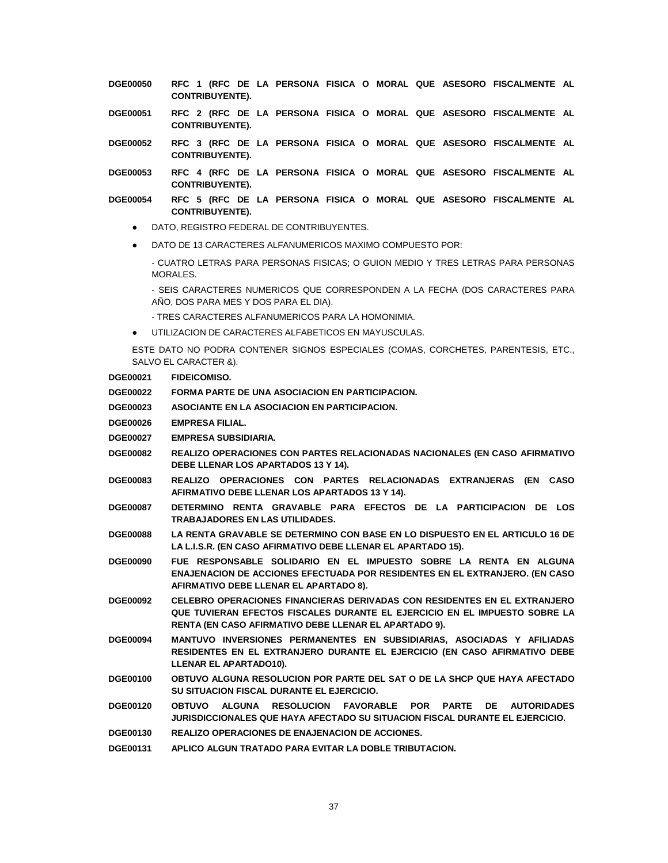- **DGE00050 RFC 1 (RFC DE LA PERSONA FISICA O MORAL QUE ASESORO FISCALMENTE AL CONTRIBUYENTE).**
- **DGE00051 RFC 2 (RFC DE LA PERSONA FISICA O MORAL QUE ASESORO FISCALMENTE AL CONTRIBUYENTE).**
- **DGE00052 RFC 3 (RFC DE LA PERSONA FISICA O MORAL QUE ASESORO FISCALMENTE AL CONTRIBUYENTE).**
- **DGE00053 RFC 4 (RFC DE LA PERSONA FISICA O MORAL QUE ASESORO FISCALMENTE AL CONTRIBUYENTE).**
- **DGE00054 RFC 5 (RFC DE LA PERSONA FISICA O MORAL QUE ASESORO FISCALMENTE AL CONTRIBUYENTE).**
	- DATO, REGISTRO FEDERAL DE CONTRIBUYENTES.
	- DATO DE 13 CARACTERES ALFANUMERICOS MAXIMO COMPUESTO POR:
		- CUATRO LETRAS PARA PERSONAS FISICAS; O GUION MEDIO Y TRES LETRAS PARA PERSONAS MORALES.

- SEIS CARACTERES NUMERICOS QUE CORRESPONDEN A LA FECHA (DOS CARACTERES PARA AÑO, DOS PARA MES Y DOS PARA EL DIA).

- TRES CARACTERES ALFANUMERICOS PARA LA HOMONIMIA.
- UTILIZACION DE CARACTERES ALFABETICOS EN MAYUSCULAS.

ESTE DATO NO PODRA CONTENER SIGNOS ESPECIALES (COMAS, CORCHETES, PARENTESIS, ETC., SALVO EL CARACTER &).

| <b>DGE00021</b> | <b>FIDEICOMISO.</b> |
|-----------------|---------------------|
|                 |                     |

- **DGE00022 FORMA PARTE DE UNA ASOCIACION EN PARTICIPACION.**
- **DGE00023 ASOCIANTE EN LA ASOCIACION EN PARTICIPACION.**
- **DGE00026 EMPRESA FILIAL.**
- **DGE00027 EMPRESA SUBSIDIARIA.**
- **DGE00082 REALIZO OPERACIONES CON PARTES RELACIONADAS NACIONALES (EN CASO AFIRMATIVO DEBE LLENAR LOS APARTADOS 13 Y 14).**
- **DGE00083 REALIZO OPERACIONES CON PARTES RELACIONADAS EXTRANJERAS (EN CASO AFIRMATIVO DEBE LLENAR LOS APARTADOS 13 Y 14).**
- **DGE00087 DETERMINO RENTA GRAVABLE PARA EFECTOS DE LA PARTICIPACION DE LOS TRABAJADORES EN LAS UTILIDADES.**
- **DGE00088 LA RENTA GRAVABLE SE DETERMINO CON BASE EN LO DISPUESTO EN EL ARTICULO 16 DE LA L.I.S.R. (EN CASO AFIRMATIVO DEBE LLENAR EL APARTADO 15).**
- **DGE00090 FUE RESPONSABLE SOLIDARIO EN EL IMPUESTO SOBRE LA RENTA EN ALGUNA ENAJENACION DE ACCIONES EFECTUADA POR RESIDENTES EN EL EXTRANJERO. (EN CASO AFIRMATIVO DEBE LLENAR EL APARTADO 8).**
- **DGE00092 CELEBRO OPERACIONES FINANCIERAS DERIVADAS CON RESIDENTES EN EL EXTRANJERO QUE TUVIERAN EFECTOS FISCALES DURANTE EL EJERCICIO EN EL IMPUESTO SOBRE LA RENTA (EN CASO AFIRMATIVO DEBE LLENAR EL APARTADO 9).**
- **DGE00094 MANTUVO INVERSIONES PERMANENTES EN SUBSIDIARIAS, ASOCIADAS Y AFILIADAS RESIDENTES EN EL EXTRANJERO DURANTE EL EJERCICIO (EN CASO AFIRMATIVO DEBE LLENAR EL APARTADO10).**
- **DGE00100 OBTUVO ALGUNA RESOLUCION POR PARTE DEL SAT O DE LA SHCP QUE HAYA AFECTADO SU SITUACION FISCAL DURANTE EL EJERCICIO.**
- **DGE00120 OBTUVO ALGUNA RESOLUCION FAVORABLE POR PARTE DE AUTORIDADES JURISDICCIONALES QUE HAYA AFECTADO SU SITUACION FISCAL DURANTE EL EJERCICIO.**
- **DGE00130 REALIZO OPERACIONES DE ENAJENACION DE ACCIONES.**
- **DGE00131 APLICO ALGUN TRATADO PARA EVITAR LA DOBLE TRIBUTACION.**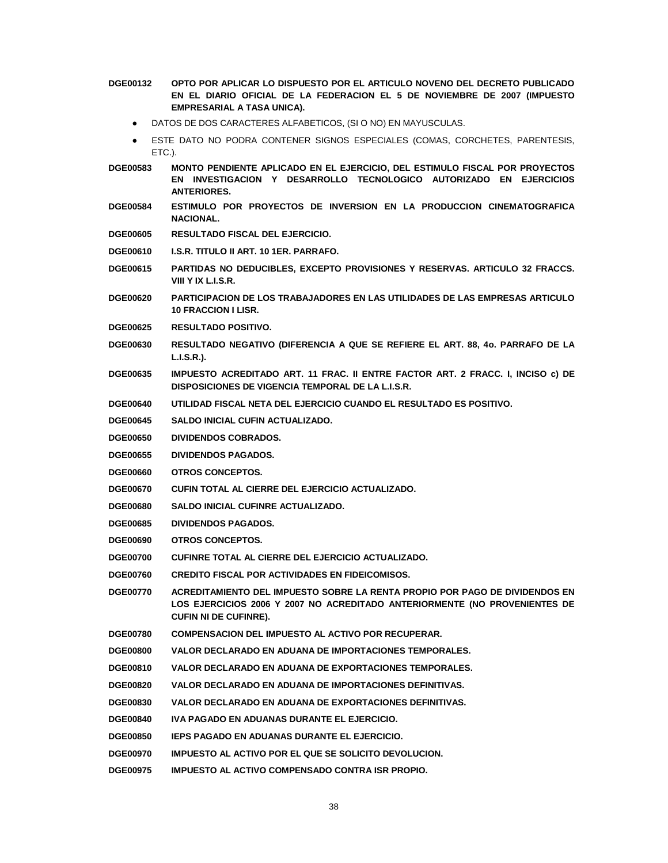- **DGE00132 OPTO POR APLICAR LO DISPUESTO POR EL ARTICULO NOVENO DEL DECRETO PUBLICADO EN EL DIARIO OFICIAL DE LA FEDERACION EL 5 DE NOVIEMBRE DE 2007 (IMPUESTO EMPRESARIAL A TASA UNICA).**
	- DATOS DE DOS CARACTERES ALFABETICOS, (SI O NO) EN MAYUSCULAS.
	- ESTE DATO NO PODRA CONTENER SIGNOS ESPECIALES (COMAS, CORCHETES, PARENTESIS, ETC.).
- **DGE00583 MONTO PENDIENTE APLICADO EN EL EJERCICIO, DEL ESTIMULO FISCAL POR PROYECTOS EN INVESTIGACION Y DESARROLLO TECNOLOGICO AUTORIZADO EN EJERCICIOS ANTERIORES.**
- **DGE00584 ESTIMULO POR PROYECTOS DE INVERSION EN LA PRODUCCION CINEMATOGRAFICA NACIONAL.**
- **DGE00605 RESULTADO FISCAL DEL EJERCICIO.**
- **DGE00610 I.S.R. TITULO II ART. 10 1ER. PARRAFO.**
- **DGE00615 PARTIDAS NO DEDUCIBLES, EXCEPTO PROVISIONES Y RESERVAS. ARTICULO 32 FRACCS. VIII Y IX L.I.S.R.**
- **DGE00620 PARTICIPACION DE LOS TRABAJADORES EN LAS UTILIDADES DE LAS EMPRESAS ARTICULO 10 FRACCION I LISR.**
- **DGE00625 RESULTADO POSITIVO.**
- **DGE00630 RESULTADO NEGATIVO (DIFERENCIA A QUE SE REFIERE EL ART. 88, 4o. PARRAFO DE LA L.I.S.R.).**
- **DGE00635 IMPUESTO ACREDITADO ART. 11 FRAC. II ENTRE FACTOR ART. 2 FRACC. I, INCISO c) DE DISPOSICIONES DE VIGENCIA TEMPORAL DE LA L.I.S.R.**
- **DGE00640 UTILIDAD FISCAL NETA DEL EJERCICIO CUANDO EL RESULTADO ES POSITIVO.**
- **DGE00645 SALDO INICIAL CUFIN ACTUALIZADO.**
- **DGE00650 DIVIDENDOS COBRADOS.**
- **DGE00655 DIVIDENDOS PAGADOS.**
- **DGE00660 OTROS CONCEPTOS.**
- **DGE00670 CUFIN TOTAL AL CIERRE DEL EJERCICIO ACTUALIZADO.**
- **DGE00680 SALDO INICIAL CUFINRE ACTUALIZADO.**
- **DGE00685 DIVIDENDOS PAGADOS.**
- **DGE00690 OTROS CONCEPTOS.**
- **DGE00700 CUFINRE TOTAL AL CIERRE DEL EJERCICIO ACTUALIZADO.**
- **DGE00760 CREDITO FISCAL POR ACTIVIDADES EN FIDEICOMISOS.**
- **DGE00770 ACREDITAMIENTO DEL IMPUESTO SOBRE LA RENTA PROPIO POR PAGO DE DIVIDENDOS EN LOS EJERCICIOS 2006 Y 2007 NO ACREDITADO ANTERIORMENTE (NO PROVENIENTES DE CUFIN NI DE CUFINRE).**
- **DGE00780 COMPENSACION DEL IMPUESTO AL ACTIVO POR RECUPERAR.**
- **DGE00800 VALOR DECLARADO EN ADUANA DE IMPORTACIONES TEMPORALES.**
- **DGE00810 VALOR DECLARADO EN ADUANA DE EXPORTACIONES TEMPORALES.**
- **DGE00820 VALOR DECLARADO EN ADUANA DE IMPORTACIONES DEFINITIVAS.**
- **DGE00830 VALOR DECLARADO EN ADUANA DE EXPORTACIONES DEFINITIVAS.**
- **DGE00840 IVA PAGADO EN ADUANAS DURANTE EL EJERCICIO.**
- **DGE00850 IEPS PAGADO EN ADUANAS DURANTE EL EJERCICIO.**
- **DGE00970 IMPUESTO AL ACTIVO POR EL QUE SE SOLICITO DEVOLUCION.**
- **DGE00975 IMPUESTO AL ACTIVO COMPENSADO CONTRA ISR PROPIO.**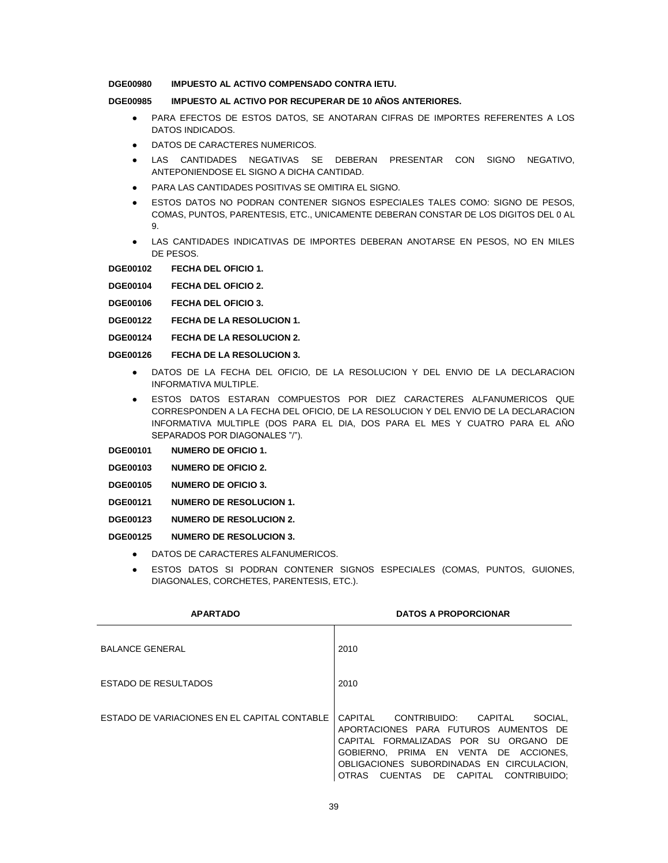# **DGE00980 IMPUESTO AL ACTIVO COMPENSADO CONTRA IETU.**

# **DGE00985 IMPUESTO AL ACTIVO POR RECUPERAR DE 10 AÑOS ANTERIORES.**

- PARA EFECTOS DE ESTOS DATOS, SE ANOTARAN CIFRAS DE IMPORTES REFERENTES A LOS DATOS INDICADOS.
- DATOS DE CARACTERES NUMERICOS.
- LAS CANTIDADES NEGATIVAS SE DEBERAN PRESENTAR CON SIGNO NEGATIVO, ANTEPONIENDOSE EL SIGNO A DICHA CANTIDAD.
- PARA LAS CANTIDADES POSITIVAS SE OMITIRA EL SIGNO.
- **ESTOS DATOS NO PODRAN CONTENER SIGNOS ESPECIALES TALES COMO: SIGNO DE PESOS,** COMAS, PUNTOS, PARENTESIS, ETC., UNICAMENTE DEBERAN CONSTAR DE LOS DIGITOS DEL 0 AL 9.
- LAS CANTIDADES INDICATIVAS DE IMPORTES DEBERAN ANOTARSE EN PESOS, NO EN MILES DE PESOS.

**DGE00102 FECHA DEL OFICIO 1.**

**DGE00104 FECHA DEL OFICIO 2.**

**DGE00106 FECHA DEL OFICIO 3.**

- **DGE00122 FECHA DE LA RESOLUCION 1.**
- **DGE00124 FECHA DE LA RESOLUCION 2.**

**DGE00126 FECHA DE LA RESOLUCION 3.**

- DATOS DE LA FECHA DEL OFICIO, DE LA RESOLUCION Y DEL ENVIO DE LA DECLARACION INFORMATIVA MULTIPLE.
- ESTOS DATOS ESTARAN COMPUESTOS POR DIEZ CARACTERES ALFANUMERICOS QUE CORRESPONDEN A LA FECHA DEL OFICIO, DE LA RESOLUCION Y DEL ENVIO DE LA DECLARACION INFORMATIVA MULTIPLE (DOS PARA EL DIA, DOS PARA EL MES Y CUATRO PARA EL AÑO SEPARADOS POR DIAGONALES "/").

**DGE00101 NUMERO DE OFICIO 1.**

- **DGE00103 NUMERO DE OFICIO 2.**
- **DGE00105 NUMERO DE OFICIO 3.**
- **DGE00121 NUMERO DE RESOLUCION 1.**

**DGE00123 NUMERO DE RESOLUCION 2.**

**DGE00125 NUMERO DE RESOLUCION 3.**

- DATOS DE CARACTERES ALFANUMERICOS.
- ESTOS DATOS SI PODRAN CONTENER SIGNOS ESPECIALES (COMAS, PUNTOS, GUIONES, DIAGONALES, CORCHETES, PARENTESIS, ETC.).

| <b>APARTADO</b>                              | <b>DATOS A PROPORCIONAR</b>                                                                                                                                                                                                                                 |
|----------------------------------------------|-------------------------------------------------------------------------------------------------------------------------------------------------------------------------------------------------------------------------------------------------------------|
| <b>BALANCE GENERAL</b>                       | 2010                                                                                                                                                                                                                                                        |
| ESTADO DE RESULTADOS                         | 2010                                                                                                                                                                                                                                                        |
| ESTADO DE VARIACIONES EN EL CAPITAL CONTABLE | CAPITAI<br>CONTRIBUIDO: CAPITAL<br>SOCIAL.<br>APORTACIONES PARA FUTUROS AUMENTOS DE<br>CAPITAL FORMALIZADAS POR SU ORGANO DE<br>GOBIERNO. PRIMA EN VENTA DE ACCIONES.<br>OBLIGACIONES SUBORDINADAS EN CIRCULACION,<br>OTRAS CUENTAS DE CAPITAL CONTRIBUIDO: |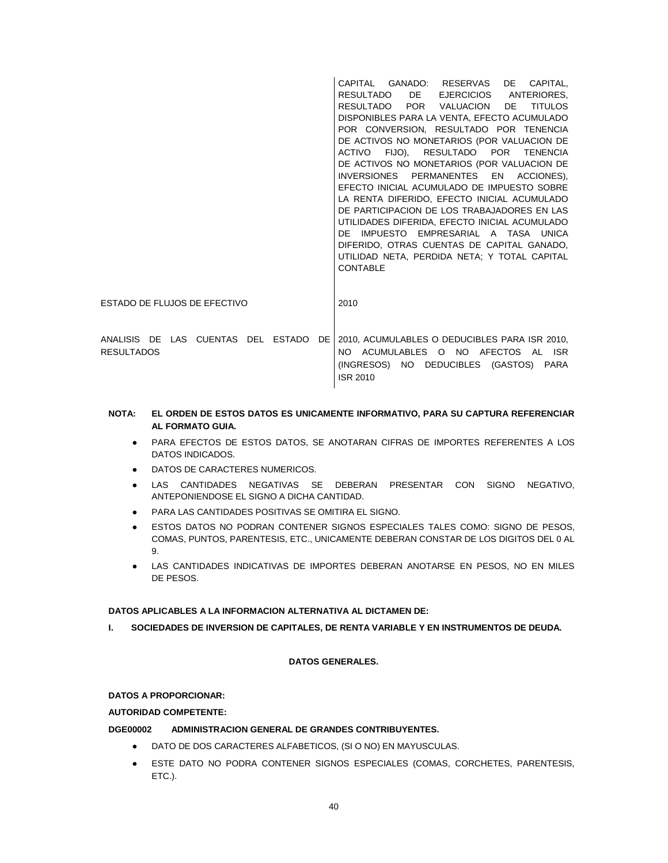|                                       | CAPITAL GANADO: RESERVAS<br>DE CAPITAL,           |
|---------------------------------------|---------------------------------------------------|
|                                       | RESULTADO DE<br>EJERCICIOS ANTERIORES.            |
|                                       | RESULTADO POR VALUACION<br>DE D<br><b>TITULOS</b> |
|                                       | DISPONIBLES PARA LA VENTA, EFECTO ACUMULADO       |
|                                       | POR CONVERSION, RESULTADO POR TENENCIA            |
|                                       | DE ACTIVOS NO MONETARIOS (POR VALUACION DE        |
|                                       | ACTIVO FIJO), RESULTADO POR TENENCIA              |
|                                       | DE ACTIVOS NO MONETARIOS (POR VALUACION DE        |
|                                       | INVERSIONES PERMANENTES EN ACCIONES),             |
|                                       | EFECTO INICIAL ACUMULADO DE IMPUESTO SOBRE        |
|                                       | LA RENTA DIFERIDO, EFECTO INICIAL ACUMULADO       |
|                                       | DE PARTICIPACION DE LOS TRABAJADORES EN LAS       |
|                                       | UTILIDADES DIFERIDA, EFECTO INICIAL ACUMULADO     |
|                                       | DE IMPUESTO EMPRESARIAL A TASA UNICA              |
|                                       | DIFERIDO, OTRAS CUENTAS DE CAPITAL GANADO,        |
|                                       | UTILIDAD NETA, PERDIDA NETA; Y TOTAL CAPITAL      |
|                                       | <b>CONTABLE</b>                                   |
|                                       |                                                   |
|                                       |                                                   |
| ESTADO DE FLUJOS DE EFECTIVO          | 2010                                              |
|                                       |                                                   |
|                                       |                                                   |
| ANALISIS DE LAS CUENTAS DEL ESTADO DE | 2010, ACUMULABLES O DEDUCIBLES PARA ISR 2010,     |
| <b>RESULTADOS</b>                     | NO ACUMULABLES O NO AFECTOS AL ISR                |
|                                       | (INGRESOS) NO DEDUCIBLES (GASTOS) PARA            |
|                                       | <b>ISR 2010</b>                                   |
|                                       |                                                   |

# **NOTA: EL ORDEN DE ESTOS DATOS ES UNICAMENTE INFORMATIVO, PARA SU CAPTURA REFERENCIAR AL FORMATO GUIA.**

- PARA EFECTOS DE ESTOS DATOS, SE ANOTARAN CIFRAS DE IMPORTES REFERENTES A LOS DATOS INDICADOS.
- DATOS DE CARACTERES NUMERICOS.
- LAS CANTIDADES NEGATIVAS SE DEBERAN PRESENTAR CON SIGNO NEGATIVO, ANTEPONIENDOSE EL SIGNO A DICHA CANTIDAD.
- PARA LAS CANTIDADES POSITIVAS SE OMITIRA EL SIGNO.
- **ESTOS DATOS NO PODRAN CONTENER SIGNOS ESPECIALES TALES COMO: SIGNO DE PESOS,** COMAS, PUNTOS, PARENTESIS, ETC., UNICAMENTE DEBERAN CONSTAR DE LOS DIGITOS DEL 0 AL 9.
- LAS CANTIDADES INDICATIVAS DE IMPORTES DEBERAN ANOTARSE EN PESOS, NO EN MILES DE PESOS.

# **DATOS APLICABLES A LA INFORMACION ALTERNATIVA AL DICTAMEN DE:**

**I. SOCIEDADES DE INVERSION DE CAPITALES, DE RENTA VARIABLE Y EN INSTRUMENTOS DE DEUDA.**

# **DATOS GENERALES.**

# **DATOS A PROPORCIONAR:**

# **AUTORIDAD COMPETENTE:**

# **DGE00002 ADMINISTRACION GENERAL DE GRANDES CONTRIBUYENTES.**

- DATO DE DOS CARACTERES ALFABETICOS, (SI O NO) EN MAYUSCULAS.
- ESTE DATO NO PODRA CONTENER SIGNOS ESPECIALES (COMAS, CORCHETES, PARENTESIS, ETC.).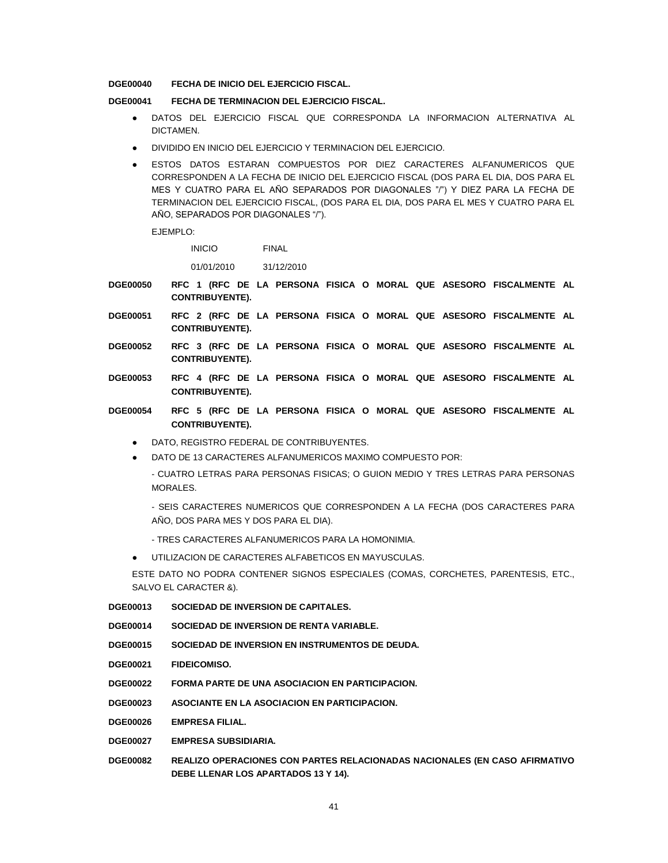**DGE00040 FECHA DE INICIO DEL EJERCICIO FISCAL.**

### **DGE00041 FECHA DE TERMINACION DEL EJERCICIO FISCAL.**

- DATOS DEL EJERCICIO FISCAL QUE CORRESPONDA LA INFORMACION ALTERNATIVA AL **DICTAMEN**
- DIVIDIDO EN INICIO DEL EJERCICIO Y TERMINACION DEL EJERCICIO.
- ESTOS DATOS ESTARAN COMPUESTOS POR DIEZ CARACTERES ALFANUMERICOS QUE CORRESPONDEN A LA FECHA DE INICIO DEL EJERCICIO FISCAL (DOS PARA EL DIA, DOS PARA EL MES Y CUATRO PARA EL AÑO SEPARADOS POR DIAGONALES "/") Y DIEZ PARA LA FECHA DE TERMINACION DEL EJERCICIO FISCAL, (DOS PARA EL DIA, DOS PARA EL MES Y CUATRO PARA EL AÑO, SEPARADOS POR DIAGONALES "/").

EJEMPLO:

INICIO FINAL

01/01/2010 31/12/2010

- **DGE00050 RFC 1 (RFC DE LA PERSONA FISICA O MORAL QUE ASESORO FISCALMENTE AL CONTRIBUYENTE).**
- **DGE00051 RFC 2 (RFC DE LA PERSONA FISICA O MORAL QUE ASESORO FISCALMENTE AL CONTRIBUYENTE).**
- **DGE00052 RFC 3 (RFC DE LA PERSONA FISICA O MORAL QUE ASESORO FISCALMENTE AL CONTRIBUYENTE).**
- **DGE00053 RFC 4 (RFC DE LA PERSONA FISICA O MORAL QUE ASESORO FISCALMENTE AL CONTRIBUYENTE).**
- **DGE00054 RFC 5 (RFC DE LA PERSONA FISICA O MORAL QUE ASESORO FISCALMENTE AL CONTRIBUYENTE).**
	- DATO, REGISTRO FEDERAL DE CONTRIBUYENTES.
	- DATO DE 13 CARACTERES ALFANUMERICOS MAXIMO COMPUESTO POR:
		- CUATRO LETRAS PARA PERSONAS FISICAS; O GUION MEDIO Y TRES LETRAS PARA PERSONAS MORALES.
		- SEIS CARACTERES NUMERICOS QUE CORRESPONDEN A LA FECHA (DOS CARACTERES PARA AÑO, DOS PARA MES Y DOS PARA EL DIA).
		- TRES CARACTERES ALFANUMERICOS PARA LA HOMONIMIA.
	- UTILIZACION DE CARACTERES ALFABETICOS EN MAYUSCULAS.

ESTE DATO NO PODRA CONTENER SIGNOS ESPECIALES (COMAS, CORCHETES, PARENTESIS, ETC., SALVO EL CARACTER &).

- **DGE00013 SOCIEDAD DE INVERSION DE CAPITALES.**
- **DGE00014 SOCIEDAD DE INVERSION DE RENTA VARIABLE.**
- **DGE00015 SOCIEDAD DE INVERSION EN INSTRUMENTOS DE DEUDA.**
- **DGE00021 FIDEICOMISO.**
- **DGE00022 FORMA PARTE DE UNA ASOCIACION EN PARTICIPACION.**
- **DGE00023 ASOCIANTE EN LA ASOCIACION EN PARTICIPACION.**
- **DGE00026 EMPRESA FILIAL.**
- **DGE00027 EMPRESA SUBSIDIARIA.**
- **DGE00082 REALIZO OPERACIONES CON PARTES RELACIONADAS NACIONALES (EN CASO AFIRMATIVO DEBE LLENAR LOS APARTADOS 13 Y 14).**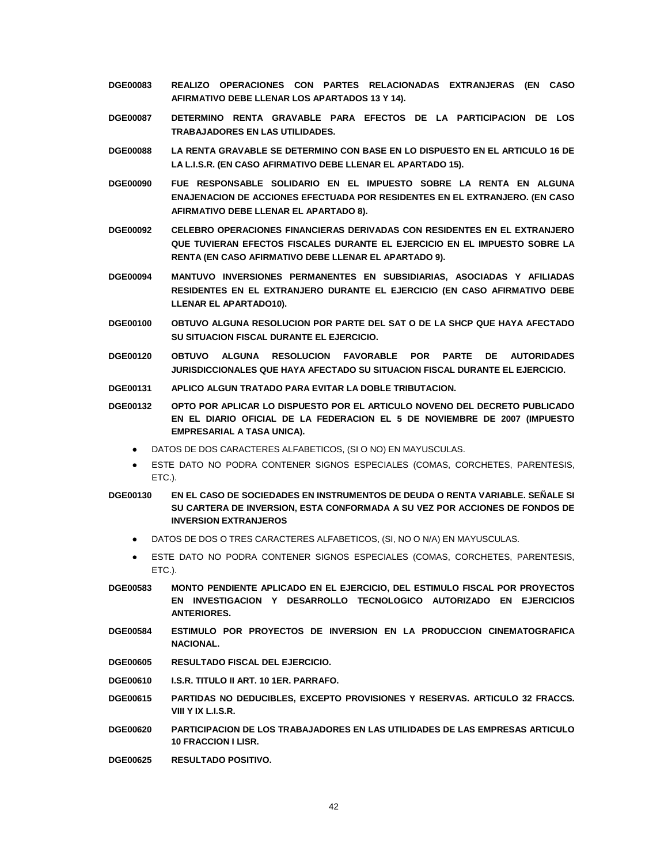- **DGE00083 REALIZO OPERACIONES CON PARTES RELACIONADAS EXTRANJERAS (EN CASO AFIRMATIVO DEBE LLENAR LOS APARTADOS 13 Y 14).**
- **DGE00087 DETERMINO RENTA GRAVABLE PARA EFECTOS DE LA PARTICIPACION DE LOS TRABAJADORES EN LAS UTILIDADES.**
- **DGE00088 LA RENTA GRAVABLE SE DETERMINO CON BASE EN LO DISPUESTO EN EL ARTICULO 16 DE LA L.I.S.R. (EN CASO AFIRMATIVO DEBE LLENAR EL APARTADO 15).**
- **DGE00090 FUE RESPONSABLE SOLIDARIO EN EL IMPUESTO SOBRE LA RENTA EN ALGUNA ENAJENACION DE ACCIONES EFECTUADA POR RESIDENTES EN EL EXTRANJERO. (EN CASO AFIRMATIVO DEBE LLENAR EL APARTADO 8).**
- **DGE00092 CELEBRO OPERACIONES FINANCIERAS DERIVADAS CON RESIDENTES EN EL EXTRANJERO QUE TUVIERAN EFECTOS FISCALES DURANTE EL EJERCICIO EN EL IMPUESTO SOBRE LA RENTA (EN CASO AFIRMATIVO DEBE LLENAR EL APARTADO 9).**
- **DGE00094 MANTUVO INVERSIONES PERMANENTES EN SUBSIDIARIAS, ASOCIADAS Y AFILIADAS RESIDENTES EN EL EXTRANJERO DURANTE EL EJERCICIO (EN CASO AFIRMATIVO DEBE LLENAR EL APARTADO10).**
- **DGE00100 OBTUVO ALGUNA RESOLUCION POR PARTE DEL SAT O DE LA SHCP QUE HAYA AFECTADO SU SITUACION FISCAL DURANTE EL EJERCICIO.**
- **DGE00120 OBTUVO ALGUNA RESOLUCION FAVORABLE POR PARTE DE AUTORIDADES JURISDICCIONALES QUE HAYA AFECTADO SU SITUACION FISCAL DURANTE EL EJERCICIO.**
- **DGE00131 APLICO ALGUN TRATADO PARA EVITAR LA DOBLE TRIBUTACION.**
- **DGE00132 OPTO POR APLICAR LO DISPUESTO POR EL ARTICULO NOVENO DEL DECRETO PUBLICADO EN EL DIARIO OFICIAL DE LA FEDERACION EL 5 DE NOVIEMBRE DE 2007 (IMPUESTO EMPRESARIAL A TASA UNICA).**
	- DATOS DE DOS CARACTERES ALFABETICOS, (SI O NO) EN MAYUSCULAS.
	- ESTE DATO NO PODRA CONTENER SIGNOS ESPECIALES (COMAS, CORCHETES, PARENTESIS, ETC.).
- **DGE00130 EN EL CASO DE SOCIEDADES EN INSTRUMENTOS DE DEUDA O RENTA VARIABLE. SEÑALE SI SU CARTERA DE INVERSION, ESTA CONFORMADA A SU VEZ POR ACCIONES DE FONDOS DE INVERSION EXTRANJEROS**
	- DATOS DE DOS O TRES CARACTERES ALFABETICOS, (SI, NO O N/A) EN MAYUSCULAS.
	- ESTE DATO NO PODRA CONTENER SIGNOS ESPECIALES (COMAS, CORCHETES, PARENTESIS, ETC.).
- **DGE00583 MONTO PENDIENTE APLICADO EN EL EJERCICIO, DEL ESTIMULO FISCAL POR PROYECTOS EN INVESTIGACION Y DESARROLLO TECNOLOGICO AUTORIZADO EN EJERCICIOS ANTERIORES.**
- **DGE00584 ESTIMULO POR PROYECTOS DE INVERSION EN LA PRODUCCION CINEMATOGRAFICA NACIONAL.**
- **DGE00605 RESULTADO FISCAL DEL EJERCICIO.**
- **DGE00610 I.S.R. TITULO II ART. 10 1ER. PARRAFO.**
- **DGE00615 PARTIDAS NO DEDUCIBLES, EXCEPTO PROVISIONES Y RESERVAS. ARTICULO 32 FRACCS. VIII Y IX L.I.S.R.**
- **DGE00620 PARTICIPACION DE LOS TRABAJADORES EN LAS UTILIDADES DE LAS EMPRESAS ARTICULO 10 FRACCION I LISR.**
- **DGE00625 RESULTADO POSITIVO.**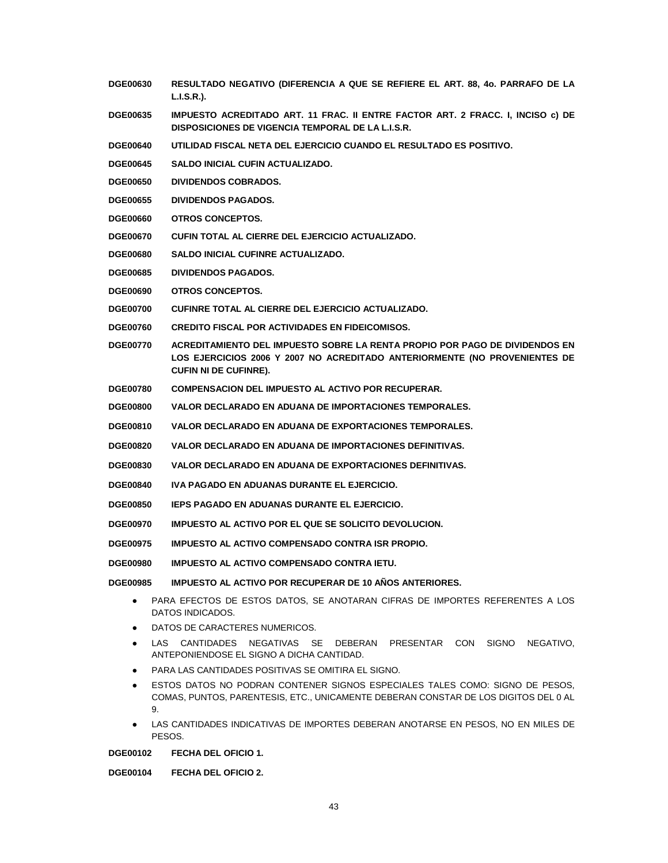- **DGE00630 RESULTADO NEGATIVO (DIFERENCIA A QUE SE REFIERE EL ART. 88, 4o. PARRAFO DE LA L.I.S.R.).**
- **DGE00635 IMPUESTO ACREDITADO ART. 11 FRAC. II ENTRE FACTOR ART. 2 FRACC. I, INCISO c) DE DISPOSICIONES DE VIGENCIA TEMPORAL DE LA L.I.S.R.**
- **DGE00640 UTILIDAD FISCAL NETA DEL EJERCICIO CUANDO EL RESULTADO ES POSITIVO.**
- **DGE00645 SALDO INICIAL CUFIN ACTUALIZADO.**
- **DGE00650 DIVIDENDOS COBRADOS.**
- **DGE00655 DIVIDENDOS PAGADOS.**
- **DGE00660 OTROS CONCEPTOS.**
- **DGE00670 CUFIN TOTAL AL CIERRE DEL EJERCICIO ACTUALIZADO.**
- **DGE00680 SALDO INICIAL CUFINRE ACTUALIZADO.**
- **DGE00685 DIVIDENDOS PAGADOS.**
- **DGE00690 OTROS CONCEPTOS.**
- **DGE00700 CUFINRE TOTAL AL CIERRE DEL EJERCICIO ACTUALIZADO.**
- **DGE00760 CREDITO FISCAL POR ACTIVIDADES EN FIDEICOMISOS.**
- **DGE00770 ACREDITAMIENTO DEL IMPUESTO SOBRE LA RENTA PROPIO POR PAGO DE DIVIDENDOS EN LOS EJERCICIOS 2006 Y 2007 NO ACREDITADO ANTERIORMENTE (NO PROVENIENTES DE CUFIN NI DE CUFINRE).**
- **DGE00780 COMPENSACION DEL IMPUESTO AL ACTIVO POR RECUPERAR.**
- **DGE00800 VALOR DECLARADO EN ADUANA DE IMPORTACIONES TEMPORALES.**
- **DGE00810 VALOR DECLARADO EN ADUANA DE EXPORTACIONES TEMPORALES.**
- **DGE00820 VALOR DECLARADO EN ADUANA DE IMPORTACIONES DEFINITIVAS.**
- **DGE00830 VALOR DECLARADO EN ADUANA DE EXPORTACIONES DEFINITIVAS.**
- **DGE00840 IVA PAGADO EN ADUANAS DURANTE EL EJERCICIO.**
- **DGE00850 IEPS PAGADO EN ADUANAS DURANTE EL EJERCICIO.**
- **DGE00970 IMPUESTO AL ACTIVO POR EL QUE SE SOLICITO DEVOLUCION.**
- **DGE00975 IMPUESTO AL ACTIVO COMPENSADO CONTRA ISR PROPIO.**
- **DGE00980 IMPUESTO AL ACTIVO COMPENSADO CONTRA IETU.**

**DGE00985 IMPUESTO AL ACTIVO POR RECUPERAR DE 10 AÑOS ANTERIORES.**

- PARA EFECTOS DE ESTOS DATOS, SE ANOTARAN CIFRAS DE IMPORTES REFERENTES A LOS DATOS INDICADOS.
- DATOS DE CARACTERES NUMERICOS.
- LAS CANTIDADES NEGATIVAS SE DEBERAN PRESENTAR CON SIGNO NEGATIVO, ANTEPONIENDOSE EL SIGNO A DICHA CANTIDAD.
- PARA LAS CANTIDADES POSITIVAS SE OMITIRA EL SIGNO.
- **ESTOS DATOS NO PODRAN CONTENER SIGNOS ESPECIALES TALES COMO: SIGNO DE PESOS,** COMAS, PUNTOS, PARENTESIS, ETC., UNICAMENTE DEBERAN CONSTAR DE LOS DIGITOS DEL 0 AL 9.
- LAS CANTIDADES INDICATIVAS DE IMPORTES DEBERAN ANOTARSE EN PESOS, NO EN MILES DE PESOS.

**DGE00102 FECHA DEL OFICIO 1.**

**DGE00104 FECHA DEL OFICIO 2.**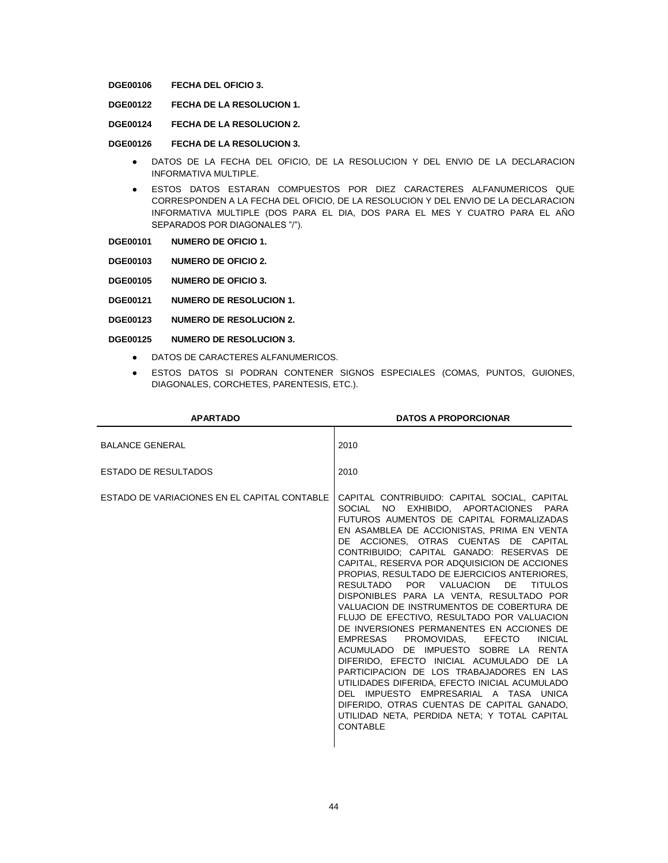**DGE00106 FECHA DEL OFICIO 3.**

- **DGE00122 FECHA DE LA RESOLUCION 1.**
- **DGE00124 FECHA DE LA RESOLUCION 2.**

#### **DGE00126 FECHA DE LA RESOLUCION 3.**

- DATOS DE LA FECHA DEL OFICIO, DE LA RESOLUCION Y DEL ENVIO DE LA DECLARACION INFORMATIVA MULTIPLE.
- ESTOS DATOS ESTARAN COMPUESTOS POR DIEZ CARACTERES ALFANUMERICOS QUE CORRESPONDEN A LA FECHA DEL OFICIO, DE LA RESOLUCION Y DEL ENVIO DE LA DECLARACION INFORMATIVA MULTIPLE (DOS PARA EL DIA, DOS PARA EL MES Y CUATRO PARA EL AÑO SEPARADOS POR DIAGONALES "/").
- **DGE00101 NUMERO DE OFICIO 1.**
- **DGE00103 NUMERO DE OFICIO 2.**
- **DGE00105 NUMERO DE OFICIO 3.**
- **DGE00121 NUMERO DE RESOLUCION 1.**
- **DGE00123 NUMERO DE RESOLUCION 2.**
- **DGE00125 NUMERO DE RESOLUCION 3.**
	- DATOS DE CARACTERES ALFANUMERICOS.
	- ESTOS DATOS SI PODRAN CONTENER SIGNOS ESPECIALES (COMAS, PUNTOS, GUIONES, DIAGONALES, CORCHETES, PARENTESIS, ETC.).

| <b>APARTADO</b>                              | <b>DATOS A PROPORCIONAR</b>                                                                                                                                                                                                                                                                                                                                                                                                                                                                                                                                                                                                                                                                                                                                                                                                                                                                                                                                                                                  |
|----------------------------------------------|--------------------------------------------------------------------------------------------------------------------------------------------------------------------------------------------------------------------------------------------------------------------------------------------------------------------------------------------------------------------------------------------------------------------------------------------------------------------------------------------------------------------------------------------------------------------------------------------------------------------------------------------------------------------------------------------------------------------------------------------------------------------------------------------------------------------------------------------------------------------------------------------------------------------------------------------------------------------------------------------------------------|
| <b>BALANCE GENERAL</b>                       | 2010                                                                                                                                                                                                                                                                                                                                                                                                                                                                                                                                                                                                                                                                                                                                                                                                                                                                                                                                                                                                         |
| ESTADO DE RESULTADOS                         | 2010                                                                                                                                                                                                                                                                                                                                                                                                                                                                                                                                                                                                                                                                                                                                                                                                                                                                                                                                                                                                         |
| ESTADO DE VARIACIONES EN EL CAPITAL CONTABLE | CAPITAL CONTRIBUIDO: CAPITAL SOCIAL, CAPITAL<br>SOCIAL NO EXHIBIDO. APORTACIONES PARA<br>FUTUROS AUMENTOS DE CAPITAL FORMALIZADAS<br>EN ASAMBLEA DE ACCIONISTAS, PRIMA EN VENTA<br>DE ACCIONES, OTRAS CUENTAS DE CAPITAL<br>CONTRIBUIDO; CAPITAL GANADO: RESERVAS DE<br>CAPITAL, RESERVA POR ADQUISICION DE ACCIONES<br>PROPIAS, RESULTADO DE EJERCICIOS ANTERIORES,<br>RESULTADO POR VALUACION<br><b>TITULOS</b><br>DE 1<br>DISPONIBLES PARA LA VENTA, RESULTADO POR<br>VALUACION DE INSTRUMENTOS DE COBERTURA DE<br>FLUJO DE EFECTIVO, RESULTADO POR VALUACION<br>DE INVERSIONES PERMANENTES EN ACCIONES DE<br>EMPRESAS<br>PROMOVIDAS. EFECTO<br><b>INICIAL</b><br>ACUMULADO DE IMPUESTO SOBRE LA RENTA<br>DIFERIDO. EFECTO INICIAL ACUMULADO DE LA<br>PARTICIPACION DE LOS TRABAJADORES EN LAS<br>UTILIDADES DIFERIDA. EFECTO INICIAL ACUMULADO<br>DEL IMPUESTO EMPRESARIAL A TASA UNICA<br>DIFERIDO, OTRAS CUENTAS DE CAPITAL GANADO.<br>UTILIDAD NETA, PERDIDA NETA, Y TOTAL CAPITAL<br><b>CONTABLE</b> |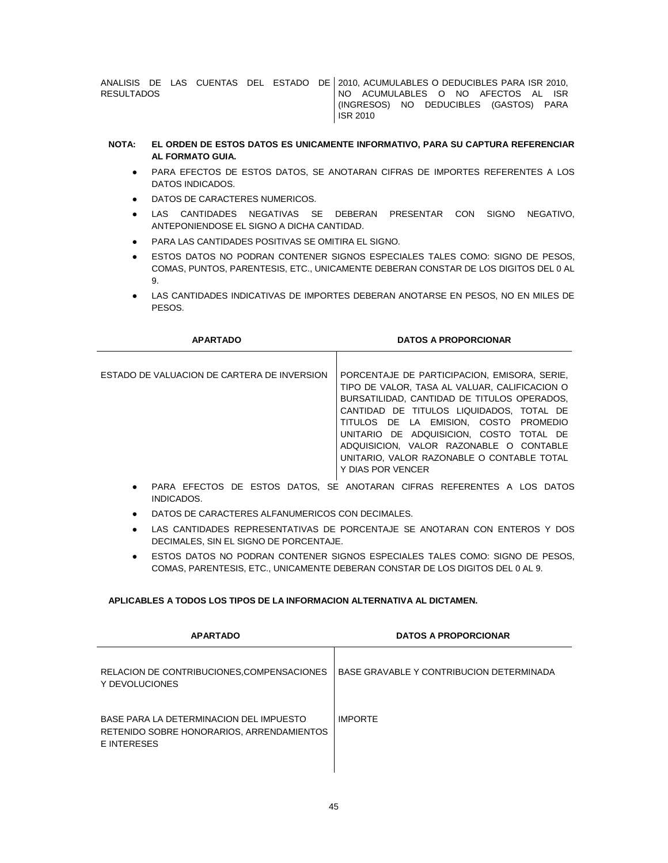ANALISIS DE LAS CUENTAS DEL ESTADO DE 2010, ACUMULABLES O DEDUCIBLES PARA ISR 2010, RESULTADOS NO ACUMULABLES O NO AFECTOS AL ISR (INGRESOS) NO DEDUCIBLES (GASTOS) PARA ISR 2010

## **NOTA: EL ORDEN DE ESTOS DATOS ES UNICAMENTE INFORMATIVO, PARA SU CAPTURA REFERENCIAR AL FORMATO GUIA.**

- PARA EFECTOS DE ESTOS DATOS, SE ANOTARAN CIFRAS DE IMPORTES REFERENTES A LOS DATOS INDICADOS.
- DATOS DE CARACTERES NUMERICOS.
- LAS CANTIDADES NEGATIVAS SE DEBERAN PRESENTAR CON SIGNO NEGATIVO, ANTEPONIENDOSE EL SIGNO A DICHA CANTIDAD.
- PARA LAS CANTIDADES POSITIVAS SE OMITIRA EL SIGNO.
- ESTOS DATOS NO PODRAN CONTENER SIGNOS ESPECIALES TALES COMO: SIGNO DE PESOS, COMAS, PUNTOS, PARENTESIS, ETC., UNICAMENTE DEBERAN CONSTAR DE LOS DIGITOS DEL 0 AL 9.
- LAS CANTIDADES INDICATIVAS DE IMPORTES DEBERAN ANOTARSE EN PESOS, NO EN MILES DE PESOS.

| <b>APARTADO</b>                             | <b>DATOS A PROPORCIONAR</b>                                                                                                                                                                                                                                                                                                                                                                |
|---------------------------------------------|--------------------------------------------------------------------------------------------------------------------------------------------------------------------------------------------------------------------------------------------------------------------------------------------------------------------------------------------------------------------------------------------|
| ESTADO DE VALUACION DE CARTERA DE INVERSION | PORCENTAJE DE PARTICIPACION. EMISORA, SERIE.<br>TIPO DE VALOR. TASA AL VALUAR. CALIFICACION O<br>BURSATILIDAD. CANTIDAD DE TITULOS OPERADOS.<br>CANTIDAD DE TITULOS LIQUIDADOS. TOTAL DE<br>TITULOS DE LA EMISION, COSTO PROMEDIO<br>UNITARIO DE ADQUISICION, COSTO TOTAL DE<br>ADQUISICION. VALOR RAZONABLE O CONTABLE<br>UNITARIO. VALOR RAZONABLE O CONTABLE TOTAL<br>Y DIAS POR VENCER |
|                                             | PARA EFECTOS DE ESTOS DATOS, SE ANOTARAN CIFRAS REFERENTES A LOS DATOS                                                                                                                                                                                                                                                                                                                     |

- INDICADOS. DATOS DE CARACTERES ALFANUMERICOS CON DECIMALES.
- LAS CANTIDADES REPRESENTATIVAS DE PORCENTAJE SE ANOTARAN CON ENTEROS Y DOS DECIMALES, SIN EL SIGNO DE PORCENTAJE.
- **ESTOS DATOS NO PODRAN CONTENER SIGNOS ESPECIALES TALES COMO: SIGNO DE PESOS,** COMAS, PARENTESIS, ETC., UNICAMENTE DEBERAN CONSTAR DE LOS DIGITOS DEL 0 AL 9.

# **APLICABLES A TODOS LOS TIPOS DE LA INFORMACION ALTERNATIVA AL DICTAMEN.**

| <b>APARTADO</b>                                                                                     | <b>DATOS A PROPORCIONAR</b>              |
|-----------------------------------------------------------------------------------------------------|------------------------------------------|
| RELACION DE CONTRIBUCIONES, COMPENSACIONES<br>Y DEVOLUCIONES                                        | BASE GRAVABLE Y CONTRIBUCION DETERMINADA |
| BASE PARA LA DETERMINACION DEL IMPUESTO<br>RETENIDO SOBRE HONORARIOS, ARRENDAMIENTOS<br>E INTERESES | <b>IMPORTE</b>                           |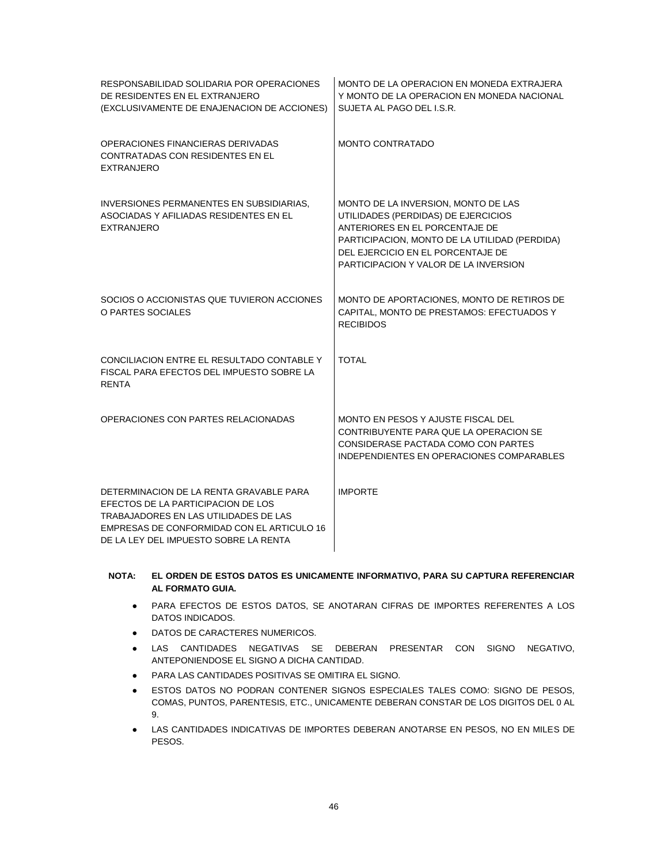| RESPONSABILIDAD SOLIDARIA POR OPERACIONES<br>DE RESIDENTES EN EL EXTRANJERO<br>(EXCLUSIVAMENTE DE ENAJENACION DE ACCIONES)                                                                                    | MONTO DE LA OPERACION EN MONEDA EXTRAJERA<br>Y MONTO DE LA OPERACION EN MONEDA NACIONAL<br>SUJETA AL PAGO DEL I.S.R.                                                                                                                        |
|---------------------------------------------------------------------------------------------------------------------------------------------------------------------------------------------------------------|---------------------------------------------------------------------------------------------------------------------------------------------------------------------------------------------------------------------------------------------|
| OPERACIONES FINANCIERAS DERIVADAS<br>CONTRATADAS CON RESIDENTES EN EL<br><b>EXTRANJERO</b>                                                                                                                    | <b>MONTO CONTRATADO</b>                                                                                                                                                                                                                     |
| INVERSIONES PERMANENTES EN SUBSIDIARIAS,<br>ASOCIADAS Y AFILIADAS RESIDENTES EN EL<br><b>EXTRANJERO</b>                                                                                                       | MONTO DE LA INVERSION, MONTO DE LAS<br>UTILIDADES (PERDIDAS) DE EJERCICIOS<br>ANTERIORES EN EL PORCENTAJE DE<br>PARTICIPACION, MONTO DE LA UTILIDAD (PERDIDA)<br>DEL EJERCICIO EN EL PORCENTAJE DE<br>PARTICIPACION Y VALOR DE LA INVERSION |
| SOCIOS O ACCIONISTAS QUE TUVIERON ACCIONES<br>O PARTES SOCIALES                                                                                                                                               | MONTO DE APORTACIONES, MONTO DE RETIROS DE<br>CAPITAL, MONTO DE PRESTAMOS: EFECTUADOS Y<br><b>RECIBIDOS</b>                                                                                                                                 |
| CONCILIACION ENTRE EL RESULTADO CONTABLE Y<br>FISCAL PARA EFECTOS DEL IMPUESTO SOBRE LA<br><b>RENTA</b>                                                                                                       | <b>TOTAL</b>                                                                                                                                                                                                                                |
| OPERACIONES CON PARTES RELACIONADAS                                                                                                                                                                           | MONTO EN PESOS Y AJUSTE FISCAL DEL<br>CONTRIBUYENTE PARA QUE LA OPERACION SE<br>CONSIDERASE PACTADA COMO CON PARTES<br>INDEPENDIENTES EN OPERACIONES COMPARABLES                                                                            |
| DETERMINACION DE LA RENTA GRAVABLE PARA<br>EFECTOS DE LA PARTICIPACION DE LOS<br>TRABAJADORES EN LAS UTILIDADES DE LAS<br>EMPRESAS DE CONFORMIDAD CON EL ARTICULO 16<br>DE LA LEY DEL IMPUESTO SOBRE LA RENTA | <b>IMPORTE</b>                                                                                                                                                                                                                              |

# **NOTA: EL ORDEN DE ESTOS DATOS ES UNICAMENTE INFORMATIVO, PARA SU CAPTURA REFERENCIAR AL FORMATO GUIA.**

- PARA EFECTOS DE ESTOS DATOS, SE ANOTARAN CIFRAS DE IMPORTES REFERENTES A LOS DATOS INDICADOS.
- DATOS DE CARACTERES NUMERICOS.
- LAS CANTIDADES NEGATIVAS SE DEBERAN PRESENTAR CON SIGNO NEGATIVO, ANTEPONIENDOSE EL SIGNO A DICHA CANTIDAD.
- PARA LAS CANTIDADES POSITIVAS SE OMITIRA EL SIGNO.
- **.** ESTOS DATOS NO PODRAN CONTENER SIGNOS ESPECIALES TALES COMO: SIGNO DE PESOS, COMAS, PUNTOS, PARENTESIS, ETC., UNICAMENTE DEBERAN CONSTAR DE LOS DIGITOS DEL 0 AL 9.
- LAS CANTIDADES INDICATIVAS DE IMPORTES DEBERAN ANOTARSE EN PESOS, NO EN MILES DE PESOS.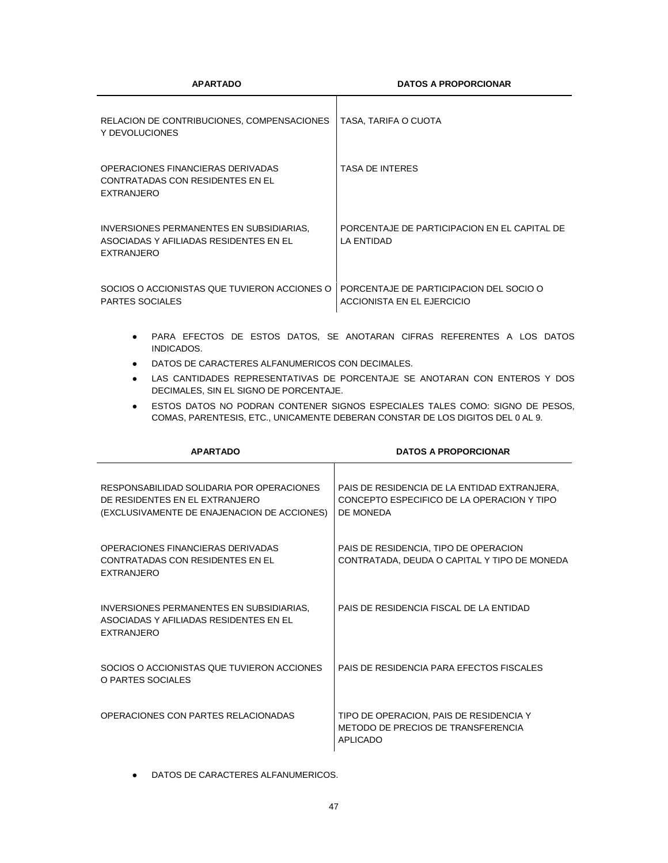**APARTADO DATOS A PROPORCIONAR**

| RELACION DE CONTRIBUCIONES, COMPENSACIONES<br>Y DEVOLUCIONES                                            | TASA, TARIFA O CUOTA                                                  |
|---------------------------------------------------------------------------------------------------------|-----------------------------------------------------------------------|
| OPERACIONES FINANCIERAS DERIVADAS<br>CONTRATADAS CON RESIDENTES EN EL<br><b>EXTRANJERO</b>              | <b>TASA DE INTERES</b>                                                |
| INVERSIONES PERMANENTES EN SUBSIDIARIAS.<br>ASOCIADAS Y AFILIADAS RESIDENTES EN EL<br><b>EXTRANJERO</b> | PORCENTAJE DE PARTICIPACION EN EL CAPITAL DE<br>LA ENTIDAD            |
| SOCIOS O ACCIONISTAS QUE TUVIERON ACCIONES O<br><b>PARTES SOCIALES</b>                                  | PORCENTAJE DE PARTICIPACION DEL SOCIO O<br>ACCIONISTA EN EL EJERCICIO |

- PARA EFECTOS DE ESTOS DATOS, SE ANOTARAN CIFRAS REFERENTES A LOS DATOS INDICADOS.
- DATOS DE CARACTERES ALFANUMERICOS CON DECIMALES.
- LAS CANTIDADES REPRESENTATIVAS DE PORCENTAJE SE ANOTARAN CON ENTEROS Y DOS DECIMALES, SIN EL SIGNO DE PORCENTAJE.
- **ESTOS DATOS NO PODRAN CONTENER SIGNOS ESPECIALES TALES COMO: SIGNO DE PESOS,** COMAS, PARENTESIS, ETC., UNICAMENTE DEBERAN CONSTAR DE LOS DIGITOS DEL 0 AL 9.

| <b>APARTADO</b>                                                                                                            | <b>DATOS A PROPORCIONAR</b>                                                                             |
|----------------------------------------------------------------------------------------------------------------------------|---------------------------------------------------------------------------------------------------------|
| RESPONSABILIDAD SOLIDARIA POR OPERACIONES<br>DE RESIDENTES EN EL EXTRANJERO<br>(EXCLUSIVAMENTE DE ENAJENACION DE ACCIONES) | PAIS DE RESIDENCIA DE LA ENTIDAD EXTRANJERA.<br>CONCEPTO ESPECIFICO DE LA OPERACION Y TIPO<br>DE MONEDA |
| OPERACIONES FINANCIERAS DERIVADAS<br>CONTRATADAS CON RESIDENTES EN EL<br><b>EXTRANJERO</b>                                 | PAIS DE RESIDENCIA, TIPO DE OPERACION<br>CONTRATADA, DEUDA O CAPITAL Y TIPO DE MONEDA                   |
| INVERSIONES PERMANENTES EN SUBSIDIARIAS.<br>ASOCIADAS Y AFILIADAS RESIDENTES EN EL<br><b>EXTRANJERO</b>                    | PAIS DE RESIDENCIA FISCAL DE LA ENTIDAD                                                                 |
| SOCIOS O ACCIONISTAS QUE TUVIERON ACCIONES<br>O PARTES SOCIALES                                                            | PAIS DE RESIDENCIA PARA EFECTOS FISCALES                                                                |
| OPERACIONES CON PARTES RELACIONADAS                                                                                        | TIPO DE OPERACION, PAIS DE RESIDENCIA Y<br>METODO DE PRECIOS DE TRANSFERENCIA<br>API ICADO              |

● DATOS DE CARACTERES ALFANUMERICOS.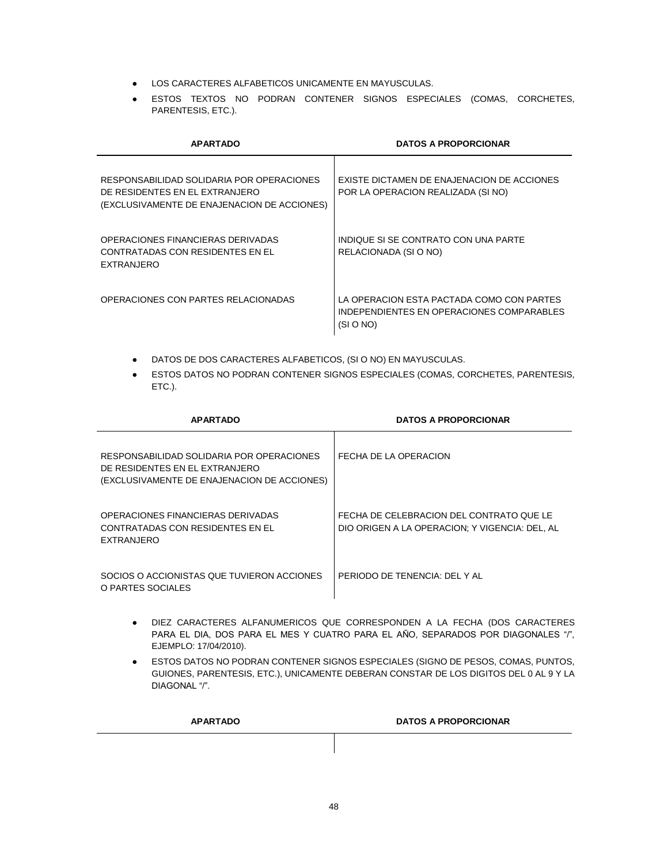- LOS CARACTERES ALFABETICOS UNICAMENTE EN MAYUSCULAS.
- ESTOS TEXTOS NO PODRAN CONTENER SIGNOS ESPECIALES (COMAS, CORCHETES, PARENTESIS, ETC.).

| <b>APARTADO</b>                                                                                                            | <b>DATOS A PROPORCIONAR</b>                                                                         |
|----------------------------------------------------------------------------------------------------------------------------|-----------------------------------------------------------------------------------------------------|
| RESPONSABILIDAD SOLIDARIA POR OPERACIONES<br>DE RESIDENTES EN EL EXTRANJERO<br>(EXCLUSIVAMENTE DE ENAJENACION DE ACCIONES) | EXISTE DICTAMEN DE ENAJENACION DE ACCIONES<br>POR LA OPERACION REALIZADA (SI NO)                    |
| OPERACIONES FINANCIERAS DERIVADAS<br>CONTRATADAS CON RESIDENTES EN EL<br><b>EXTRANJERO</b>                                 | INDIQUE SI SE CONTRATO CON UNA PARTE<br>RELACIONADA (SI O NO)                                       |
| OPERACIONES CON PARTES RELACIONADAS                                                                                        | LA OPERACION ESTA PACTADA COMO CON PARTES<br>INDEPENDIENTES EN OPERACIONES COMPARABLES<br>(SI O NO) |

- DATOS DE DOS CARACTERES ALFABETICOS, (SI O NO) EN MAYUSCULAS.
- ESTOS DATOS NO PODRAN CONTENER SIGNOS ESPECIALES (COMAS, CORCHETES, PARENTESIS, ETC.).

| <b>APARTADO</b>                                                                                                            | <b>DATOS A PROPORCIONAR</b>                                                                |
|----------------------------------------------------------------------------------------------------------------------------|--------------------------------------------------------------------------------------------|
| RESPONSABILIDAD SOLIDARIA POR OPERACIONES<br>DE RESIDENTES EN EL EXTRANJERO<br>(EXCLUSIVAMENTE DE ENAJENACION DE ACCIONES) | FECHA DE LA OPERACION                                                                      |
| OPERACIONES FINANCIFRAS DERIVADAS<br>CONTRATADAS CON RESIDENTES EN EL<br><b>EXTRANJERO</b>                                 | FECHA DE CELEBRACION DEL CONTRATO QUE LE<br>DIO ORIGEN A LA OPERACION; Y VIGENCIA: DEL, AL |
| SOCIOS O ACCIONISTAS QUE TUVIERON ACCIONES<br>O PARTES SOCIALES                                                            | PERIODO DE TENENCIA: DEL Y AL                                                              |

- DIEZ CARACTERES ALFANUMERICOS QUE CORRESPONDEN A LA FECHA (DOS CARACTERES PARA EL DIA, DOS PARA EL MES Y CUATRO PARA EL AÑO, SEPARADOS POR DIAGONALES "/", EJEMPLO: 17/04/2010).
- ESTOS DATOS NO PODRAN CONTENER SIGNOS ESPECIALES (SIGNO DE PESOS, COMAS, PUNTOS, GUIONES, PARENTESIS, ETC.), UNICAMENTE DEBERAN CONSTAR DE LOS DIGITOS DEL 0 AL 9 Y LA DIAGONAL "/".

| <b>APARTADO</b> | <b>DATOS A PROPORCIONAR</b> |
|-----------------|-----------------------------|
|                 |                             |